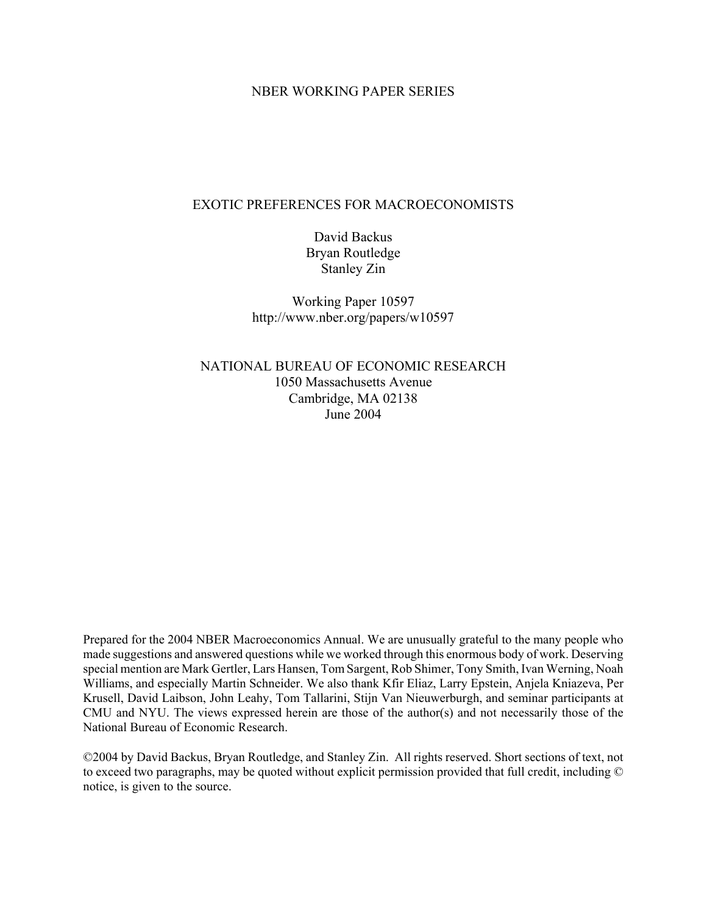#### NBER WORKING PAPER SERIES

#### EXOTIC PREFERENCES FOR MACROECONOMISTS

David Backus Bryan Routledge Stanley Zin

Working Paper 10597 http://www.nber.org/papers/w10597

NATIONAL BUREAU OF ECONOMIC RESEARCH 1050 Massachusetts Avenue Cambridge, MA 02138 June 2004

Prepared for the 2004 NBER Macroeconomics Annual. We are unusually grateful to the many people who made suggestions and answered questions while we worked through this enormous body of work. Deserving special mention are Mark Gertler, Lars Hansen, Tom Sargent, Rob Shimer, Tony Smith, Ivan Werning, Noah Williams, and especially Martin Schneider. We also thank Kfir Eliaz, Larry Epstein, Anjela Kniazeva, Per Krusell, David Laibson, John Leahy, Tom Tallarini, Stijn Van Nieuwerburgh, and seminar participants at CMU and NYU. The views expressed herein are those of the author(s) and not necessarily those of the National Bureau of Economic Research.

©2004 by David Backus, Bryan Routledge, and Stanley Zin. All rights reserved. Short sections of text, not to exceed two paragraphs, may be quoted without explicit permission provided that full credit, including © notice, is given to the source.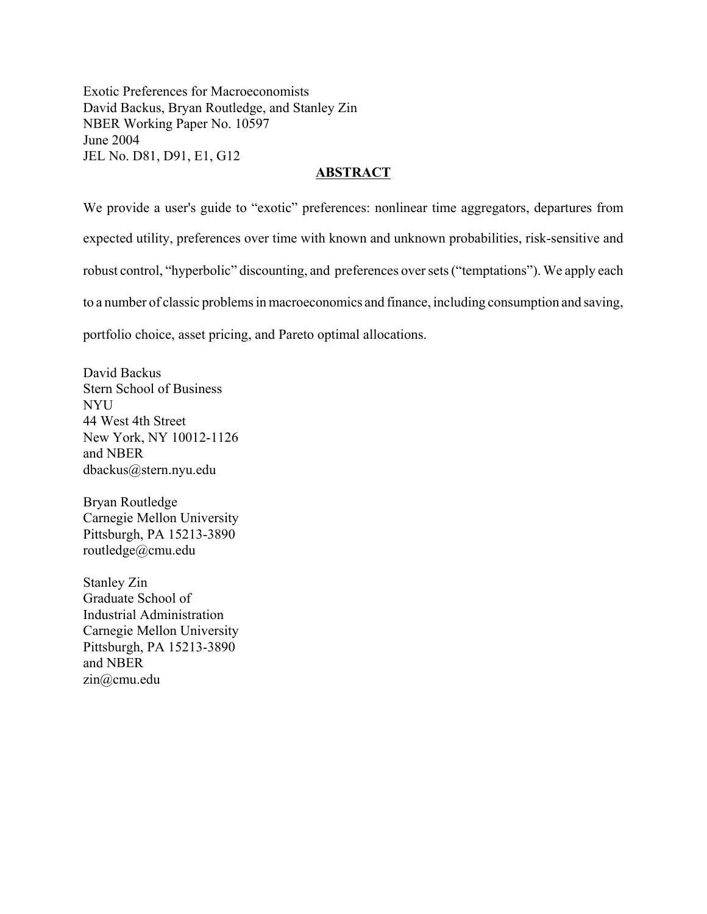Exotic Preferences for Macroeconomists David Backus, Bryan Routledge, and Stanley Zin NBER Working Paper No. 10597 June 2004 JEL No. D81, D91, E1, G12

### **ABSTRACT**

We provide a user's guide to "exotic" preferences: nonlinear time aggregators, departures from expected utility, preferences over time with known and unknown probabilities, risk-sensitive and robust control, "hyperbolic" discounting, and preferences over sets ("temptations"). We apply each to a number of classic problems in macroeconomics and finance, including consumption and saving, portfolio choice, asset pricing, and Pareto optimal allocations.

David Backus Stern School of Business **NYU** 44 West 4th Street New York, NY 10012-1126 and NBER dbackus@stern.nyu.edu

Bryan Routledge Carnegie Mellon University Pittsburgh, PA 15213-3890 routledge@cmu.edu

Stanley Zin Graduate School of Industrial Administration Carnegie Mellon University Pittsburgh, PA 15213-3890 and NBER zin@cmu.edu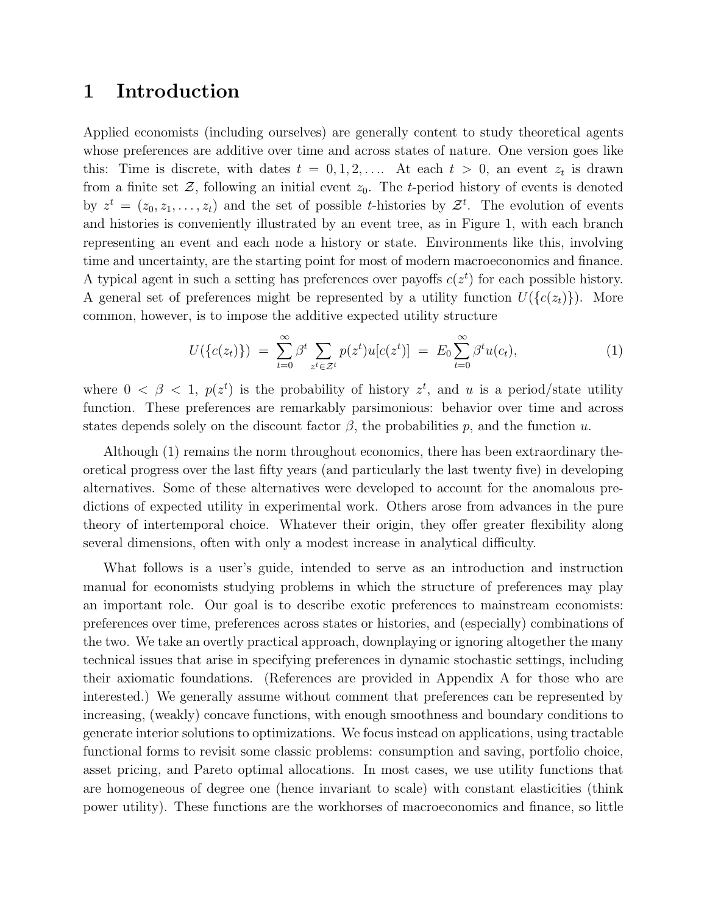# 1 Introduction

Applied economists (including ourselves) are generally content to study theoretical agents whose preferences are additive over time and across states of nature. One version goes like this: Time is discrete, with dates  $t = 0, 1, 2, \ldots$  At each  $t > 0$ , an event  $z_t$  is drawn from a finite set  $\mathcal{Z}$ , following an initial event  $z_0$ . The t-period history of events is denoted by  $z^t = (z_0, z_1, \ldots, z_t)$  and the set of possible *t*-histories by  $\mathcal{Z}^t$ . The evolution of events and histories is conveniently illustrated by an event tree, as in Figure 1, with each branch representing an event and each node a history or state. Environments like this, involving time and uncertainty, are the starting point for most of modern macroeconomics and finance. A typical agent in such a setting has preferences over payoffs  $c(z<sup>t</sup>)$  for each possible history. A general set of preferences might be represented by a utility function  $U({c(z_t)})$ . More common, however, is to impose the additive expected utility structure

$$
U(\{c(z_t)\}) = \sum_{t=0}^{\infty} \beta^t \sum_{z^t \in \mathcal{Z}^t} p(z^t) u[c(z^t)] = E_0 \sum_{t=0}^{\infty} \beta^t u(c_t), \tag{1}
$$

where  $0 < \beta < 1$ ,  $p(z^t)$  is the probability of history  $z^t$ , and u is a period/state utility function. These preferences are remarkably parsimonious: behavior over time and across states depends solely on the discount factor  $\beta$ , the probabilities p, and the function u.

Although (1) remains the norm throughout economics, there has been extraordinary theoretical progress over the last fifty years (and particularly the last twenty five) in developing alternatives. Some of these alternatives were developed to account for the anomalous predictions of expected utility in experimental work. Others arose from advances in the pure theory of intertemporal choice. Whatever their origin, they offer greater flexibility along several dimensions, often with only a modest increase in analytical difficulty.

What follows is a user's guide, intended to serve as an introduction and instruction manual for economists studying problems in which the structure of preferences may play an important role. Our goal is to describe exotic preferences to mainstream economists: preferences over time, preferences across states or histories, and (especially) combinations of the two. We take an overtly practical approach, downplaying or ignoring altogether the many technical issues that arise in specifying preferences in dynamic stochastic settings, including their axiomatic foundations. (References are provided in Appendix A for those who are interested.) We generally assume without comment that preferences can be represented by increasing, (weakly) concave functions, with enough smoothness and boundary conditions to generate interior solutions to optimizations. We focus instead on applications, using tractable functional forms to revisit some classic problems: consumption and saving, portfolio choice, asset pricing, and Pareto optimal allocations. In most cases, we use utility functions that are homogeneous of degree one (hence invariant to scale) with constant elasticities (think power utility). These functions are the workhorses of macroeconomics and finance, so little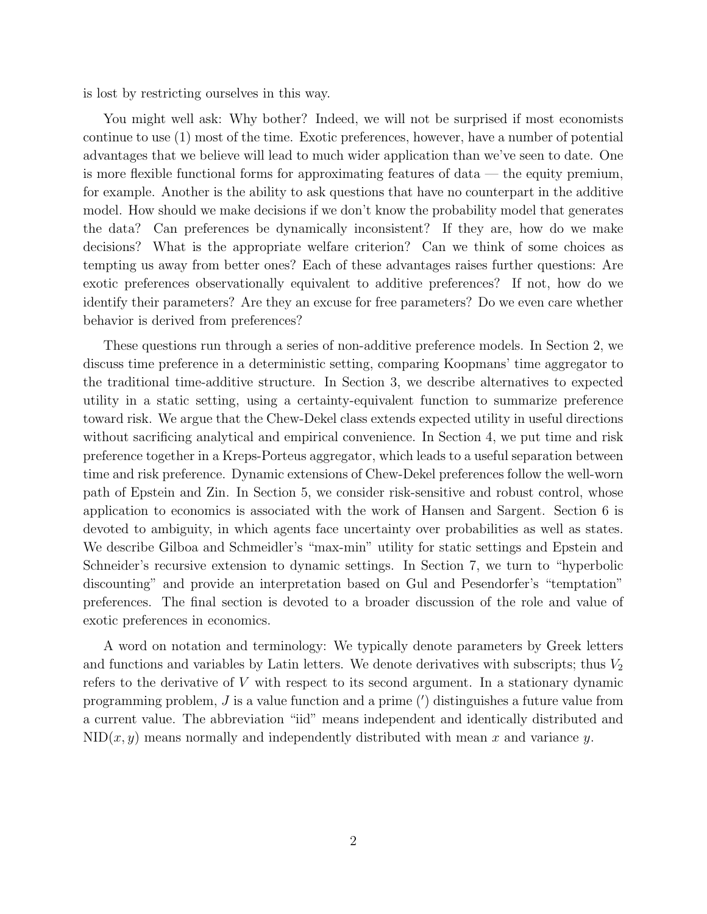is lost by restricting ourselves in this way.

You might well ask: Why bother? Indeed, we will not be surprised if most economists continue to use (1) most of the time. Exotic preferences, however, have a number of potential advantages that we believe will lead to much wider application than we've seen to date. One is more flexible functional forms for approximating features of data — the equity premium, for example. Another is the ability to ask questions that have no counterpart in the additive model. How should we make decisions if we don't know the probability model that generates the data? Can preferences be dynamically inconsistent? If they are, how do we make decisions? What is the appropriate welfare criterion? Can we think of some choices as tempting us away from better ones? Each of these advantages raises further questions: Are exotic preferences observationally equivalent to additive preferences? If not, how do we identify their parameters? Are they an excuse for free parameters? Do we even care whether behavior is derived from preferences?

These questions run through a series of non-additive preference models. In Section 2, we discuss time preference in a deterministic setting, comparing Koopmans' time aggregator to the traditional time-additive structure. In Section 3, we describe alternatives to expected utility in a static setting, using a certainty-equivalent function to summarize preference toward risk. We argue that the Chew-Dekel class extends expected utility in useful directions without sacrificing analytical and empirical convenience. In Section 4, we put time and risk preference together in a Kreps-Porteus aggregator, which leads to a useful separation between time and risk preference. Dynamic extensions of Chew-Dekel preferences follow the well-worn path of Epstein and Zin. In Section 5, we consider risk-sensitive and robust control, whose application to economics is associated with the work of Hansen and Sargent. Section 6 is devoted to ambiguity, in which agents face uncertainty over probabilities as well as states. We describe Gilboa and Schmeidler's "max-min" utility for static settings and Epstein and Schneider's recursive extension to dynamic settings. In Section 7, we turn to "hyperbolic discounting" and provide an interpretation based on Gul and Pesendorfer's "temptation" preferences. The final section is devoted to a broader discussion of the role and value of exotic preferences in economics.

A word on notation and terminology: We typically denote parameters by Greek letters and functions and variables by Latin letters. We denote derivatives with subscripts; thus  $V_2$ refers to the derivative of  $V$  with respect to its second argument. In a stationary dynamic programming problem,  $J$  is a value function and a prime  $(')$  distinguishes a future value from a current value. The abbreviation "iid" means independent and identically distributed and  $NID(x, y)$  means normally and independently distributed with mean x and variance y.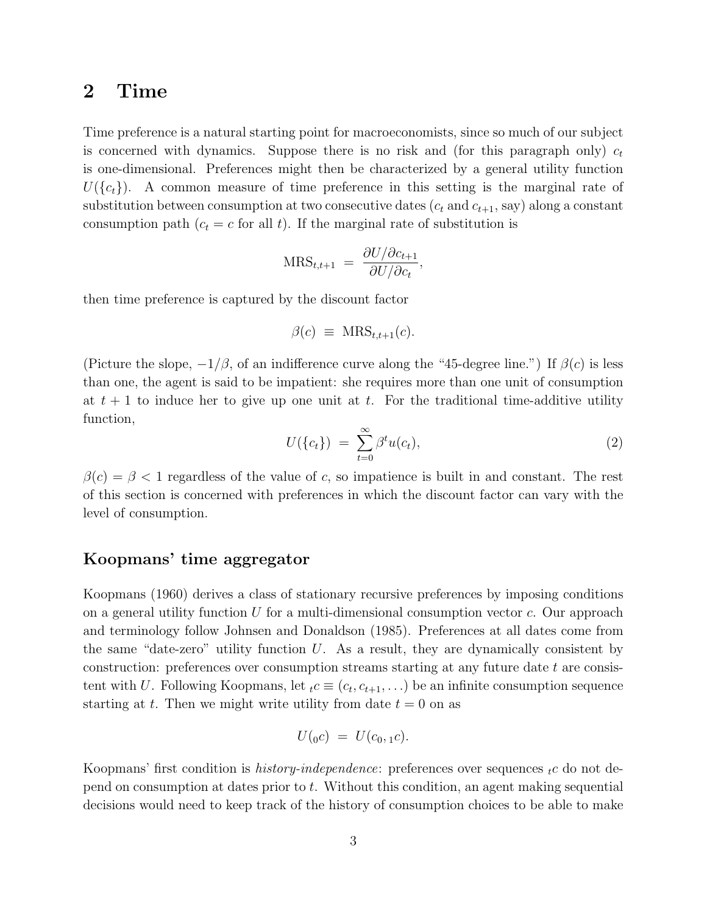## 2 Time

Time preference is a natural starting point for macroeconomists, since so much of our subject is concerned with dynamics. Suppose there is no risk and (for this paragraph only)  $c_t$ is one-dimensional. Preferences might then be characterized by a general utility function  $U({c<sub>t</sub>})$ . A common measure of time preference in this setting is the marginal rate of substitution between consumption at two consecutive dates  $(c_t \text{ and } c_{t+1}, \text{say})$  along a constant consumption path  $(c_t = c$  for all t). If the marginal rate of substitution is

$$
MRS_{t,t+1} = \frac{\partial U/\partial c_{t+1}}{\partial U/\partial c_t},
$$

then time preference is captured by the discount factor

$$
\beta(c) \equiv \text{MRS}_{t,t+1}(c).
$$

(Picture the slope,  $-1/\beta$ , of an indifference curve along the "45-degree line.") If  $\beta(c)$  is less than one, the agent is said to be impatient: she requires more than one unit of consumption at  $t + 1$  to induce her to give up one unit at t. For the traditional time-additive utility function,

$$
U(\{c_t\}) = \sum_{t=0}^{\infty} \beta^t u(c_t), \qquad (2)
$$

 $\beta(c) = \beta < 1$  regardless of the value of c, so impatience is built in and constant. The rest of this section is concerned with preferences in which the discount factor can vary with the level of consumption.

### Koopmans' time aggregator

Koopmans (1960) derives a class of stationary recursive preferences by imposing conditions on a general utility function  $U$  for a multi-dimensional consumption vector  $c$ . Our approach and terminology follow Johnsen and Donaldson (1985). Preferences at all dates come from the same "date-zero" utility function  $U$ . As a result, they are dynamically consistent by construction: preferences over consumption streams starting at any future date  $t$  are consistent with U. Following Koopmans, let  $_t c \equiv (c_t, c_{t+1}, \ldots)$  be an infinite consumption sequence starting at t. Then we might write utility from date  $t = 0$  on as

$$
U({}_{0}c) = U(c_{0}, {}_{1}c).
$$

Koopmans' first condition is *history-independence*: preferences over sequences  $_{t}c$  do not depend on consumption at dates prior to t. Without this condition, an agent making sequential decisions would need to keep track of the history of consumption choices to be able to make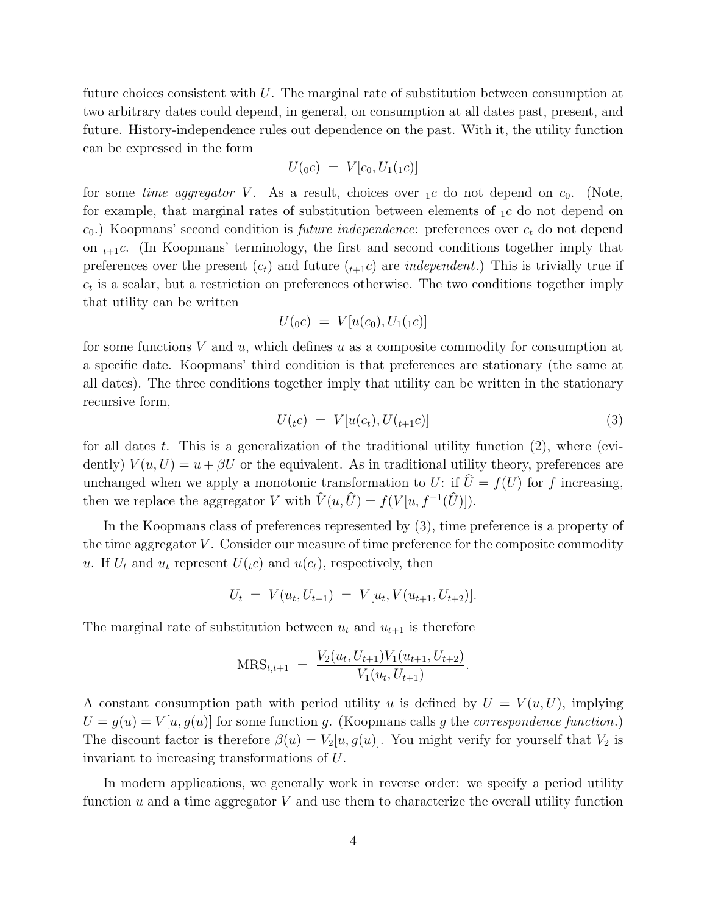future choices consistent with  $U$ . The marginal rate of substitution between consumption at two arbitrary dates could depend, in general, on consumption at all dates past, present, and future. History-independence rules out dependence on the past. With it, the utility function can be expressed in the form

$$
U(\_0c) = V[c_0, U_1(\_1c)]
$$

for some *time aggregator* V. As a result, choices over  $_1c$  do not depend on  $c_0$ . (Note, for example, that marginal rates of substitution between elements of  $_1c$  do not depend on  $c_0$ .) Koopmans' second condition is *future independence*: preferences over  $c_t$  do not depend on  $t_{t+1}$ c. (In Koopmans' terminology, the first and second conditions together imply that preferences over the present  $(c_t)$  and future  $(t_{t+1}c)$  are *independent*.) This is trivially true if  $c_t$  is a scalar, but a restriction on preferences otherwise. The two conditions together imply that utility can be written

$$
U(_0c) = V[u(c_0), U_1(_1c)]
$$

for some functions  $V$  and  $u$ , which defines  $u$  as a composite commodity for consumption at a specific date. Koopmans' third condition is that preferences are stationary (the same at all dates). The three conditions together imply that utility can be written in the stationary recursive form,

$$
U(tc) = V[u(c_t), U(t_{+1}c)] \tag{3}
$$

for all dates t. This is a generalization of the traditional utility function  $(2)$ , where (evidently)  $V(u, U) = u + \beta U$  or the equivalent. As in traditional utility theory, preferences are unchanged when we apply a monotonic transformation to U: if  $\hat{U} = f(U)$  for f increasing. then we replace the aggregator V with  $\hat{V}(u, \hat{U}) = f(V[u, f^{-1}(\hat{U})])$ .

In the Koopmans class of preferences represented by (3), time preference is a property of the time aggregator  $V$ . Consider our measure of time preference for the composite commodity u. If  $U_t$  and  $u_t$  represent  $U(\mathfrak{c}_t)$  and  $u(\mathfrak{c}_t)$ , respectively, then

$$
U_t = V(u_t, U_{t+1}) = V[u_t, V(u_{t+1}, U_{t+2})].
$$

The marginal rate of substitution between  $u_t$  and  $u_{t+1}$  is therefore

$$
MRS_{t,t+1} = \frac{V_2(u_t, U_{t+1})V_1(u_{t+1}, U_{t+2})}{V_1(u_t, U_{t+1})}.
$$

A constant consumption path with period utility u is defined by  $U = V(u, U)$ , implying  $U = g(u) = V[u, g(u)]$  for some function g. (Koopmans calls g the *correspondence function*.) The discount factor is therefore  $\beta(u) = V_2[u, g(u)]$ . You might verify for yourself that  $V_2$  is invariant to increasing transformations of U.

In modern applications, we generally work in reverse order: we specify a period utility function  $u$  and a time aggregator  $V$  and use them to characterize the overall utility function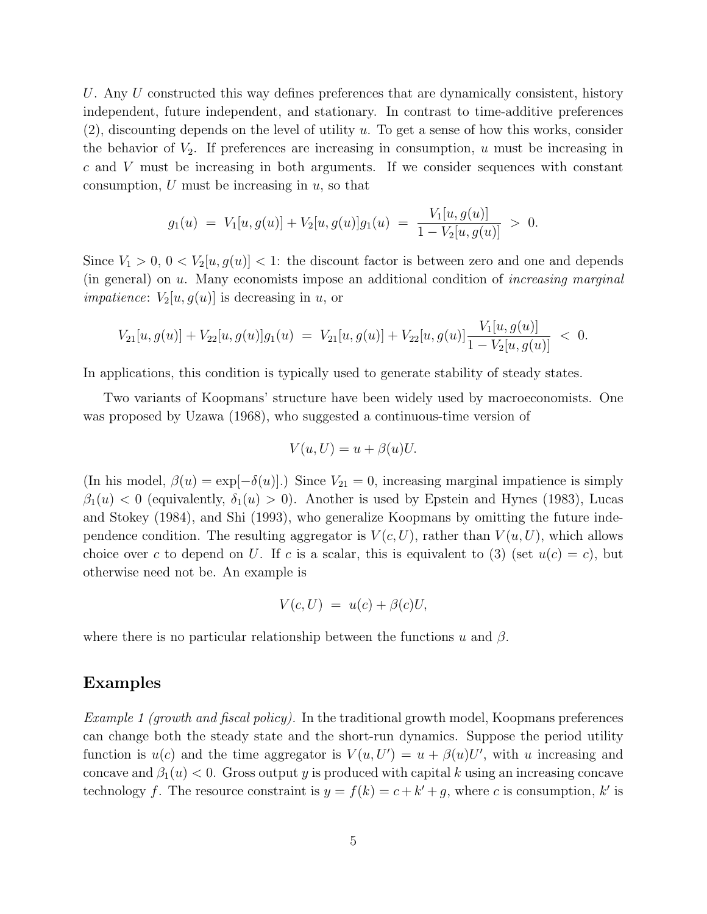U. Any U constructed this way defines preferences that are dynamically consistent, history independent, future independent, and stationary. In contrast to time-additive preferences  $(2)$ , discounting depends on the level of utility u. To get a sense of how this works, consider the behavior of  $V_2$ . If preferences are increasing in consumption, u must be increasing in  $c$  and  $V$  must be increasing in both arguments. If we consider sequences with constant consumption,  $U$  must be increasing in  $u$ , so that

$$
g_1(u) = V_1[u, g(u)] + V_2[u, g(u)]g_1(u) = \frac{V_1[u, g(u)]}{1 - V_2[u, g(u)]} > 0.
$$

Since  $V_1 > 0$ ,  $0 < V_2[u, g(u)] < 1$ : the discount factor is between zero and one and depends (in general) on u. Many economists impose an additional condition of increasing marginal *impatience:*  $V_2[u, g(u)]$  is decreasing in u, or

$$
V_{21}[u,g(u)] + V_{22}[u,g(u)]g_1(u) = V_{21}[u,g(u)] + V_{22}[u,g(u)]\frac{V_1[u,g(u)]}{1 - V_2[u,g(u)]} < 0.
$$

In applications, this condition is typically used to generate stability of steady states.

Two variants of Koopmans' structure have been widely used by macroeconomists. One was proposed by Uzawa (1968), who suggested a continuous-time version of

$$
V(u, U) = u + \beta(u)U.
$$

(In his model,  $\beta(u) = \exp[-\delta(u)]$ .) Since  $V_{21} = 0$ , increasing marginal impatience is simply  $\beta_1(u) < 0$  (equivalently,  $\delta_1(u) > 0$ ). Another is used by Epstein and Hynes (1983), Lucas and Stokey (1984), and Shi (1993), who generalize Koopmans by omitting the future independence condition. The resulting aggregator is  $V(c, U)$ , rather than  $V(u, U)$ , which allows choice over c to depend on U. If c is a scalar, this is equivalent to (3) (set  $u(c) = c$ ), but otherwise need not be. An example is

$$
V(c, U) = u(c) + \beta(c)U,
$$

where there is no particular relationship between the functions u and  $\beta$ .

#### Examples

Example 1 (growth and fiscal policy). In the traditional growth model, Koopmans preferences can change both the steady state and the short-run dynamics. Suppose the period utility function is  $u(c)$  and the time aggregator is  $V(u, U') = u + \beta(u)U'$ , with u increasing and concave and  $\beta_1(u) < 0$ . Gross output y is produced with capital k using an increasing concave technology f. The resource constraint is  $y = f(k) = c + k' + g$ , where c is consumption, k' is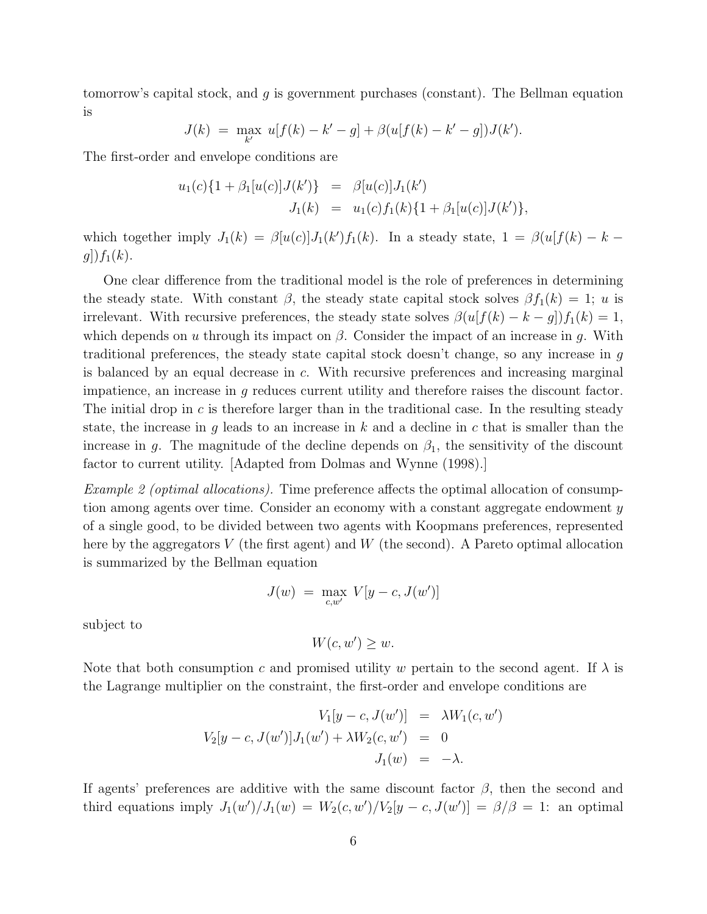tomorrow's capital stock, and  $g$  is government purchases (constant). The Bellman equation is

$$
J(k) = \max_{k'} u[f(k) - k' - g] + \beta(u[f(k) - k' - g])J(k').
$$

The first-order and envelope conditions are

$$
u_1(c)\{1+\beta_1[u(c)]J(k')\} = \beta[u(c)]J_1(k')
$$
  

$$
J_1(k) = u_1(c)f_1(k)\{1+\beta_1[u(c)]J(k')\},
$$

which together imply  $J_1(k) = \beta[u(c)]J_1(k')f_1(k)$ . In a steady state,  $1 = \beta(u[f(k) - k - \ell(k))]$  $g$ ]) $f_1(k)$ .

One clear difference from the traditional model is the role of preferences in determining the steady state. With constant  $\beta$ , the steady state capital stock solves  $\beta f_1(k) = 1$ ; u is irrelevant. With recursive preferences, the steady state solves  $\beta(u[f(k) - k - g])f_1(k) = 1$ , which depends on u through its impact on  $\beta$ . Consider the impact of an increase in g. With traditional preferences, the steady state capital stock doesn't change, so any increase in g is balanced by an equal decrease in c. With recursive preferences and increasing marginal impatience, an increase in g reduces current utility and therefore raises the discount factor. The initial drop in c is therefore larger than in the traditional case. In the resulting steady state, the increase in g leads to an increase in k and a decline in c that is smaller than the increase in g. The magnitude of the decline depends on  $\beta_1$ , the sensitivity of the discount factor to current utility. [Adapted from Dolmas and Wynne (1998).]

Example 2 (optimal allocations). Time preference affects the optimal allocation of consumption among agents over time. Consider an economy with a constant aggregate endowment y of a single good, to be divided between two agents with Koopmans preferences, represented here by the aggregators  $V$  (the first agent) and  $W$  (the second). A Pareto optimal allocation is summarized by the Bellman equation

$$
J(w) = \max_{c,w'} V[y - c, J(w')]
$$

subject to

$$
W(c, w') \geq w.
$$

Note that both consumption c and promised utility w pertain to the second agent. If  $\lambda$  is the Lagrange multiplier on the constraint, the first-order and envelope conditions are

$$
V_1[y - c, J(w')] = \lambda W_1(c, w')
$$
  

$$
V_2[y - c, J(w')]J_1(w') + \lambda W_2(c, w') = 0
$$
  

$$
J_1(w) = -\lambda.
$$

If agents' preferences are additive with the same discount factor  $\beta$ , then the second and third equations imply  $J_1(w')/J_1(w) = W_2(c, w')/V_2[y - c, J(w')] = \beta/\beta = 1$ : an optimal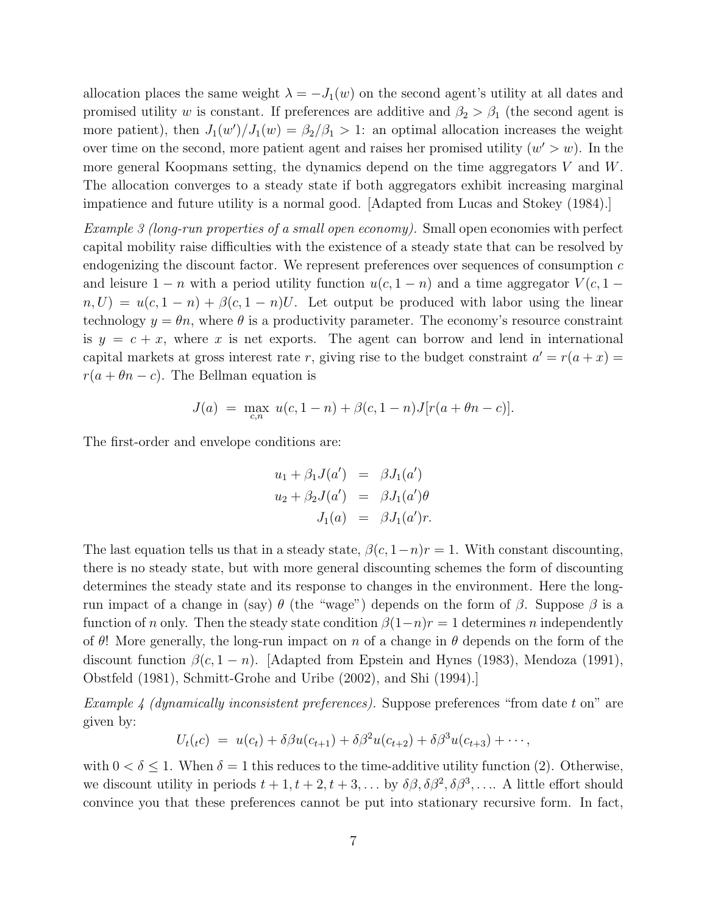allocation places the same weight  $\lambda = -J_1(w)$  on the second agent's utility at all dates and promised utility w is constant. If preferences are additive and  $\beta_2 > \beta_1$  (the second agent is more patient), then  $J_1(w')/J_1(w) = \beta_2/\beta_1 > 1$ : an optimal allocation increases the weight over time on the second, more patient agent and raises her promised utility  $(w' > w)$ . In the more general Koopmans setting, the dynamics depend on the time aggregators V and W. The allocation converges to a steady state if both aggregators exhibit increasing marginal impatience and future utility is a normal good. [Adapted from Lucas and Stokey (1984).]

Example 3 (long-run properties of a small open economy). Small open economies with perfect capital mobility raise difficulties with the existence of a steady state that can be resolved by endogenizing the discount factor. We represent preferences over sequences of consumption c and leisure  $1 - n$  with a period utility function  $u(c, 1 - n)$  and a time aggregator  $V(c, 1 - n)$  $n, U = u(c, 1 - n) + \beta(c, 1 - n)U$ . Let output be produced with labor using the linear technology  $y = \theta n$ , where  $\theta$  is a productivity parameter. The economy's resource constraint is  $y = c + x$ , where x is net exports. The agent can borrow and lend in international capital markets at gross interest rate r, giving rise to the budget constraint  $a' = r(a + x) =$  $r(a + \theta n - c)$ . The Bellman equation is

$$
J(a) = \max_{c,n} u(c, 1-n) + \beta(c, 1-n)J[r(a + \theta n - c)].
$$

The first-order and envelope conditions are:

$$
u_1 + \beta_1 J(a') = \beta J_1(a')
$$
  
\n
$$
u_2 + \beta_2 J(a') = \beta J_1(a')\theta
$$
  
\n
$$
J_1(a) = \beta J_1(a')r.
$$

The last equation tells us that in a steady state,  $\beta(c, 1-n)r = 1$ . With constant discounting, there is no steady state, but with more general discounting schemes the form of discounting determines the steady state and its response to changes in the environment. Here the longrun impact of a change in (say) θ (the "wage") depends on the form of β. Suppose β is a function of n only. Then the steady state condition  $\beta(1-n)r=1$  determines n independently of  $\theta$ ! More generally, the long-run impact on n of a change in  $\theta$  depends on the form of the discount function  $\beta(c, 1 - n)$ . [Adapted from Epstein and Hynes (1983), Mendoza (1991), Obstfeld (1981), Schmitt-Grohe and Uribe (2002), and Shi (1994).]

Example 4 (dynamically inconsistent preferences). Suppose preferences "from date t on" are given by:

$$
U_t({}_t c) = u(c_t) + \delta \beta u(c_{t+1}) + \delta \beta^2 u(c_{t+2}) + \delta \beta^3 u(c_{t+3}) + \cdots,
$$

with  $0 < \delta \leq 1$ . When  $\delta = 1$  this reduces to the time-additive utility function (2). Otherwise, we discount utility in periods  $t + 1, t + 2, t + 3, \ldots$  by  $\delta\beta, \delta\beta^2, \delta\beta^3, \ldots$ . A little effort should convince you that these preferences cannot be put into stationary recursive form. In fact,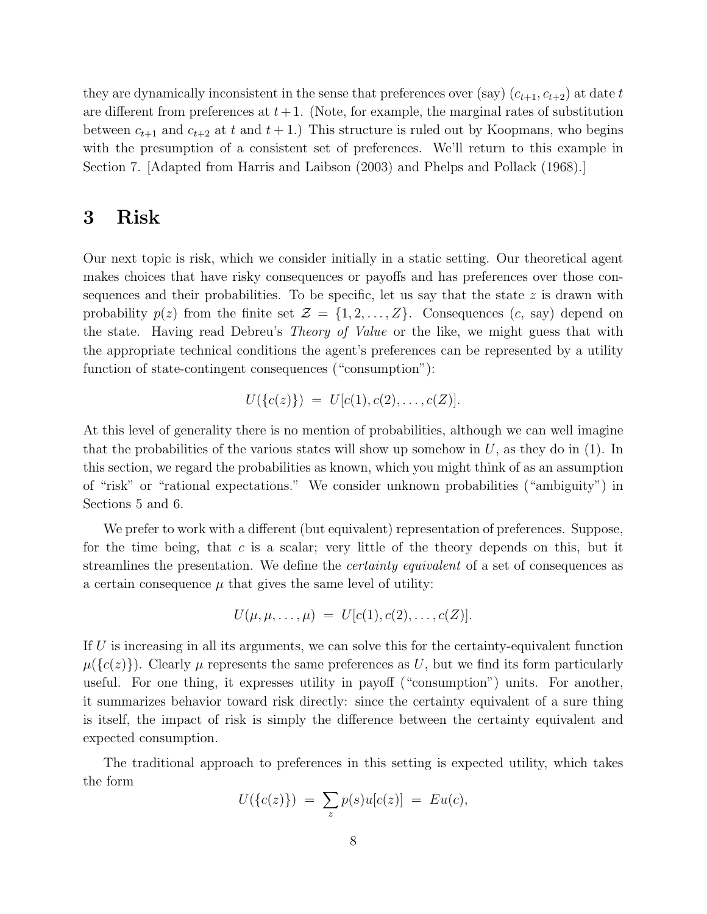they are dynamically inconsistent in the sense that preferences over (say)  $(c_{t+1}, c_{t+2})$  at date t are different from preferences at  $t + 1$ . (Note, for example, the marginal rates of substitution between  $c_{t+1}$  and  $c_{t+2}$  at t and  $t+1$ .) This structure is ruled out by Koopmans, who begins with the presumption of a consistent set of preferences. We'll return to this example in Section 7. [Adapted from Harris and Laibson (2003) and Phelps and Pollack (1968).]

## 3 Risk

Our next topic is risk, which we consider initially in a static setting. Our theoretical agent makes choices that have risky consequences or payoffs and has preferences over those consequences and their probabilities. To be specific, let us say that the state  $z$  is drawn with probability  $p(z)$  from the finite set  $\mathcal{Z} = \{1, 2, ..., Z\}$ . Consequences  $(c, say)$  depend on the state. Having read Debreu's Theory of Value or the like, we might guess that with the appropriate technical conditions the agent's preferences can be represented by a utility function of state-contingent consequences ("consumption"):

$$
U(\{c(z)\}) = U[c(1), c(2), \ldots, c(Z)].
$$

At this level of generality there is no mention of probabilities, although we can well imagine that the probabilities of the various states will show up somehow in  $U$ , as they do in (1). In this section, we regard the probabilities as known, which you might think of as an assumption of "risk" or "rational expectations." We consider unknown probabilities ("ambiguity") in Sections 5 and 6.

We prefer to work with a different (but equivalent) representation of preferences. Suppose, for the time being, that c is a scalar; very little of the theory depends on this, but it streamlines the presentation. We define the certainty equivalent of a set of consequences as a certain consequence  $\mu$  that gives the same level of utility:

$$
U(\mu, \mu, \ldots, \mu) = U[c(1), c(2), \ldots, c(Z)].
$$

If  $U$  is increasing in all its arguments, we can solve this for the certainty-equivalent function  $\mu({c(z)})$ . Clearly  $\mu$  represents the same preferences as U, but we find its form particularly useful. For one thing, it expresses utility in payoff ("consumption") units. For another, it summarizes behavior toward risk directly: since the certainty equivalent of a sure thing is itself, the impact of risk is simply the difference between the certainty equivalent and expected consumption.

The traditional approach to preferences in this setting is expected utility, which takes the form

$$
U(\{c(z)\}) = \sum_{z} p(s)u[c(z)] = Eu(c),
$$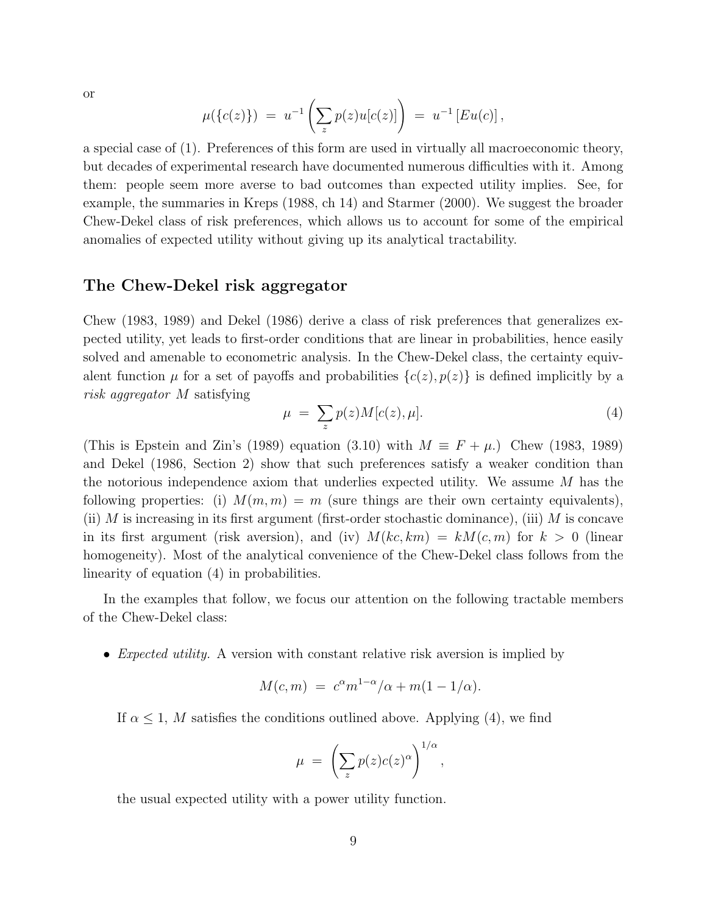or

$$
\mu({c(z)}) = u^{-1}\left(\sum_{z} p(z)u[c(z)]\right) = u^{-1}[Eu(c)],
$$

a special case of (1). Preferences of this form are used in virtually all macroeconomic theory, but decades of experimental research have documented numerous difficulties with it. Among them: people seem more averse to bad outcomes than expected utility implies. See, for example, the summaries in Kreps (1988, ch 14) and Starmer (2000). We suggest the broader Chew-Dekel class of risk preferences, which allows us to account for some of the empirical anomalies of expected utility without giving up its analytical tractability.

### The Chew-Dekel risk aggregator

Chew (1983, 1989) and Dekel (1986) derive a class of risk preferences that generalizes expected utility, yet leads to first-order conditions that are linear in probabilities, hence easily solved and amenable to econometric analysis. In the Chew-Dekel class, the certainty equivalent function  $\mu$  for a set of payoffs and probabilities  $\{c(z), p(z)\}\$ is defined implicitly by a risk aggregator M satisfying

$$
\mu = \sum_{z} p(z) M[c(z), \mu]. \tag{4}
$$

(This is Epstein and Zin's (1989) equation (3.10) with  $M \equiv F + \mu$ .) Chew (1983, 1989) and Dekel (1986, Section 2) show that such preferences satisfy a weaker condition than the notorious independence axiom that underlies expected utility. We assume M has the following properties: (i)  $M(m, m) = m$  (sure things are their own certainty equivalents), (ii)  $M$  is increasing in its first argument (first-order stochastic dominance), (iii)  $M$  is concave in its first argument (risk aversion), and (iv)  $M(kc, km) = kM(c, m)$  for  $k > 0$  (linear homogeneity). Most of the analytical convenience of the Chew-Dekel class follows from the linearity of equation (4) in probabilities.

In the examples that follow, we focus our attention on the following tractable members of the Chew-Dekel class:

• Expected utility. A version with constant relative risk aversion is implied by

$$
M(c, m) = c^{\alpha} m^{1-\alpha}/\alpha + m(1 - 1/\alpha).
$$

If  $\alpha \leq 1$ , M satisfies the conditions outlined above. Applying (4), we find

$$
\mu = \left(\sum_{z} p(z)c(z)^{\alpha}\right)^{1/\alpha},
$$

the usual expected utility with a power utility function.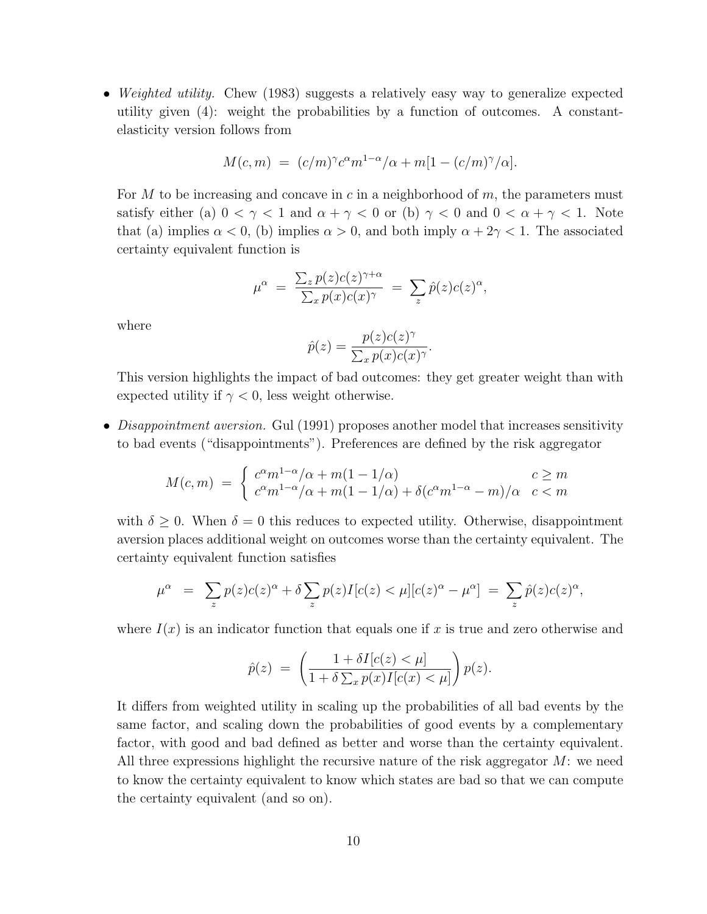• Weighted utility. Chew (1983) suggests a relatively easy way to generalize expected utility given (4): weight the probabilities by a function of outcomes. A constantelasticity version follows from

$$
M(c,m) = (c/m)^{\gamma} c^{\alpha} m^{1-\alpha}/\alpha + m[1 - (c/m)^{\gamma}/\alpha].
$$

For M to be increasing and concave in c in a neighborhood of  $m$ , the parameters must satisfy either (a)  $0 < \gamma < 1$  and  $\alpha + \gamma < 0$  or (b)  $\gamma < 0$  and  $0 < \alpha + \gamma < 1$ . Note that (a) implies  $\alpha < 0$ , (b) implies  $\alpha > 0$ , and both imply  $\alpha + 2\gamma < 1$ . The associated certainty equivalent function is

$$
\mu^{\alpha} = \frac{\sum_{z} p(z)c(z)^{\gamma+\alpha}}{\sum_{x} p(x)c(x)^{\gamma}} = \sum_{z} \hat{p}(z)c(z)^{\alpha},
$$

where

$$
\hat{p}(z) = \frac{p(z)c(z)^{\gamma}}{\sum_{x} p(x)c(x)^{\gamma}}.
$$

This version highlights the impact of bad outcomes: they get greater weight than with expected utility if  $\gamma < 0$ , less weight otherwise.

• Disappointment aversion. Gul  $(1991)$  proposes another model that increases sensitivity to bad events ("disappointments"). Preferences are defined by the risk aggregator

$$
M(c,m) = \begin{cases} c^{\alpha}m^{1-\alpha}/\alpha + m(1 - 1/\alpha) & c \ge m\\ c^{\alpha}m^{1-\alpha}/\alpha + m(1 - 1/\alpha) + \delta(c^{\alpha}m^{1-\alpha} - m)/\alpha & c < m \end{cases}
$$

with  $\delta \geq 0$ . When  $\delta = 0$  this reduces to expected utility. Otherwise, disappointment aversion places additional weight on outcomes worse than the certainty equivalent. The certainty equivalent function satisfies

$$
\mu^{\alpha} = \sum_{z} p(z)c(z)^{\alpha} + \delta \sum_{z} p(z)I[c(z) < \mu][c(z)^{\alpha} - \mu^{\alpha}] = \sum_{z} \hat{p}(z)c(z)^{\alpha},
$$

where  $I(x)$  is an indicator function that equals one if x is true and zero otherwise and

$$
\hat{p}(z) = \left(\frac{1 + \delta I[c(z) < \mu]}{1 + \delta \sum_{x} p(x)I[c(x) < \mu]}\right) p(z).
$$

It differs from weighted utility in scaling up the probabilities of all bad events by the same factor, and scaling down the probabilities of good events by a complementary factor, with good and bad defined as better and worse than the certainty equivalent. All three expressions highlight the recursive nature of the risk aggregator  $M$ : we need to know the certainty equivalent to know which states are bad so that we can compute the certainty equivalent (and so on).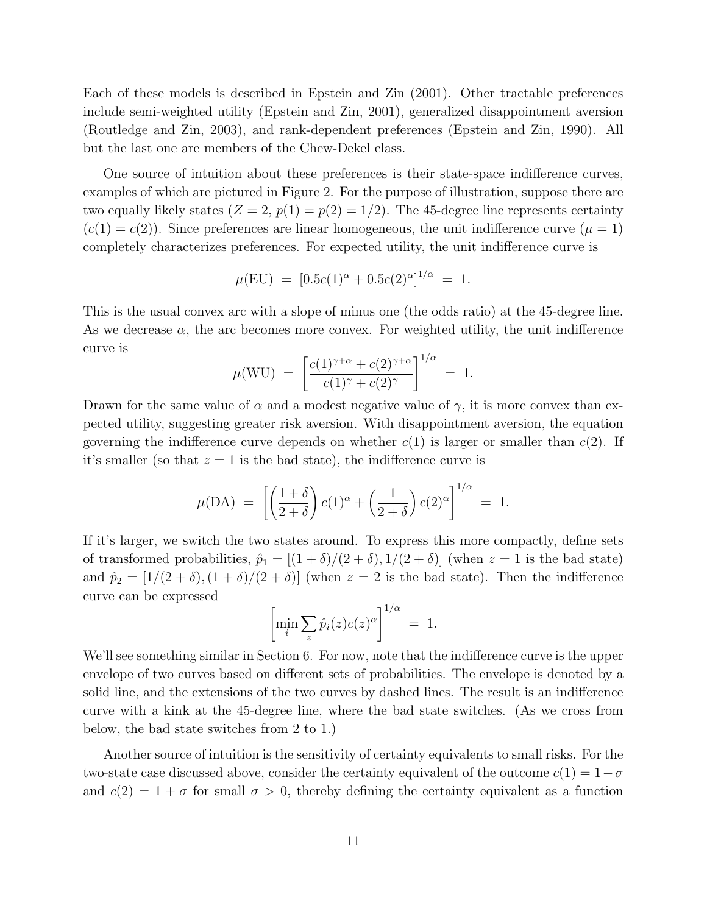Each of these models is described in Epstein and Zin (2001). Other tractable preferences include semi-weighted utility (Epstein and Zin, 2001), generalized disappointment aversion (Routledge and Zin, 2003), and rank-dependent preferences (Epstein and Zin, 1990). All but the last one are members of the Chew-Dekel class.

One source of intuition about these preferences is their state-space indifference curves, examples of which are pictured in Figure 2. For the purpose of illustration, suppose there are two equally likely states  $(Z = 2, p(1) = p(2) = 1/2)$ . The 45-degree line represents certainty  $(c(1) = c(2))$ . Since preferences are linear homogeneous, the unit indifference curve  $(\mu = 1)$ completely characterizes preferences. For expected utility, the unit indifference curve is

$$
\mu(\text{EU}) = [0.5c(1)^{\alpha} + 0.5c(2)^{\alpha}]^{1/\alpha} = 1.
$$

This is the usual convex arc with a slope of minus one (the odds ratio) at the 45-degree line. As we decrease  $\alpha$ , the arc becomes more convex. For weighted utility, the unit indifference curve is

$$
\mu(\text{WU}) = \left[\frac{c(1)^{\gamma+\alpha} + c(2)^{\gamma+\alpha}}{c(1)^{\gamma} + c(2)^{\gamma}}\right]^{1/\alpha} = 1.
$$

Drawn for the same value of  $\alpha$  and a modest negative value of  $\gamma$ , it is more convex than expected utility, suggesting greater risk aversion. With disappointment aversion, the equation governing the indifference curve depends on whether  $c(1)$  is larger or smaller than  $c(2)$ . If it's smaller (so that  $z = 1$  is the bad state), the indifference curve is

$$
\mu(\text{DA}) = \left[ \left( \frac{1+\delta}{2+\delta} \right) c(1)^{\alpha} + \left( \frac{1}{2+\delta} \right) c(2)^{\alpha} \right]^{1/\alpha} = 1.
$$

If it's larger, we switch the two states around. To express this more compactly, define sets of transformed probabilities,  $\hat{p}_1 = [(1 + \delta)/(2 + \delta), 1/(2 + \delta)]$  (when  $z = 1$  is the bad state) and  $\hat{p}_2 = [1/(2 + \delta), (1 + \delta)/(2 + \delta)]$  (when  $z = 2$  is the bad state). Then the indifference curve can be expressed

$$
\left[\min_i \sum_z \hat{p}_i(z)c(z)^{\alpha}\right]^{1/\alpha} = 1.
$$

We'll see something similar in Section 6. For now, note that the indifference curve is the upper envelope of two curves based on different sets of probabilities. The envelope is denoted by a solid line, and the extensions of the two curves by dashed lines. The result is an indifference curve with a kink at the 45-degree line, where the bad state switches. (As we cross from below, the bad state switches from 2 to 1.)

Another source of intuition is the sensitivity of certainty equivalents to small risks. For the two-state case discussed above, consider the certainty equivalent of the outcome  $c(1) = 1-\sigma$ and  $c(2) = 1 + \sigma$  for small  $\sigma > 0$ , thereby defining the certainty equivalent as a function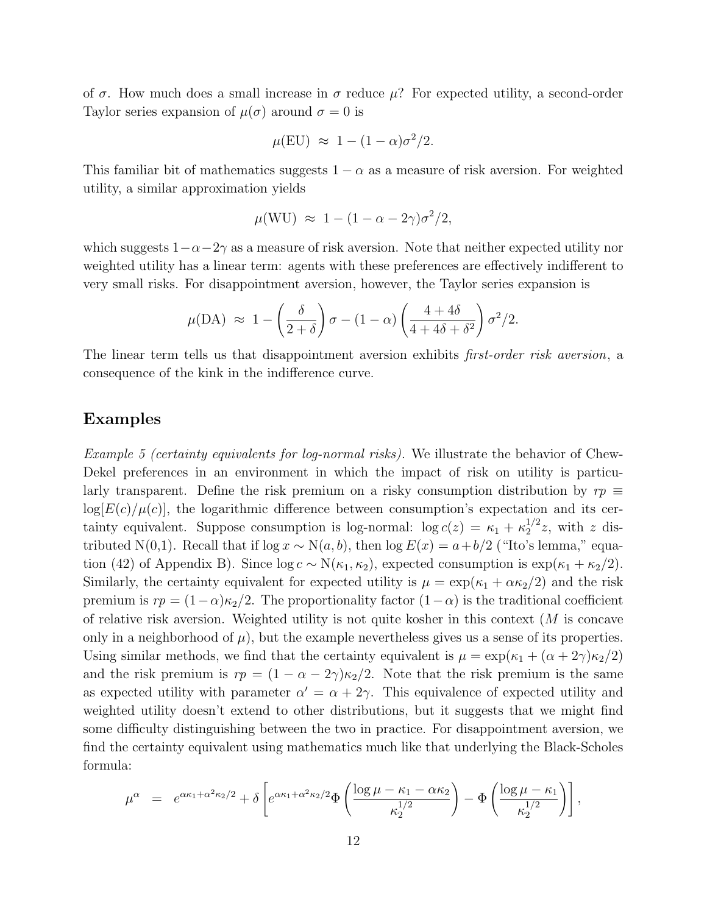of  $\sigma$ . How much does a small increase in  $\sigma$  reduce  $\mu$ ? For expected utility, a second-order Taylor series expansion of  $\mu(\sigma)$  around  $\sigma = 0$  is

$$
\mu(\text{EU}) \approx 1 - (1 - \alpha)\sigma^2/2.
$$

This familiar bit of mathematics suggests  $1 - \alpha$  as a measure of risk aversion. For weighted utility, a similar approximation yields

$$
\mu(\text{WU}) \approx 1 - (1 - \alpha - 2\gamma)\sigma^2/2,
$$

which suggests  $1-\alpha-2\gamma$  as a measure of risk aversion. Note that neither expected utility nor weighted utility has a linear term: agents with these preferences are effectively indifferent to very small risks. For disappointment aversion, however, the Taylor series expansion is

$$
\mu(\text{DA}) \approx 1 - \left(\frac{\delta}{2+\delta}\right)\sigma - (1-\alpha)\left(\frac{4+4\delta}{4+4\delta+\delta^2}\right)\sigma^2/2.
$$

The linear term tells us that disappointment aversion exhibits *first-order risk aversion*, a consequence of the kink in the indifference curve.

#### Examples

Example 5 (certainty equivalents for log-normal risks). We illustrate the behavior of Chew-Dekel preferences in an environment in which the impact of risk on utility is particularly transparent. Define the risk premium on a risky consumption distribution by  $rp \equiv$  $log[E(c)/\mu(c)]$ , the logarithmic difference between consumption's expectation and its certainty equivalent. Suppose consumption is log-normal:  $\log c(z) = \kappa_1 + \kappa_2^{1/2} z$ , with z distributed N(0,1). Recall that if  $\log x \sim N(a, b)$ , then  $\log E(x) = a + b/2$  ("Ito's lemma," equation (42) of Appendix B). Since  $\log c \sim N(\kappa_1, \kappa_2)$ , expected consumption is  $\exp(\kappa_1 + \kappa_2/2)$ . Similarly, the certainty equivalent for expected utility is  $\mu = \exp(\kappa_1 + \alpha \kappa_2/2)$  and the risk premium is  $rp = (1-\alpha)\kappa_2/2$ . The proportionality factor  $(1-\alpha)$  is the traditional coefficient of relative risk aversion. Weighted utility is not quite kosher in this context  $(M$  is concave only in a neighborhood of  $\mu$ ), but the example nevertheless gives us a sense of its properties. Using similar methods, we find that the certainty equivalent is  $\mu = \exp(\kappa_1 + (\alpha + 2\gamma)\kappa_2/2)$ and the risk premium is  $rp = (1 - \alpha - 2\gamma)\kappa_2/2$ . Note that the risk premium is the same as expected utility with parameter  $\alpha' = \alpha + 2\gamma$ . This equivalence of expected utility and weighted utility doesn't extend to other distributions, but it suggests that we might find some difficulty distinguishing between the two in practice. For disappointment aversion, we find the certainty equivalent using mathematics much like that underlying the Black-Scholes formula:

$$
\mu^{\alpha} = e^{\alpha \kappa_1 + \alpha^2 \kappa_2/2} + \delta \left[ e^{\alpha \kappa_1 + \alpha^2 \kappa_2/2} \Phi \left( \frac{\log \mu - \kappa_1 - \alpha \kappa_2}{\kappa_2^{1/2}} \right) - \Phi \left( \frac{\log \mu - \kappa_1}{\kappa_2^{1/2}} \right) \right],
$$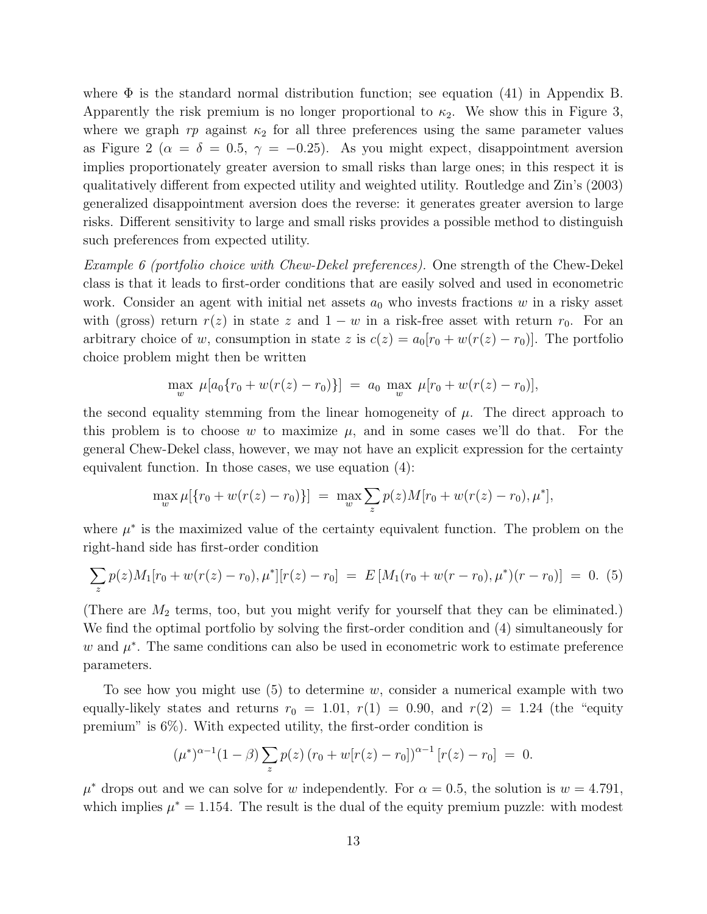where  $\Phi$  is the standard normal distribution function; see equation (41) in Appendix B. Apparently the risk premium is no longer proportional to  $\kappa_2$ . We show this in Figure 3, where we graph  $rp$  against  $\kappa_2$  for all three preferences using the same parameter values as Figure 2 ( $\alpha = \delta = 0.5$ ,  $\gamma = -0.25$ ). As you might expect, disappointment aversion implies proportionately greater aversion to small risks than large ones; in this respect it is qualitatively different from expected utility and weighted utility. Routledge and Zin's (2003) generalized disappointment aversion does the reverse: it generates greater aversion to large risks. Different sensitivity to large and small risks provides a possible method to distinguish such preferences from expected utility.

Example 6 (portfolio choice with Chew-Dekel preferences). One strength of the Chew-Dekel class is that it leads to first-order conditions that are easily solved and used in econometric work. Consider an agent with initial net assets  $a_0$  who invests fractions w in a risky asset with (gross) return  $r(z)$  in state z and  $1 - w$  in a risk-free asset with return  $r_0$ . For an arbitrary choice of w, consumption in state z is  $c(z) = a_0[r_0 + w(r(z) - r_0)]$ . The portfolio choice problem might then be written

$$
\max_{w} \mu[a_0\{r_0 + w(r(z) - r_0)\}] = a_0 \max_{w} \mu[r_0 + w(r(z) - r_0)],
$$

the second equality stemming from the linear homogeneity of  $\mu$ . The direct approach to this problem is to choose w to maximize  $\mu$ , and in some cases we'll do that. For the general Chew-Dekel class, however, we may not have an explicit expression for the certainty equivalent function. In those cases, we use equation (4):

$$
\max_{w} \mu[\{r_0 + w(r(z) - r_0)\}] = \max_{w} \sum_{z} p(z)M[r_0 + w(r(z) - r_0), \mu^*],
$$

where  $\mu^*$  is the maximized value of the certainty equivalent function. The problem on the right-hand side has first-order condition

$$
\sum_{z} p(z)M_1[r_0+w(r(z)-r_0),\mu^*][r(z)-r_0] = E\left[M_1(r_0+w(r-r_0),\mu^*)(r-r_0)\right] = 0.
$$
 (5)

(There are  $M_2$  terms, too, but you might verify for yourself that they can be eliminated.) We find the optimal portfolio by solving the first-order condition and (4) simultaneously for w and  $\mu^*$ . The same conditions can also be used in econometric work to estimate preference parameters.

To see how you might use  $(5)$  to determine w, consider a numerical example with two equally-likely states and returns  $r_0 = 1.01$ ,  $r(1) = 0.90$ , and  $r(2) = 1.24$  (the "equity premium" is 6%). With expected utility, the first-order condition is

$$
(\mu^*)^{\alpha-1}(1-\beta)\sum_z p(z) (r_0+w[r(z)-r_0])^{\alpha-1}[r(z)-r_0] = 0.
$$

 $\mu^*$  drops out and we can solve for w independently. For  $\alpha = 0.5$ , the solution is  $w = 4.791$ , which implies  $\mu^* = 1.154$ . The result is the dual of the equity premium puzzle: with modest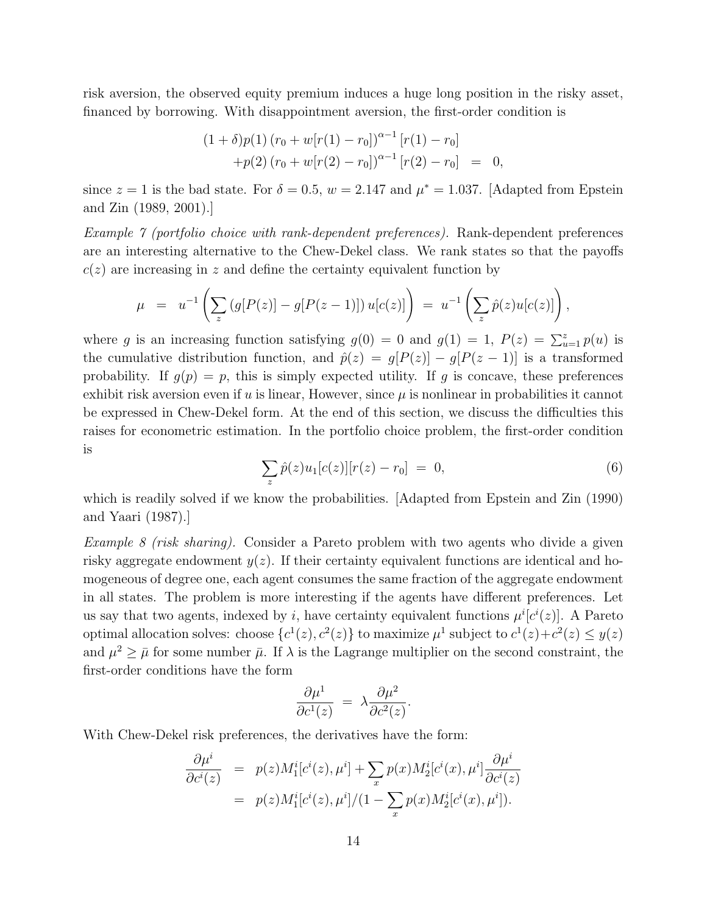risk aversion, the observed equity premium induces a huge long position in the risky asset, financed by borrowing. With disappointment aversion, the first-order condition is

$$
(1 + \delta)p(1) (r_0 + w[r(1) - r_0])^{\alpha - 1} [r(1) - r_0]
$$
  
+ $p(2) (r_0 + w[r(2) - r_0])^{\alpha - 1} [r(2) - r_0] = 0,$ 

since  $z = 1$  is the bad state. For  $\delta = 0.5$ ,  $w = 2.147$  and  $\mu^* = 1.037$ . [Adapted from Epstein and Zin (1989, 2001).]

Example 7 (portfolio choice with rank-dependent preferences). Rank-dependent preferences are an interesting alternative to the Chew-Dekel class. We rank states so that the payoffs  $c(z)$  are increasing in z and define the certainty equivalent function by

$$
\mu = u^{-1} \left( \sum_z (g[P(z)] - g[P(z-1)]) u[c(z)] \right) = u^{-1} \left( \sum_z \hat{p}(z) u[c(z)] \right),
$$

where g is an increasing function satisfying  $g(0) = 0$  and  $g(1) = 1$ ,  $P(z) = \sum_{u=1}^{z} p(u)$  is the cumulative distribution function, and  $\hat{p}(z) = g[P(z)] - g[P(z-1)]$  is a transformed probability. If  $g(p) = p$ , this is simply expected utility. If g is concave, these preferences exhibit risk aversion even if  $u$  is linear, However, since  $\mu$  is nonlinear in probabilities it cannot be expressed in Chew-Dekel form. At the end of this section, we discuss the difficulties this raises for econometric estimation. In the portfolio choice problem, the first-order condition is

$$
\sum_{z} \hat{p}(z)u_1[c(z)][r(z) - r_0] = 0, \tag{6}
$$

which is readily solved if we know the probabilities. [Adapted from Epstein and Zin (1990) and Yaari (1987).]

*Example 8 (risk sharing).* Consider a Pareto problem with two agents who divide a given risky aggregate endowment  $y(z)$ . If their certainty equivalent functions are identical and homogeneous of degree one, each agent consumes the same fraction of the aggregate endowment in all states. The problem is more interesting if the agents have different preferences. Let us say that two agents, indexed by i, have certainty equivalent functions  $\mu^{i}[c^{i}(z)]$ . A Pareto optimal allocation solves: choose  $\{c^1(z), c^2(z)\}\)$  to maximize  $\mu^1$  subject to  $c^1(z) + c^2(z) \leq y(z)$ and  $\mu^2 \geq \bar{\mu}$  for some number  $\bar{\mu}$ . If  $\lambda$  is the Lagrange multiplier on the second constraint, the first-order conditions have the form

$$
\frac{\partial \mu^1}{\partial c^1(z)} = \lambda \frac{\partial \mu^2}{\partial c^2(z)}.
$$

With Chew-Dekel risk preferences, the derivatives have the form:

$$
\frac{\partial \mu^i}{\partial c^i(z)} = p(z)M_1^i[c^i(z), \mu^i] + \sum_x p(x)M_2^i[c^i(x), \mu^i] \frac{\partial \mu^i}{\partial c^i(z)}
$$
  
=  $p(z)M_1^i[c^i(z), \mu^i]/(1 - \sum_x p(x)M_2^i[c^i(x), \mu^i]).$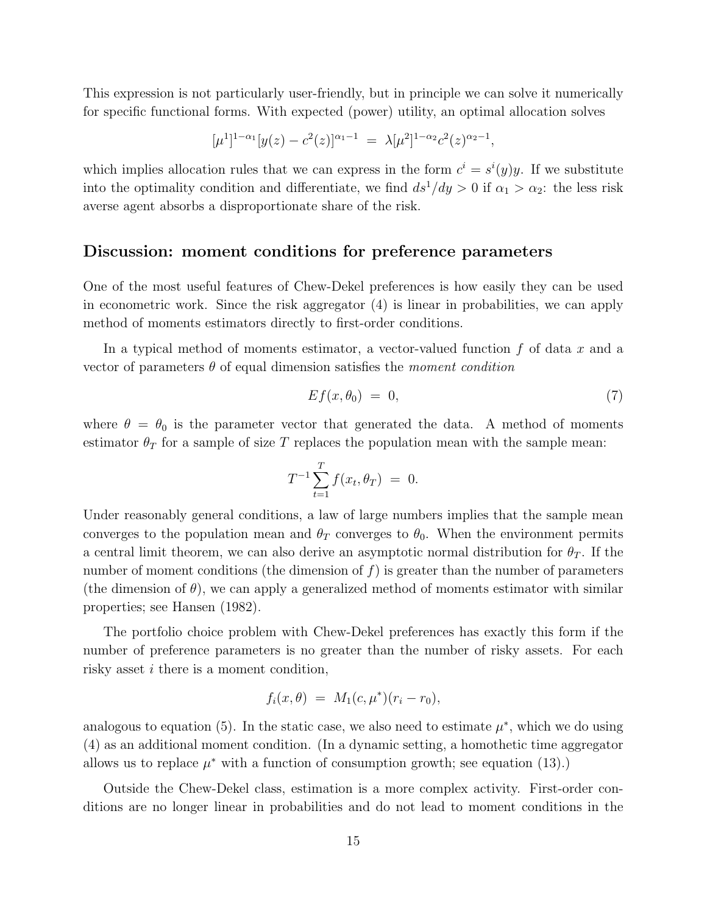This expression is not particularly user-friendly, but in principle we can solve it numerically for specific functional forms. With expected (power) utility, an optimal allocation solves

$$
[\mu^1]^{1-\alpha_1}[y(z)-c^2(z)]^{\alpha_1-1} = \lambda[\mu^2]^{1-\alpha_2}c^2(z)^{\alpha_2-1},
$$

which implies allocation rules that we can express in the form  $c^i = s^i(y)y$ . If we substitute into the optimality condition and differentiate, we find  $ds^1/dy > 0$  if  $\alpha_1 > \alpha_2$ : the less risk averse agent absorbs a disproportionate share of the risk.

#### Discussion: moment conditions for preference parameters

One of the most useful features of Chew-Dekel preferences is how easily they can be used in econometric work. Since the risk aggregator (4) is linear in probabilities, we can apply method of moments estimators directly to first-order conditions.

In a typical method of moments estimator, a vector-valued function  $f$  of data  $x$  and a vector of parameters  $\theta$  of equal dimension satisfies the *moment condition* 

$$
Ef(x, \theta_0) = 0,\t\t(7)
$$

where  $\theta = \theta_0$  is the parameter vector that generated the data. A method of moments estimator  $\theta_T$  for a sample of size T replaces the population mean with the sample mean:

$$
T^{-1} \sum_{t=1}^{T} f(x_t, \theta_T) = 0.
$$

Under reasonably general conditions, a law of large numbers implies that the sample mean converges to the population mean and  $\theta_T$  converges to  $\theta_0$ . When the environment permits a central limit theorem, we can also derive an asymptotic normal distribution for  $\theta_T$ . If the number of moment conditions (the dimension of  $f$ ) is greater than the number of parameters (the dimension of  $\theta$ ), we can apply a generalized method of moments estimator with similar properties; see Hansen (1982).

The portfolio choice problem with Chew-Dekel preferences has exactly this form if the number of preference parameters is no greater than the number of risky assets. For each risky asset i there is a moment condition,

$$
f_i(x,\theta) \ = \ M_1(c,\mu^*)(r_i - r_0),
$$

analogous to equation (5). In the static case, we also need to estimate  $\mu^*$ , which we do using (4) as an additional moment condition. (In a dynamic setting, a homothetic time aggregator allows us to replace  $\mu^*$  with a function of consumption growth; see equation (13).)

Outside the Chew-Dekel class, estimation is a more complex activity. First-order conditions are no longer linear in probabilities and do not lead to moment conditions in the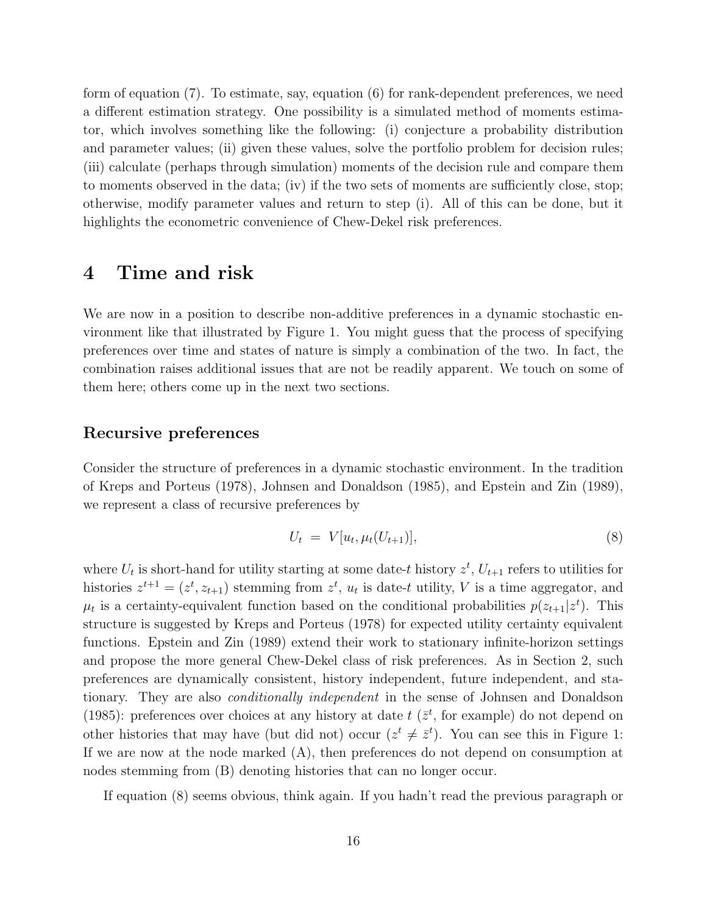form of equation (7). To estimate, say, equation (6) for rank-dependent preferences, we need a different estimation strategy. One possibility is a simulated method of moments estimator, which involves something like the following: (i) conjecture a probability distribution and parameter values; (ii) given these values, solve the portfolio problem for decision rules; (iii) calculate (perhaps through simulation) moments of the decision rule and compare them to moments observed in the data; (iv) if the two sets of moments are sufficiently close, stop; otherwise, modify parameter values and return to step (i). All of this can be done, but it highlights the econometric convenience of Chew-Dekel risk preferences.

## 4 Time and risk

We are now in a position to describe non-additive preferences in a dynamic stochastic environment like that illustrated by Figure 1. You might guess that the process of specifying preferences over time and states of nature is simply a combination of the two. In fact, the combination raises additional issues that are not be readily apparent. We touch on some of them here; others come up in the next two sections.

#### Recursive preferences

Consider the structure of preferences in a dynamic stochastic environment. In the tradition of Kreps and Porteus (1978), Johnsen and Donaldson (1985), and Epstein and Zin (1989), we represent a class of recursive preferences by

$$
U_t = V[u_t, \mu_t(U_{t+1})], \tag{8}
$$

where  $U_t$  is short-hand for utility starting at some date-t history  $z^t$ ,  $U_{t+1}$  refers to utilities for histories  $z^{t+1} = (z^t, z_{t+1})$  stemming from  $z^t$ ,  $u_t$  is date-t utility, V is a time aggregator, and  $\mu_t$  is a certainty-equivalent function based on the conditional probabilities  $p(z_{t+1}|z^t)$ . This structure is suggested by Kreps and Porteus (1978) for expected utility certainty equivalent functions. Epstein and Zin (1989) extend their work to stationary infinite-horizon settings and propose the more general Chew-Dekel class of risk preferences. As in Section 2, such preferences are dynamically consistent, history independent, future independent, and stationary. They are also conditionally independent in the sense of Johnsen and Donaldson (1985): preferences over choices at any history at date  $t\ (\bar{z}^t$ , for example) do not depend on other histories that may have (but did not) occur  $(z^t \neq \bar{z}^t)$ . You can see this in Figure 1: If we are now at the node marked (A), then preferences do not depend on consumption at nodes stemming from (B) denoting histories that can no longer occur.

If equation (8) seems obvious, think again. If you hadn't read the previous paragraph or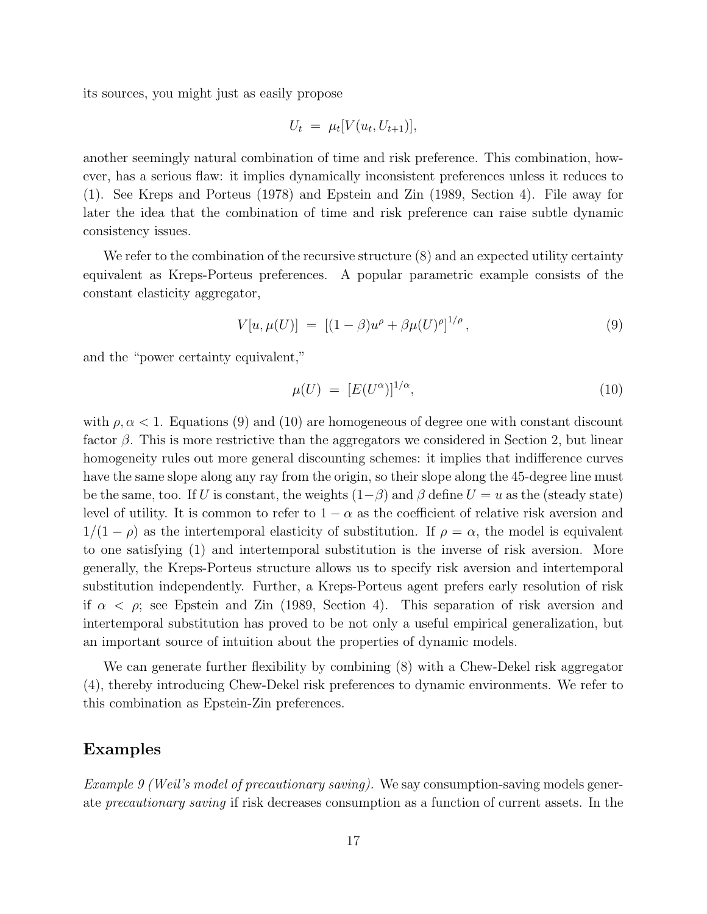its sources, you might just as easily propose

$$
U_t = \mu_t[V(u_t, U_{t+1})],
$$

another seemingly natural combination of time and risk preference. This combination, however, has a serious flaw: it implies dynamically inconsistent preferences unless it reduces to (1). See Kreps and Porteus (1978) and Epstein and Zin (1989, Section 4). File away for later the idea that the combination of time and risk preference can raise subtle dynamic consistency issues.

We refer to the combination of the recursive structure (8) and an expected utility certainty equivalent as Kreps-Porteus preferences. A popular parametric example consists of the constant elasticity aggregator,

$$
V[u, \mu(U)] = [(1 - \beta)u^{\rho} + \beta \mu(U)^{\rho}]^{1/\rho}, \qquad (9)
$$

and the "power certainty equivalent,"

$$
\mu(U) = [E(U^{\alpha})]^{1/\alpha},\tag{10}
$$

with  $\rho, \alpha < 1$ . Equations (9) and (10) are homogeneous of degree one with constant discount factor  $\beta$ . This is more restrictive than the aggregators we considered in Section 2, but linear homogeneity rules out more general discounting schemes: it implies that indifference curves have the same slope along any ray from the origin, so their slope along the 45-degree line must be the same, too. If U is constant, the weights  $(1-\beta)$  and  $\beta$  define  $U = u$  as the (steady state) level of utility. It is common to refer to  $1 - \alpha$  as the coefficient of relative risk aversion and  $1/(1 - \rho)$  as the intertemporal elasticity of substitution. If  $\rho = \alpha$ , the model is equivalent to one satisfying (1) and intertemporal substitution is the inverse of risk aversion. More generally, the Kreps-Porteus structure allows us to specify risk aversion and intertemporal substitution independently. Further, a Kreps-Porteus agent prefers early resolution of risk if  $\alpha < \rho$ ; see Epstein and Zin (1989, Section 4). This separation of risk aversion and intertemporal substitution has proved to be not only a useful empirical generalization, but an important source of intuition about the properties of dynamic models.

We can generate further flexibility by combining (8) with a Chew-Dekel risk aggregator (4), thereby introducing Chew-Dekel risk preferences to dynamic environments. We refer to this combination as Epstein-Zin preferences.

#### Examples

Example 9 (Weil's model of precautionary saving). We say consumption-saving models generate *precautionary saving* if risk decreases consumption as a function of current assets. In the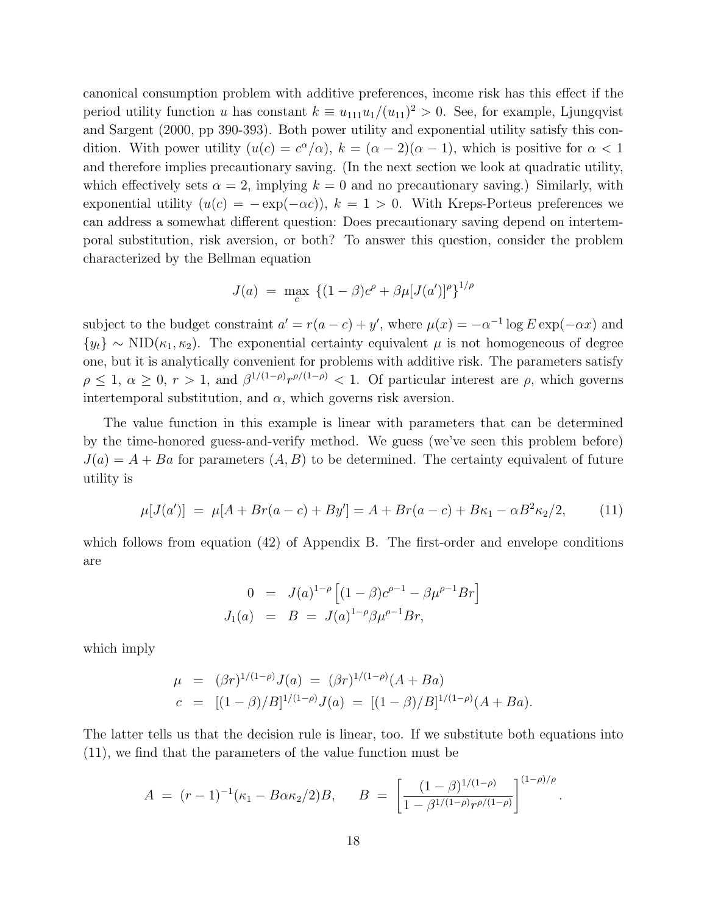canonical consumption problem with additive preferences, income risk has this effect if the period utility function u has constant  $k \equiv u_{111}u_1/(u_{11})^2 > 0$ . See, for example, Ljungqvist and Sargent (2000, pp 390-393). Both power utility and exponential utility satisfy this condition. With power utility  $(u(c) = c^{\alpha}/\alpha)$ ,  $k = (\alpha - 2)(\alpha - 1)$ , which is positive for  $\alpha < 1$ and therefore implies precautionary saving. (In the next section we look at quadratic utility, which effectively sets  $\alpha = 2$ , implying  $k = 0$  and no precautionary saving.) Similarly, with exponential utility  $(u(c) = -e^{c})$ ,  $k = 1 > 0$ . With Kreps-Porteus preferences we can address a somewhat different question: Does precautionary saving depend on intertemporal substitution, risk aversion, or both? To answer this question, consider the problem characterized by the Bellman equation

$$
J(a) = \max_{c} \ \{ (1 - \beta)c^{\rho} + \beta \mu [J(a')]^{\rho} \}^{1/\rho}
$$

subject to the budget constraint  $a' = r(a - c) + y'$ , where  $\mu(x) = -\alpha^{-1} \log E \exp(-\alpha x)$  and  ${y_t} \sim \text{NID}(\kappa_1, \kappa_2)$ . The exponential certainty equivalent  $\mu$  is not homogeneous of degree one, but it is analytically convenient for problems with additive risk. The parameters satisfy  $\rho \leq 1, \ \alpha \geq 0, \ r > 1, \text{ and } \beta^{1/(1-\rho)}r^{\rho/(1-\rho)} < 1.$  Of particular interest are  $\rho$ , which governs intertemporal substitution, and  $\alpha$ , which governs risk aversion.

The value function in this example is linear with parameters that can be determined by the time-honored guess-and-verify method. We guess (we've seen this problem before)  $J(a) = A + Ba$  for parameters  $(A, B)$  to be determined. The certainty equivalent of future utility is

$$
\mu[J(a')] = \mu[A + Br(a - c) + By'] = A + Br(a - c) + B\kappa_1 - \alpha B^2 \kappa_2/2, \tag{11}
$$

which follows from equation (42) of Appendix B. The first-order and envelope conditions are

$$
0 = J(a)^{1-\rho} \left[ (1-\beta)c^{\rho-1} - \beta \mu^{\rho-1}Br \right]
$$
  

$$
J_1(a) = B = J(a)^{1-\rho} \beta \mu^{\rho-1}Br,
$$

which imply

$$
\mu = (\beta r)^{1/(1-\rho)} J(a) = (\beta r)^{1/(1-\rho)} (A + Ba)
$$
  

$$
c = [(1-\beta)/B]^{1/(1-\rho)} J(a) = [(1-\beta)/B]^{1/(1-\rho)} (A + Ba).
$$

The latter tells us that the decision rule is linear, too. If we substitute both equations into (11), we find that the parameters of the value function must be

$$
A = (r-1)^{-1}(\kappa_1 - B\alpha\kappa_2/2)B, \qquad B = \left[\frac{(1-\beta)^{1/(1-\rho)}}{1-\beta^{1/(1-\rho)}r^{\rho/(1-\rho)}}\right]^{(1-\rho)/\rho}
$$

.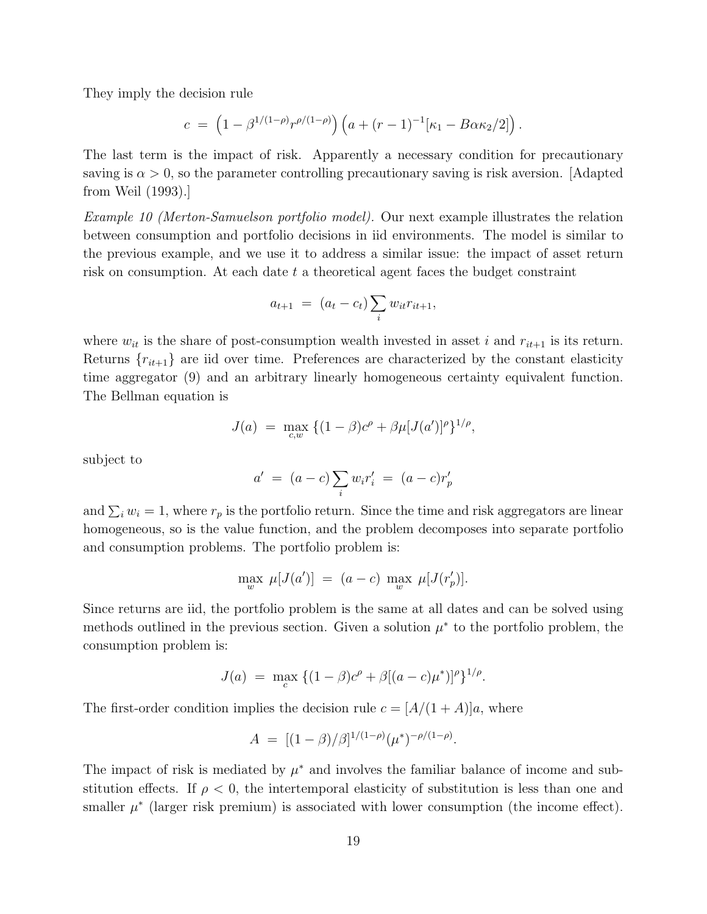They imply the decision rule

$$
c = \left(1 - \beta^{1/(1-\rho)} r^{\rho/(1-\rho)}\right) \left(a + (r-1)^{-1} [\kappa_1 - B\alpha \kappa_2/2]\right).
$$

The last term is the impact of risk. Apparently a necessary condition for precautionary saving is  $\alpha > 0$ , so the parameter controlling precautionary saving is risk aversion. [Adapted] from Weil (1993).]

Example 10 (Merton-Samuelson portfolio model). Our next example illustrates the relation between consumption and portfolio decisions in iid environments. The model is similar to the previous example, and we use it to address a similar issue: the impact of asset return risk on consumption. At each date  $t$  a theoretical agent faces the budget constraint

$$
a_{t+1} = (a_t - c_t) \sum_i w_{it} r_{it+1},
$$

where  $w_{it}$  is the share of post-consumption wealth invested in asset i and  $r_{it+1}$  is its return. Returns  ${r_{i,t+1}}$  are iid over time. Preferences are characterized by the constant elasticity time aggregator (9) and an arbitrary linearly homogeneous certainty equivalent function. The Bellman equation is

$$
J(a) = \max_{c,w} \{ (1-\beta)c^{\rho} + \beta \mu [J(a')]^{\rho} \}^{1/\rho},
$$

subject to

$$
a' = (a - c) \sum_{i} w_i r'_i = (a - c) r'_p
$$

and  $\sum_i w_i = 1$ , where  $r_p$  is the portfolio return. Since the time and risk aggregators are linear homogeneous, so is the value function, and the problem decomposes into separate portfolio and consumption problems. The portfolio problem is:

$$
\max_{w} \mu[J(a')] = (a - c) \max_{w} \mu[J(r'_p)].
$$

Since returns are iid, the portfolio problem is the same at all dates and can be solved using methods outlined in the previous section. Given a solution  $\mu^*$  to the portfolio problem, the consumption problem is:

$$
J(a) = \max_{c} \{ (1 - \beta)c^{\rho} + \beta[(a - c)\mu^*)]^{\rho} \}^{1/\rho}.
$$

The first-order condition implies the decision rule  $c = [A/(1+A)]a$ , where

$$
A = [(1 - \beta)/\beta]^{1/(1 - \rho)} (\mu^*)^{-\rho/(1 - \rho)}.
$$

The impact of risk is mediated by  $\mu^*$  and involves the familiar balance of income and substitution effects. If  $\rho < 0$ , the intertemporal elasticity of substitution is less than one and smaller  $\mu^*$  (larger risk premium) is associated with lower consumption (the income effect).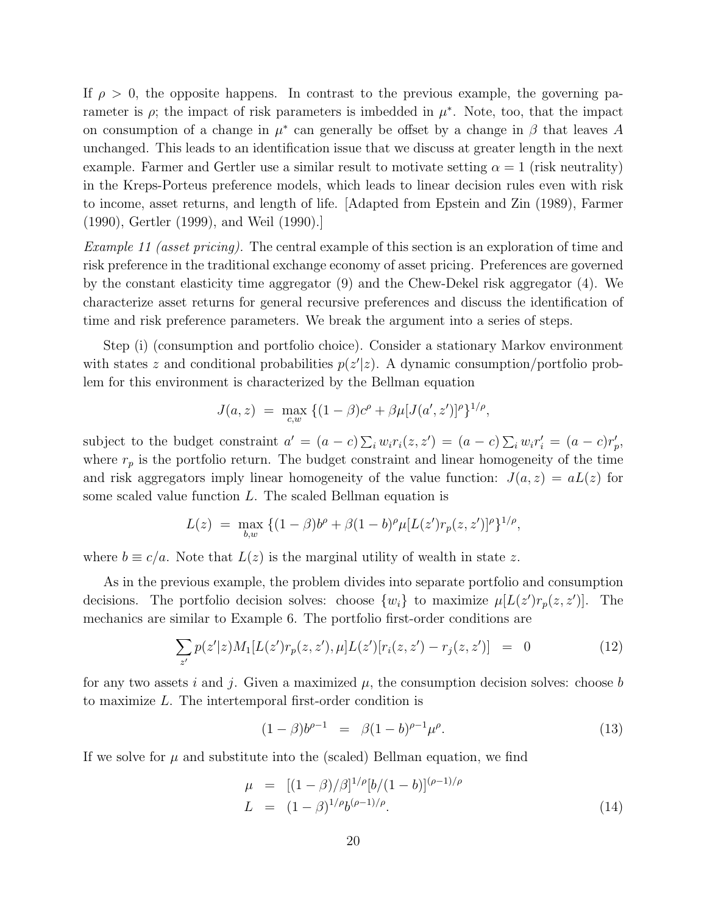If  $\rho > 0$ , the opposite happens. In contrast to the previous example, the governing parameter is  $\rho$ ; the impact of risk parameters is imbedded in  $\mu^*$ . Note, too, that the impact on consumption of a change in  $\mu^*$  can generally be offset by a change in  $\beta$  that leaves A unchanged. This leads to an identification issue that we discuss at greater length in the next example. Farmer and Gertler use a similar result to motivate setting  $\alpha = 1$  (risk neutrality) in the Kreps-Porteus preference models, which leads to linear decision rules even with risk to income, asset returns, and length of life. [Adapted from Epstein and Zin (1989), Farmer (1990), Gertler (1999), and Weil (1990).]

Example 11 (asset pricing). The central example of this section is an exploration of time and risk preference in the traditional exchange economy of asset pricing. Preferences are governed by the constant elasticity time aggregator (9) and the Chew-Dekel risk aggregator (4). We characterize asset returns for general recursive preferences and discuss the identification of time and risk preference parameters. We break the argument into a series of steps.

Step (i) (consumption and portfolio choice). Consider a stationary Markov environment with states z and conditional probabilities  $p(z'|z)$ . A dynamic consumption/portfolio problem for this environment is characterized by the Bellman equation

$$
J(a, z) = \max_{c, w} \{ (1 - \beta)c^{\rho} + \beta \mu [J(a', z')]^{\rho} \}^{1/\rho},
$$

subject to the budget constraint  $a' = (a - c) \sum_i w_i r_i(z, z') = (a - c) \sum_i w_i r'_i = (a - c) r'_p$ , where  $r_p$  is the portfolio return. The budget constraint and linear homogeneity of the time and risk aggregators imply linear homogeneity of the value function:  $J(a, z) = aL(z)$  for some scaled value function L. The scaled Bellman equation is

$$
L(z) = \max_{b,w} \left\{ (1-\beta)b^{\rho} + \beta(1-b)^{\rho} \mu[L(z')r_{p}(z,z')]^{\rho} \right\}^{1/\rho},
$$

where  $b \equiv c/a$ . Note that  $L(z)$  is the marginal utility of wealth in state z.

As in the previous example, the problem divides into separate portfolio and consumption decisions. The portfolio decision solves: choose  $\{w_i\}$  to maximize  $\mu[L(z')r_p(z, z')]$ . The mechanics are similar to Example 6. The portfolio first-order conditions are

$$
\sum_{z'} p(z'|z) M_1[L(z')r_p(z,z'),\mu] L(z')[r_i(z,z') - r_j(z,z')] = 0
$$
\n(12)

for any two assets i and j. Given a maximized  $\mu$ , the consumption decision solves: choose b to maximize L. The intertemporal first-order condition is

$$
(1 - \beta)b^{\rho - 1} = \beta(1 - b)^{\rho - 1}\mu^{\rho}.
$$
 (13)

If we solve for  $\mu$  and substitute into the (scaled) Bellman equation, we find

$$
\mu = [(1 - \beta)/\beta]^{1/\rho} [b/(1 - b)]^{(\rho - 1)/\rho} \nL = (1 - \beta)^{1/\rho} b^{(\rho - 1)/\rho}.
$$
\n(14)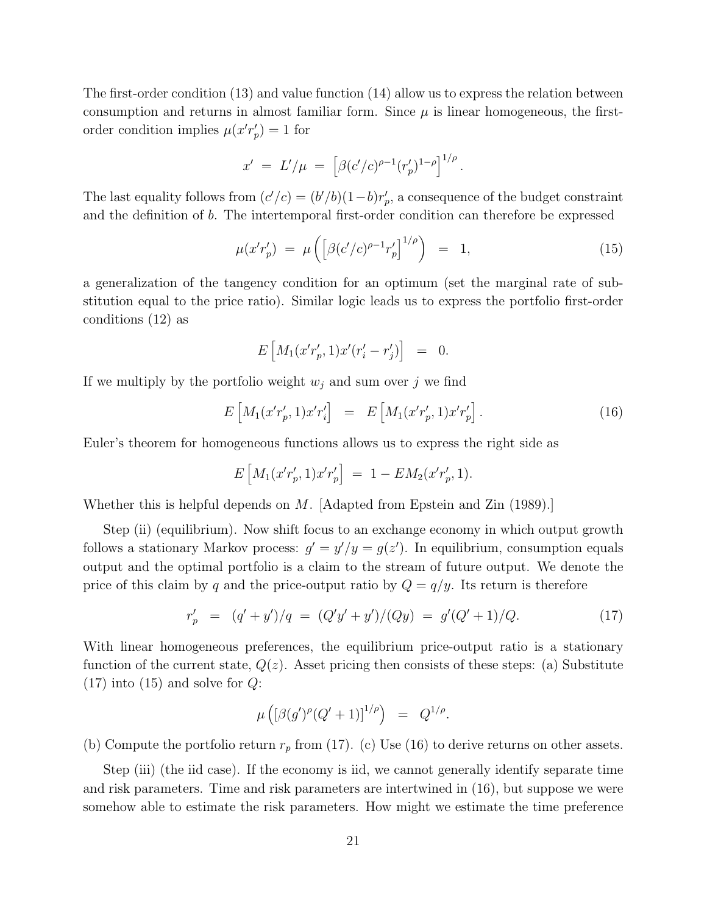The first-order condition (13) and value function (14) allow us to express the relation between consumption and returns in almost familiar form. Since  $\mu$  is linear homogeneous, the firstorder condition implies  $\mu(x'r'_p) = 1$  for

$$
x' = L'/\mu = \left[ \beta (c'/c)^{\rho - 1} (r'_p)^{1 - \rho} \right]^{1/\rho}.
$$

The last equality follows from  $(c'/c) = (b'/b)(1-b)r'_p$ , a consequence of the budget constraint and the definition of b. The intertemporal first-order condition can therefore be expressed

$$
\mu(x' r'_p) = \mu\left(\left[\beta(c'/c)^{\rho-1} r'_p\right]^{1/\rho}\right) = 1, \tag{15}
$$

a generalization of the tangency condition for an optimum (set the marginal rate of substitution equal to the price ratio). Similar logic leads us to express the portfolio first-order conditions (12) as

$$
E\left[M_1(x'r'_p,1)x'(r'_i-r'_j)\right] = 0.
$$

If we multiply by the portfolio weight  $w_j$  and sum over j we find

$$
E\left[M_1(x'r'_p,1)x'r'_i\right] = E\left[M_1(x'r'_p,1)x'r'_p\right].
$$
\n(16)

Euler's theorem for homogeneous functions allows us to express the right side as

$$
E\left[M_1(x'r'_p,1)x'r'_p\right] = 1 - EM_2(x'r'_p,1).
$$

Whether this is helpful depends on M. [Adapted from Epstein and Zin (1989).]

Step (ii) (equilibrium). Now shift focus to an exchange economy in which output growth follows a stationary Markov process:  $g' = y'/y = g(z')$ . In equilibrium, consumption equals output and the optimal portfolio is a claim to the stream of future output. We denote the price of this claim by q and the price-output ratio by  $Q = q/y$ . Its return is therefore

$$
r'_p = (q' + y')/q = (Q'y' + y')/(Qy) = g'(Q' + 1)/Q.
$$
 (17)

With linear homogeneous preferences, the equilibrium price-output ratio is a stationary function of the current state,  $Q(z)$ . Asset pricing then consists of these steps: (a) Substitute  $(17)$  into  $(15)$  and solve for  $Q$ :

$$
\mu\left( [\beta(g')^{\rho}(Q'+1)]^{1/\rho} \right) = Q^{1/\rho}.
$$

(b) Compute the portfolio return  $r_p$  from (17). (c) Use (16) to derive returns on other assets.

Step (iii) (the iid case). If the economy is iid, we cannot generally identify separate time and risk parameters. Time and risk parameters are intertwined in (16), but suppose we were somehow able to estimate the risk parameters. How might we estimate the time preference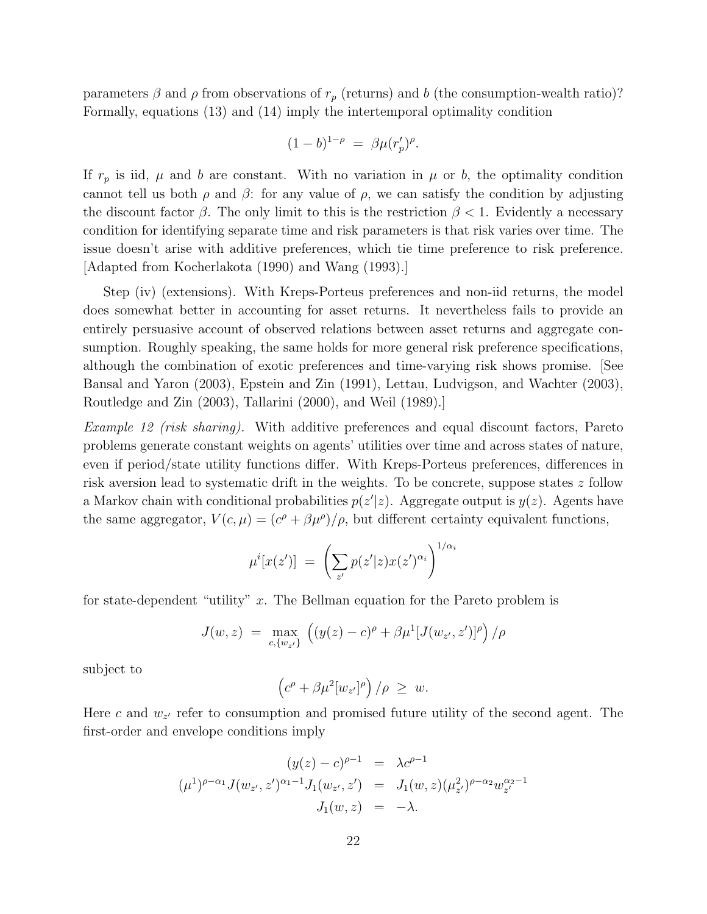parameters  $\beta$  and  $\rho$  from observations of  $r_p$  (returns) and b (the consumption-wealth ratio)? Formally, equations (13) and (14) imply the intertemporal optimality condition

$$
(1-b)^{1-\rho} = \beta \mu (r'_p)^{\rho}.
$$

If  $r_p$  is iid,  $\mu$  and b are constant. With no variation in  $\mu$  or b, the optimality condition cannot tell us both  $\rho$  and  $\beta$ : for any value of  $\rho$ , we can satisfy the condition by adjusting the discount factor  $\beta$ . The only limit to this is the restriction  $\beta$  < 1. Evidently a necessary condition for identifying separate time and risk parameters is that risk varies over time. The issue doesn't arise with additive preferences, which tie time preference to risk preference. [Adapted from Kocherlakota (1990) and Wang (1993).]

Step (iv) (extensions). With Kreps-Porteus preferences and non-iid returns, the model does somewhat better in accounting for asset returns. It nevertheless fails to provide an entirely persuasive account of observed relations between asset returns and aggregate consumption. Roughly speaking, the same holds for more general risk preference specifications, although the combination of exotic preferences and time-varying risk shows promise. [See Bansal and Yaron (2003), Epstein and Zin (1991), Lettau, Ludvigson, and Wachter (2003), Routledge and Zin (2003), Tallarini (2000), and Weil (1989).]

Example 12 (risk sharing). With additive preferences and equal discount factors, Pareto problems generate constant weights on agents' utilities over time and across states of nature, even if period/state utility functions differ. With Kreps-Porteus preferences, differences in risk aversion lead to systematic drift in the weights. To be concrete, suppose states  $z$  follow a Markov chain with conditional probabilities  $p(z'|z)$ . Aggregate output is  $y(z)$ . Agents have the same aggregator,  $V(c, \mu) = (c^{\rho} + \beta \mu^{\rho})/\rho$ , but different certainty equivalent functions,

$$
\mu^{i}[x(z')] = \left(\sum_{z'} p(z'|z)x(z')^{\alpha_{i}}\right)^{1/\alpha_{i}}
$$

for state-dependent "utility" x. The Bellman equation for the Pareto problem is

$$
J(w, z) = \max_{c, \{w_{z'}\}} ((y(z) - c)^{\rho} + \beta \mu^{1} [J(w_{z'}, z')]^{\rho}) / \rho
$$

subject to

$$
\left(c^{\rho}+\beta\mu^2[w_{z'}]^{\rho}\right)/\rho~\geq~w.
$$

Here c and  $w_{z'}$  refer to consumption and promised future utility of the second agent. The first-order and envelope conditions imply

$$
(y(z) - c)^{\rho - 1} = \lambda c^{\rho - 1}
$$
  

$$
(\mu^1)^{\rho - \alpha_1} J(w_{z'}, z')^{\alpha_1 - 1} J_1(w_{z'}, z') = J_1(w, z) (\mu^2_{z'})^{\rho - \alpha_2} w_{z'}^{\alpha_2 - 1}
$$
  

$$
J_1(w, z) = -\lambda.
$$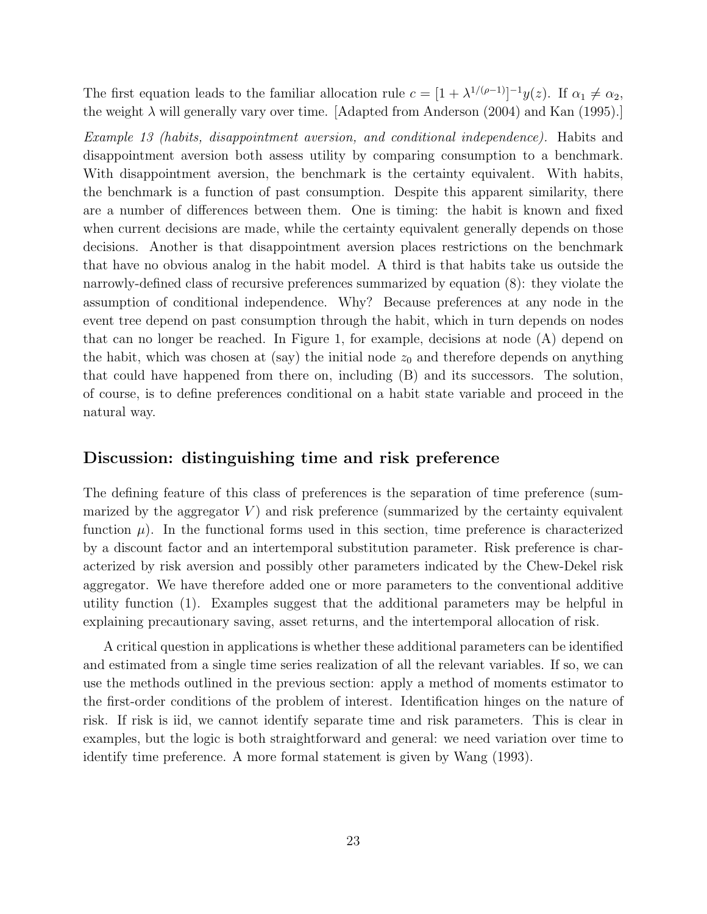The first equation leads to the familiar allocation rule  $c = [1 + \lambda^{1/(\rho-1)}]^{-1} y(z)$ . If  $\alpha_1 \neq \alpha_2$ , the weight  $\lambda$  will generally vary over time. [Adapted from Anderson (2004) and Kan (1995).]

Example 13 (habits, disappointment aversion, and conditional independence). Habits and disappointment aversion both assess utility by comparing consumption to a benchmark. With disappointment aversion, the benchmark is the certainty equivalent. With habits, the benchmark is a function of past consumption. Despite this apparent similarity, there are a number of differences between them. One is timing: the habit is known and fixed when current decisions are made, while the certainty equivalent generally depends on those decisions. Another is that disappointment aversion places restrictions on the benchmark that have no obvious analog in the habit model. A third is that habits take us outside the narrowly-defined class of recursive preferences summarized by equation (8): they violate the assumption of conditional independence. Why? Because preferences at any node in the event tree depend on past consumption through the habit, which in turn depends on nodes that can no longer be reached. In Figure 1, for example, decisions at node (A) depend on the habit, which was chosen at (say) the initial node  $z_0$  and therefore depends on anything that could have happened from there on, including (B) and its successors. The solution, of course, is to define preferences conditional on a habit state variable and proceed in the natural way.

### Discussion: distinguishing time and risk preference

The defining feature of this class of preferences is the separation of time preference (summarized by the aggregator  $V$ ) and risk preference (summarized by the certainty equivalent function  $\mu$ ). In the functional forms used in this section, time preference is characterized by a discount factor and an intertemporal substitution parameter. Risk preference is characterized by risk aversion and possibly other parameters indicated by the Chew-Dekel risk aggregator. We have therefore added one or more parameters to the conventional additive utility function (1). Examples suggest that the additional parameters may be helpful in explaining precautionary saving, asset returns, and the intertemporal allocation of risk.

A critical question in applications is whether these additional parameters can be identified and estimated from a single time series realization of all the relevant variables. If so, we can use the methods outlined in the previous section: apply a method of moments estimator to the first-order conditions of the problem of interest. Identification hinges on the nature of risk. If risk is iid, we cannot identify separate time and risk parameters. This is clear in examples, but the logic is both straightforward and general: we need variation over time to identify time preference. A more formal statement is given by Wang (1993).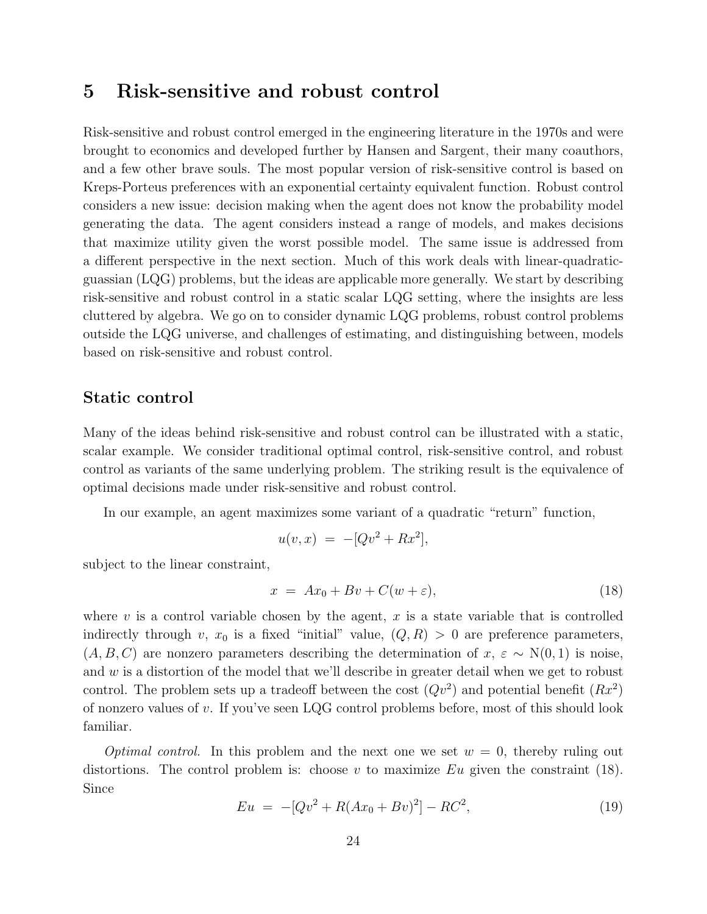## 5 Risk-sensitive and robust control

Risk-sensitive and robust control emerged in the engineering literature in the 1970s and were brought to economics and developed further by Hansen and Sargent, their many coauthors, and a few other brave souls. The most popular version of risk-sensitive control is based on Kreps-Porteus preferences with an exponential certainty equivalent function. Robust control considers a new issue: decision making when the agent does not know the probability model generating the data. The agent considers instead a range of models, and makes decisions that maximize utility given the worst possible model. The same issue is addressed from a different perspective in the next section. Much of this work deals with linear-quadraticguassian (LQG) problems, but the ideas are applicable more generally. We start by describing risk-sensitive and robust control in a static scalar LQG setting, where the insights are less cluttered by algebra. We go on to consider dynamic LQG problems, robust control problems outside the LQG universe, and challenges of estimating, and distinguishing between, models based on risk-sensitive and robust control.

#### Static control

Many of the ideas behind risk-sensitive and robust control can be illustrated with a static, scalar example. We consider traditional optimal control, risk-sensitive control, and robust control as variants of the same underlying problem. The striking result is the equivalence of optimal decisions made under risk-sensitive and robust control.

In our example, an agent maximizes some variant of a quadratic "return" function,

$$
u(v, x) = -[Qv^2 + Rx^2],
$$

subject to the linear constraint,

$$
x = Ax_0 + Bv + C(w + \varepsilon), \tag{18}
$$

where v is a control variable chosen by the agent, x is a state variable that is controlled indirectly through v,  $x_0$  is a fixed "initial" value,  $(Q, R) > 0$  are preference parameters,  $(A, B, C)$  are nonzero parameters describing the determination of  $x, \varepsilon \sim N(0, 1)$  is noise, and  $w$  is a distortion of the model that we'll describe in greater detail when we get to robust control. The problem sets up a tradeoff between the cost  $(Qv^2)$  and potential benefit  $(Rx^2)$ of nonzero values of v. If you've seen LQG control problems before, most of this should look familiar.

*Optimal control.* In this problem and the next one we set  $w = 0$ , thereby ruling out distortions. The control problem is: choose v to maximize  $Eu$  given the constraint (18). Since

$$
Eu = -[Qv^2 + R(Ax_0 + Bv)^2] - RC^2,
$$
\n(19)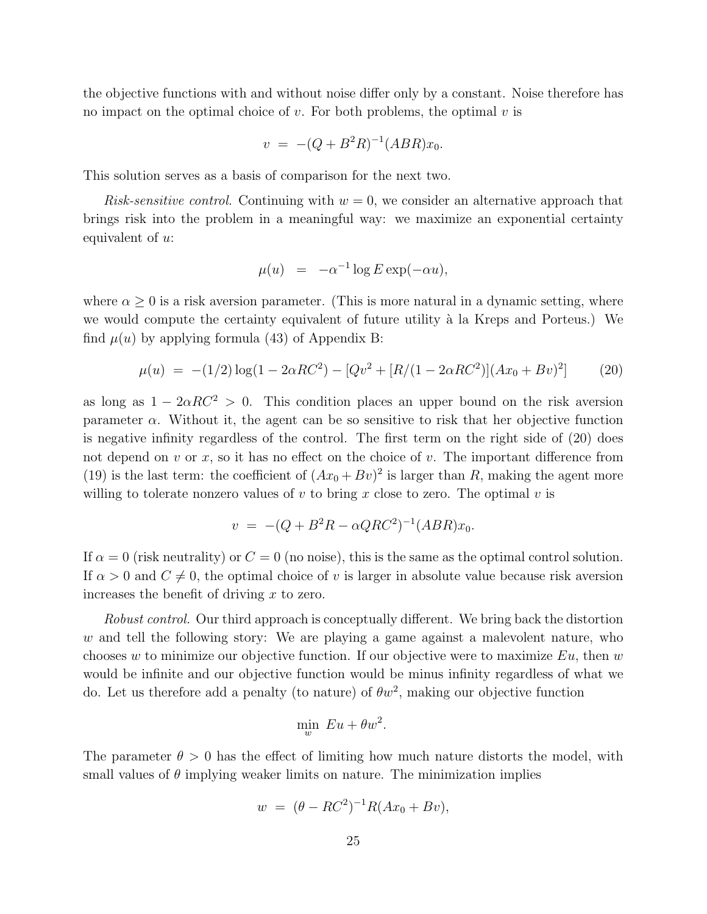the objective functions with and without noise differ only by a constant. Noise therefore has no impact on the optimal choice of v. For both problems, the optimal v is

$$
v = -(Q + B^2 R)^{-1} (ABR)x_0.
$$

This solution serves as a basis of comparison for the next two.

Risk-sensitive control. Continuing with  $w = 0$ , we consider an alternative approach that brings risk into the problem in a meaningful way: we maximize an exponential certainty equivalent of  $u$ :

$$
\mu(u) = -\alpha^{-1} \log E \exp(-\alpha u),
$$

where  $\alpha > 0$  is a risk aversion parameter. (This is more natural in a dynamic setting, where we would compute the certainty equivalent of future utility à la Kreps and Porteus.) We find  $\mu(u)$  by applying formula (43) of Appendix B:

$$
\mu(u) = -(1/2)\log(1 - 2\alpha RC^2) - [Qv^2 + [R/(1 - 2\alpha RC^2)](Ax_0 + Bv)^2]
$$
(20)

as long as  $1 - 2\alpha RC^2 > 0$ . This condition places an upper bound on the risk aversion parameter  $\alpha$ . Without it, the agent can be so sensitive to risk that her objective function is negative infinity regardless of the control. The first term on the right side of (20) does not depend on  $v$  or  $x$ , so it has no effect on the choice of  $v$ . The important difference from (19) is the last term: the coefficient of  $(Ax_0 + Bv)^2$  is larger than R, making the agent more willing to tolerate nonzero values of v to bring x close to zero. The optimal v is

$$
v = -(Q + B^2 R - \alpha Q R C^2)^{-1} (ABR)x_0.
$$

If  $\alpha = 0$  (risk neutrality) or  $C = 0$  (no noise), this is the same as the optimal control solution. If  $\alpha > 0$  and  $C \neq 0$ , the optimal choice of v is larger in absolute value because risk aversion increases the benefit of driving  $x$  to zero.

Robust control. Our third approach is conceptually different. We bring back the distortion w and tell the following story: We are playing a game against a malevolent nature, who chooses w to minimize our objective function. If our objective were to maximize  $Eu$ , then w would be infinite and our objective function would be minus infinity regardless of what we do. Let us therefore add a penalty (to nature) of  $\theta w^2$ , making our objective function

$$
\min_{w} Eu + \theta w^2.
$$

The parameter  $\theta > 0$  has the effect of limiting how much nature distorts the model, with small values of  $\theta$  implying weaker limits on nature. The minimization implies

$$
w = (\theta - RC^2)^{-1}R(Ax_0 + Bv),
$$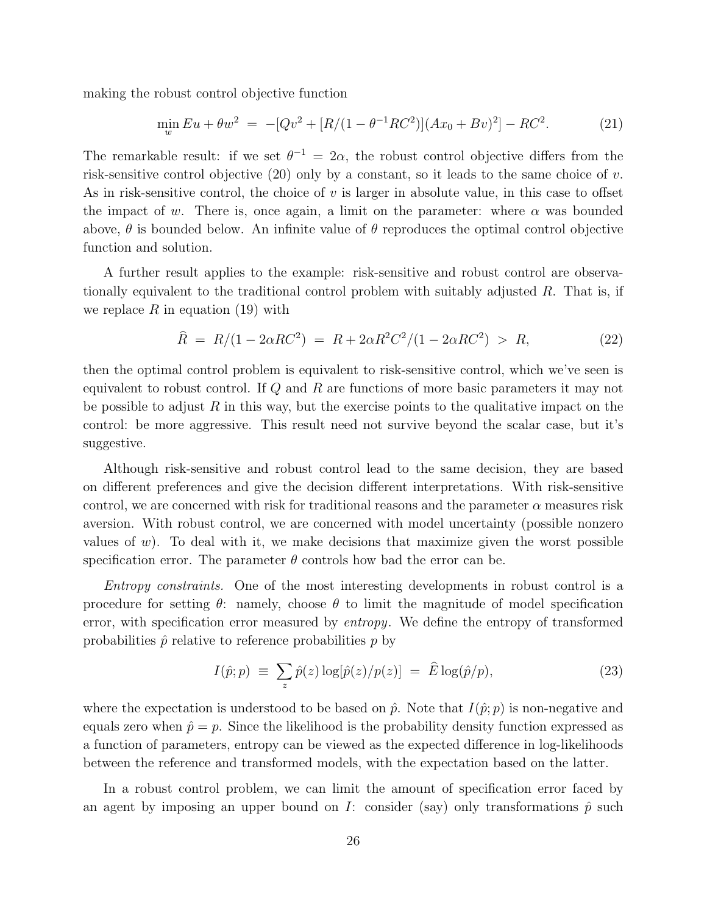making the robust control objective function

$$
\min_{w} Eu + \theta w^2 = -[Qv^2 + [R/(1 - \theta^{-1}RC^2)](Ax_0 + Bv)^2] - RC^2.
$$
 (21)

The remarkable result: if we set  $\theta^{-1} = 2\alpha$ , the robust control objective differs from the risk-sensitive control objective (20) only by a constant, so it leads to the same choice of v. As in risk-sensitive control, the choice of  $v$  is larger in absolute value, in this case to offset the impact of w. There is, once again, a limit on the parameter: where  $\alpha$  was bounded above,  $\theta$  is bounded below. An infinite value of  $\theta$  reproduces the optimal control objective function and solution.

A further result applies to the example: risk-sensitive and robust control are observationally equivalent to the traditional control problem with suitably adjusted  $R$ . That is, if we replace  $R$  in equation (19) with

$$
\hat{R} = R/(1 - 2\alpha RC^2) = R + 2\alpha R^2 C^2/(1 - 2\alpha RC^2) > R,
$$
\n(22)

then the optimal control problem is equivalent to risk-sensitive control, which we've seen is equivalent to robust control. If Q and R are functions of more basic parameters it may not be possible to adjust  $R$  in this way, but the exercise points to the qualitative impact on the control: be more aggressive. This result need not survive beyond the scalar case, but it's suggestive.

Although risk-sensitive and robust control lead to the same decision, they are based on different preferences and give the decision different interpretations. With risk-sensitive control, we are concerned with risk for traditional reasons and the parameter  $\alpha$  measures risk aversion. With robust control, we are concerned with model uncertainty (possible nonzero values of  $w$ ). To deal with it, we make decisions that maximize given the worst possible specification error. The parameter  $\theta$  controls how bad the error can be.

Entropy constraints. One of the most interesting developments in robust control is a procedure for setting  $\theta$ : namely, choose  $\theta$  to limit the magnitude of model specification error, with specification error measured by *entropy*. We define the entropy of transformed probabilities  $\hat{p}$  relative to reference probabilities p by

$$
I(\hat{p};p) \equiv \sum_{z} \hat{p}(z) \log[\hat{p}(z)/p(z)] = \hat{E} \log(\hat{p}/p), \qquad (23)
$$

where the expectation is understood to be based on  $\hat{p}$ . Note that  $I(\hat{p};p)$  is non-negative and equals zero when  $\hat{p} = p$ . Since the likelihood is the probability density function expressed as a function of parameters, entropy can be viewed as the expected difference in log-likelihoods between the reference and transformed models, with the expectation based on the latter.

In a robust control problem, we can limit the amount of specification error faced by an agent by imposing an upper bound on I: consider (say) only transformations  $\hat{p}$  such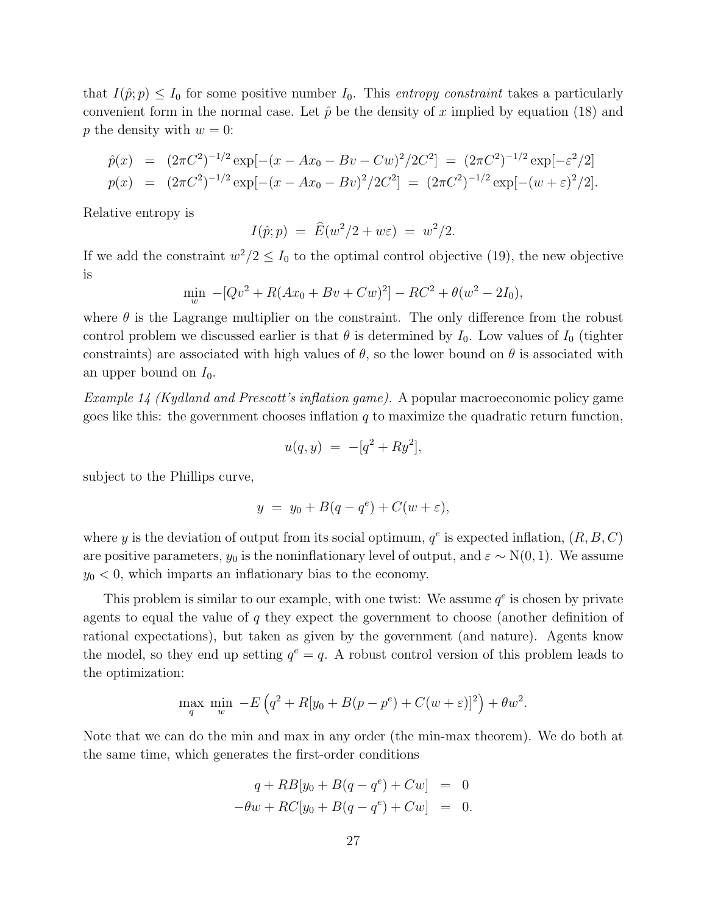that  $I(\hat{p};p) \leq I_0$  for some positive number  $I_0$ . This entropy constraint takes a particularly convenient form in the normal case. Let  $\hat{p}$  be the density of x implied by equation (18) and p the density with  $w = 0$ :

$$
\hat{p}(x) = (2\pi C^2)^{-1/2} \exp[-(x - Ax_0 - Bv - Cw)^2 / 2C^2] = (2\pi C^2)^{-1/2} \exp[-\varepsilon^2 / 2]
$$
  
\n
$$
p(x) = (2\pi C^2)^{-1/2} \exp[-(x - Ax_0 - Bv)^2 / 2C^2] = (2\pi C^2)^{-1/2} \exp[-(w + \varepsilon)^2 / 2].
$$

Relative entropy is

$$
I(\hat{p};p) = \hat{E}(w^2/2 + w\varepsilon) = w^2/2.
$$

If we add the constraint  $w^2/2 \leq I_0$  to the optimal control objective (19), the new objective is

$$
\min_{w} \ -[Qv^2 + R(Ax_0 + Bv + Cw)^2] - RC^2 + \theta(w^2 - 2I_0),
$$

where  $\theta$  is the Lagrange multiplier on the constraint. The only difference from the robust control problem we discussed earlier is that  $\theta$  is determined by  $I_0$ . Low values of  $I_0$  (tighter constraints) are associated with high values of  $\theta$ , so the lower bound on  $\theta$  is associated with an upper bound on  $I_0$ .

Example 14 (Kydland and Prescott's inflation game). A popular macroeconomic policy game goes like this: the government chooses inflation  $q$  to maximize the quadratic return function,

$$
u(q, y) = -[q^2 + Ry^2],
$$

subject to the Phillips curve,

$$
y = y_0 + B(q - q^e) + C(w + \varepsilon),
$$

where y is the deviation of output from its social optimum,  $q^e$  is expected inflation,  $(R, B, C)$ are positive parameters,  $y_0$  is the noninflationary level of output, and  $\varepsilon \sim N(0, 1)$ . We assume  $y_0 < 0$ , which imparts an inflationary bias to the economy.

This problem is similar to our example, with one twist: We assume  $q^e$  is chosen by private agents to equal the value of  $q$  they expect the government to choose (another definition of rational expectations), but taken as given by the government (and nature). Agents know the model, so they end up setting  $q^e = q$ . A robust control version of this problem leads to the optimization:

$$
\max_{q} \min_{w} -E\left(q^{2} + R[y_{0} + B(p - p^{e}) + C(w + \varepsilon)]^{2}\right) + \theta w^{2}.
$$

Note that we can do the min and max in any order (the min-max theorem). We do both at the same time, which generates the first-order conditions

$$
q + RB[y_0 + B(q - q^e) + Cw] = 0
$$
  

$$
-\theta w + RC[y_0 + B(q - q^e) + Cw] = 0.
$$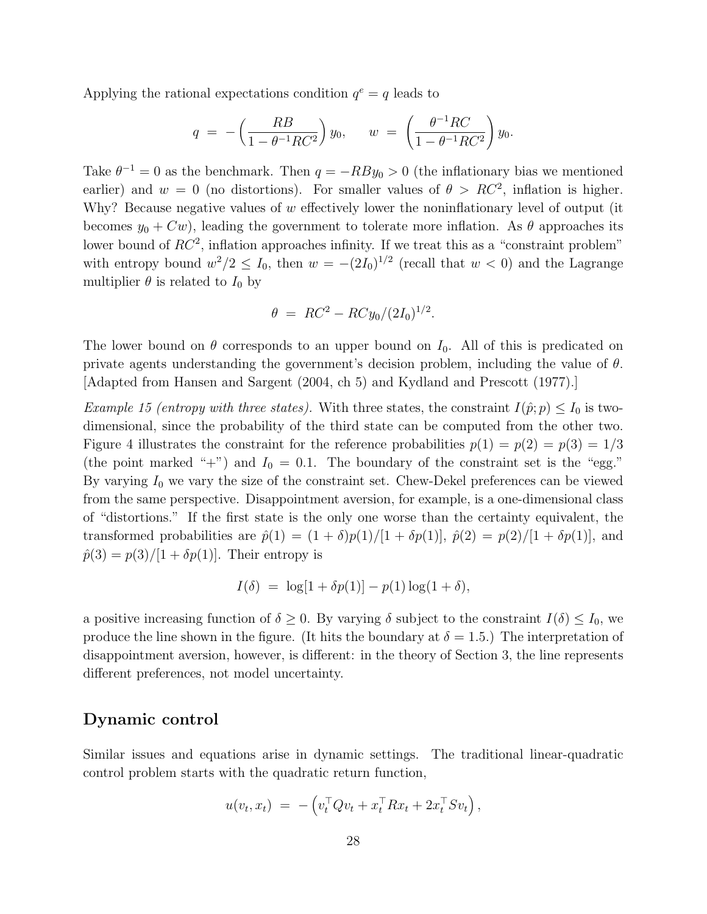Applying the rational expectations condition  $q^e = q$  leads to

$$
q = -\left(\frac{RB}{1 - \theta^{-1}RC^2}\right)y_0, \quad w = \left(\frac{\theta^{-1}RC}{1 - \theta^{-1}RC^2}\right)y_0.
$$

Take  $\theta^{-1} = 0$  as the benchmark. Then  $q = -RBy_0 > 0$  (the inflationary bias we mentioned earlier) and  $w = 0$  (no distortions). For smaller values of  $\theta > RC^2$ , inflation is higher. Why? Because negative values of  $w$  effectively lower the noninflationary level of output (it becomes  $y_0 + Cw$ , leading the government to tolerate more inflation. As  $\theta$  approaches its lower bound of  $RC^2$ , inflation approaches infinity. If we treat this as a "constraint problem" with entropy bound  $w^2/2 \leq I_0$ , then  $w = -(2I_0)^{1/2}$  (recall that  $w < 0$ ) and the Lagrange multiplier  $\theta$  is related to  $I_0$  by

$$
\theta = RC^2 - RCy_0/(2I_0)^{1/2}.
$$

The lower bound on  $\theta$  corresponds to an upper bound on  $I_0$ . All of this is predicated on private agents understanding the government's decision problem, including the value of  $\theta$ . [Adapted from Hansen and Sargent (2004, ch 5) and Kydland and Prescott (1977).]

Example 15 (entropy with three states). With three states, the constraint  $I(\hat{p};p) \leq I_0$  is twodimensional, since the probability of the third state can be computed from the other two. Figure 4 illustrates the constraint for the reference probabilities  $p(1) = p(2) = p(3) = 1/3$ (the point marked "+") and  $I_0 = 0.1$ . The boundary of the constraint set is the "egg." By varying  $I_0$  we vary the size of the constraint set. Chew-Dekel preferences can be viewed from the same perspective. Disappointment aversion, for example, is a one-dimensional class of "distortions." If the first state is the only one worse than the certainty equivalent, the transformed probabilities are  $\hat{p}(1) = (1+\delta)p(1)/[1+\delta p(1)]$ ,  $\hat{p}(2) = p(2)/[1+\delta p(1)]$ , and  $\hat{p}(3) = p(3)/[1 + \delta p(1)].$  Their entropy is

$$
I(\delta) = \log[1 + \delta p(1)] - p(1)\log(1 + \delta),
$$

a positive increasing function of  $\delta \geq 0$ . By varying  $\delta$  subject to the constraint  $I(\delta) \leq I_0$ , we produce the line shown in the figure. (It hits the boundary at  $\delta = 1.5$ .) The interpretation of disappointment aversion, however, is different: in the theory of Section 3, the line represents different preferences, not model uncertainty.

## Dynamic control

Similar issues and equations arise in dynamic settings. The traditional linear-quadratic control problem starts with the quadratic return function,

$$
u(v_t, x_t) = -\left(v_t^\top Q v_t + x_t^\top R x_t + 2x_t^\top S v_t\right),
$$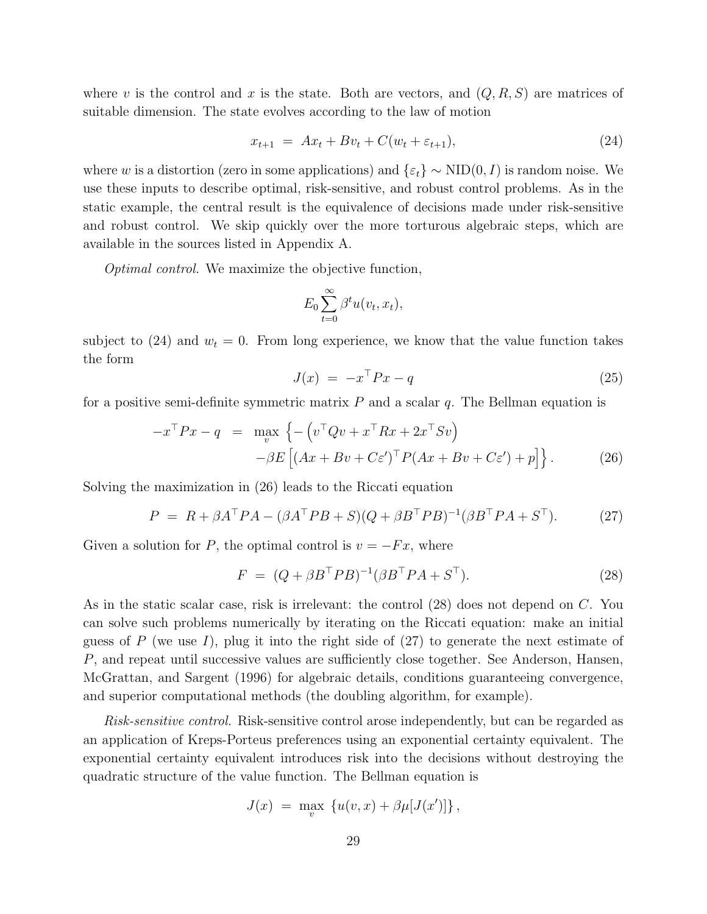where v is the control and x is the state. Both are vectors, and  $(Q, R, S)$  are matrices of suitable dimension. The state evolves according to the law of motion

$$
x_{t+1} = Ax_t + Bv_t + C(w_t + \varepsilon_{t+1}),
$$
\n(24)

where w is a distortion (zero in some applications) and  $\{\varepsilon_t\} \sim \text{NID}(0, I)$  is random noise. We use these inputs to describe optimal, risk-sensitive, and robust control problems. As in the static example, the central result is the equivalence of decisions made under risk-sensitive and robust control. We skip quickly over the more torturous algebraic steps, which are available in the sources listed in Appendix A.

Optimal control. We maximize the objective function,

$$
E_0 \sum_{t=0}^{\infty} \beta^t u(v_t, x_t),
$$

subject to (24) and  $w_t = 0$ . From long experience, we know that the value function takes the form

$$
J(x) = -x^{\top}Px - q \tag{25}
$$

for a positive semi-definite symmetric matrix  $P$  and a scalar  $q$ . The Bellman equation is

$$
-x^{\top}Px - q = \max_{v} \left\{ -\left(v^{\top}Qv + x^{\top}Rx + 2x^{\top}Sv\right) -\beta E\left[(Ax + Bv + C\varepsilon')^{\top}P(Ax + Bv + C\varepsilon') + p\right] \right\}.
$$
 (26)

Solving the maximization in (26) leads to the Riccati equation

$$
P = R + \beta A^{\mathsf{T}} P A - (\beta A^{\mathsf{T}} P B + S)(Q + \beta B^{\mathsf{T}} P B)^{-1} (\beta B^{\mathsf{T}} P A + S^{\mathsf{T}}). \tag{27}
$$

Given a solution for P, the optimal control is  $v = -Fx$ , where

$$
F = (Q + \beta B^{\top} P B)^{-1} (\beta B^{\top} P A + S^{\top}). \tag{28}
$$

As in the static scalar case, risk is irrelevant: the control (28) does not depend on C. You can solve such problems numerically by iterating on the Riccati equation: make an initial guess of P (we use I), plug it into the right side of  $(27)$  to generate the next estimate of P, and repeat until successive values are sufficiently close together. See Anderson, Hansen, McGrattan, and Sargent (1996) for algebraic details, conditions guaranteeing convergence, and superior computational methods (the doubling algorithm, for example).

Risk-sensitive control. Risk-sensitive control arose independently, but can be regarded as an application of Kreps-Porteus preferences using an exponential certainty equivalent. The exponential certainty equivalent introduces risk into the decisions without destroying the quadratic structure of the value function. The Bellman equation is

$$
J(x) = \max_{v} \{ u(v, x) + \beta \mu[J(x')] \},
$$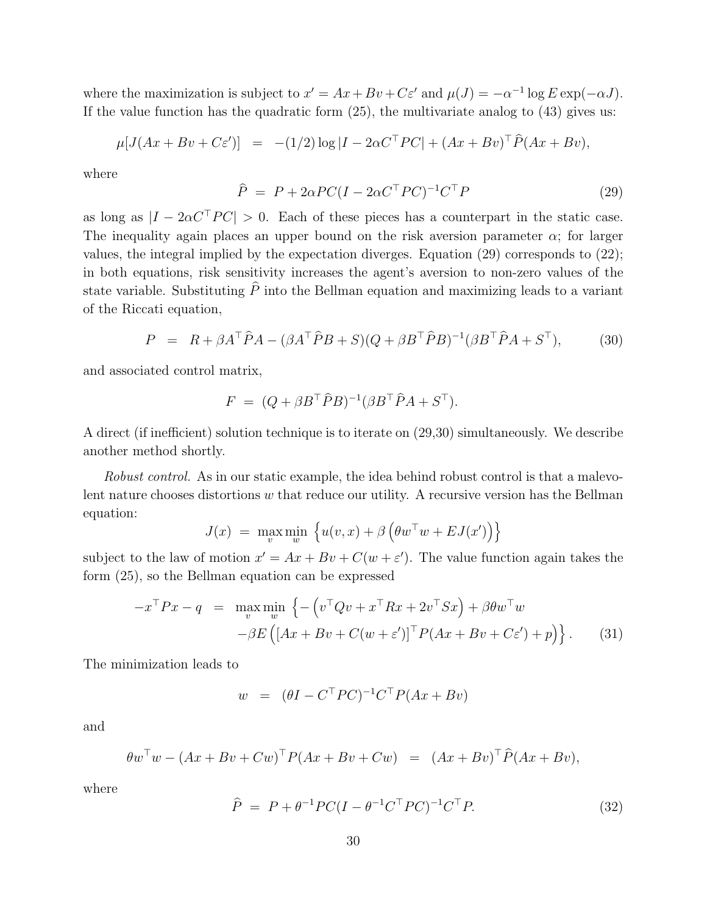where the maximization is subject to  $x' = Ax + Bv + C\varepsilon'$  and  $\mu(J) = -\alpha^{-1} \log E \exp(-\alpha J)$ . If the value function has the quadratic form (25), the multivariate analog to (43) gives us:

$$
\mu[J(Ax + Bv + C\varepsilon')] = -(1/2)\log|I - 2\alpha C^{\top}PC| + (Ax + Bv)^{\top}\widehat{P}(Ax + Bv),
$$

where

$$
\hat{P} = P + 2\alpha PC(I - 2\alpha C^{\top} PC)^{-1}C^{\top}P \tag{29}
$$

as long as  $|I - 2\alpha C^{\top}PC| > 0$ . Each of these pieces has a counterpart in the static case. The inequality again places an upper bound on the risk aversion parameter  $\alpha$ ; for larger values, the integral implied by the expectation diverges. Equation (29) corresponds to (22); in both equations, risk sensitivity increases the agent's aversion to non-zero values of the state variable. Substituting  $\hat{P}$  into the Bellman equation and maximizing leads to a variant of the Riccati equation,

$$
P = R + \beta A^{\top} \hat{P} A - (\beta A^{\top} \hat{P} B + S)(Q + \beta B^{\top} \hat{P} B)^{-1} (\beta B^{\top} \hat{P} A + S^{\top}), \tag{30}
$$

and associated control matrix,

$$
F = (Q + \beta B^{\top} \hat{P} B)^{-1} (\beta B^{\top} \hat{P} A + S^{\top}).
$$

A direct (if inefficient) solution technique is to iterate on (29,30) simultaneously. We describe another method shortly.

Robust control. As in our static example, the idea behind robust control is that a malevolent nature chooses distortions  $w$  that reduce our utility. A recursive version has the Bellman equation:

$$
J(x) = \max_{v} \min_{w} \left\{ u(v, x) + \beta \left( \theta w^{\top} w + E J(x') \right) \right\}
$$

subject to the law of motion  $x' = Ax + Bv + C(w + \varepsilon')$ . The value function again takes the form (25), so the Bellman equation can be expressed

$$
-x^{\top}Px - q = \max_{v} \min_{w} \left\{ -\left(v^{\top}Qv + x^{\top}Rx + 2v^{\top}Sx\right) + \beta\theta w^{\top}w -\beta E\left(\left[Ax + Bv + C(w + \varepsilon')\right]^{\top}P(Ax + Bv + C\varepsilon') + p\right)\right\}.
$$
 (31)

The minimization leads to

$$
w = (\theta I - C^{\top} P C)^{-1} C^{\top} P (Ax + Bv)
$$

and

$$
\theta w^{\top} w - (Ax + Bv + Cw)^{\top} P(Ax + Bv + Cw) = (Ax + Bv)^{\top} \widehat{P}(Ax + Bv),
$$

where

$$
\widehat{P} = P + \theta^{-1} PC(I - \theta^{-1} C^{\top} PC)^{-1} C^{\top} P. \tag{32}
$$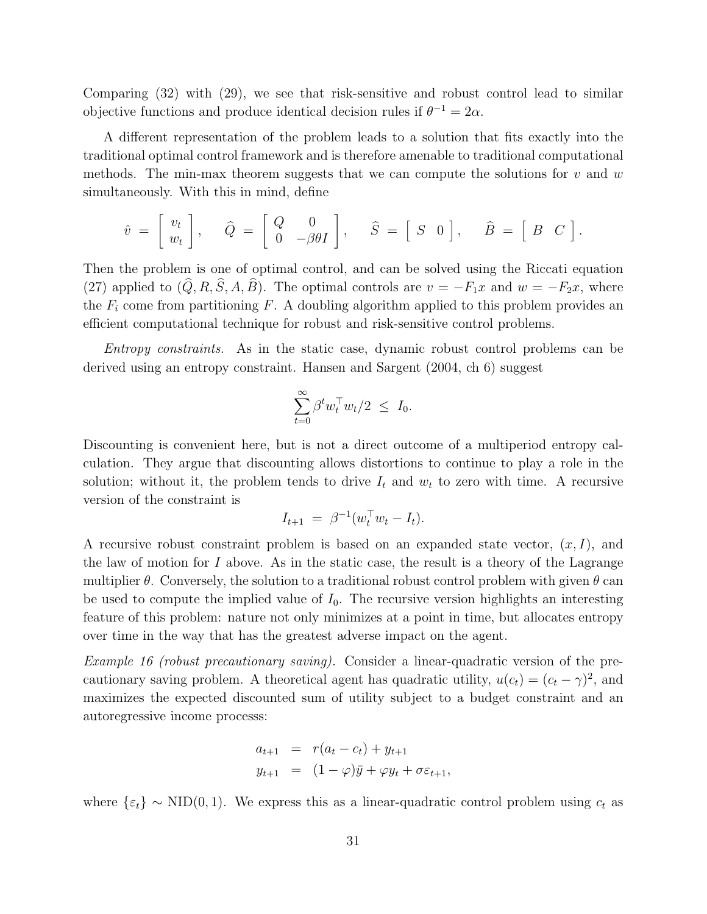Comparing (32) with (29), we see that risk-sensitive and robust control lead to similar objective functions and produce identical decision rules if  $\theta^{-1} = 2\alpha$ .

A different representation of the problem leads to a solution that fits exactly into the traditional optimal control framework and is therefore amenable to traditional computational methods. The min-max theorem suggests that we can compute the solutions for  $v$  and  $w$ simultaneously. With this in mind, define

$$
\hat{v} = \begin{bmatrix} v_t \\ w_t \end{bmatrix}, \quad \hat{Q} = \begin{bmatrix} Q & 0 \\ 0 & -\beta\theta I \end{bmatrix}, \quad \hat{S} = \begin{bmatrix} S & 0 \end{bmatrix}, \quad \hat{B} = \begin{bmatrix} B & C \end{bmatrix}.
$$

Then the problem is one of optimal control, and can be solved using the Riccati equation (27) applied to  $(\widehat{Q}, R, \widehat{S}, A, \widehat{B})$ . The optimal controls are  $v = -F_1x$  and  $w = -F_2x$ , where the  $F_i$  come from partitioning F. A doubling algorithm applied to this problem provides an efficient computational technique for robust and risk-sensitive control problems.

Entropy constraints. As in the static case, dynamic robust control problems can be derived using an entropy constraint. Hansen and Sargent (2004, ch 6) suggest

$$
\sum_{t=0}^{\infty} \beta^t w_t^\top w_t/2 \ \leq \ I_0.
$$

Discounting is convenient here, but is not a direct outcome of a multiperiod entropy calculation. They argue that discounting allows distortions to continue to play a role in the solution; without it, the problem tends to drive  $I_t$  and  $w_t$  to zero with time. A recursive version of the constraint is

$$
I_{t+1} = \beta^{-1}(w_t^\top w_t - I_t).
$$

A recursive robust constraint problem is based on an expanded state vector,  $(x, I)$ , and the law of motion for I above. As in the static case, the result is a theory of the Lagrange multiplier  $\theta$ . Conversely, the solution to a traditional robust control problem with given  $\theta$  can be used to compute the implied value of  $I_0$ . The recursive version highlights an interesting feature of this problem: nature not only minimizes at a point in time, but allocates entropy over time in the way that has the greatest adverse impact on the agent.

Example 16 (robust precautionary saving). Consider a linear-quadratic version of the precautionary saving problem. A theoretical agent has quadratic utility,  $u(c_t) = (c_t - \gamma)^2$ , and maximizes the expected discounted sum of utility subject to a budget constraint and an autoregressive income processs:

$$
a_{t+1} = r(a_t - c_t) + y_{t+1}
$$
  

$$
y_{t+1} = (1 - \varphi)\overline{y} + \varphi y_t + \sigma \varepsilon_{t+1},
$$

where  $\{\varepsilon_t\} \sim \text{NID}(0, 1)$ . We express this as a linear-quadratic control problem using  $c_t$  as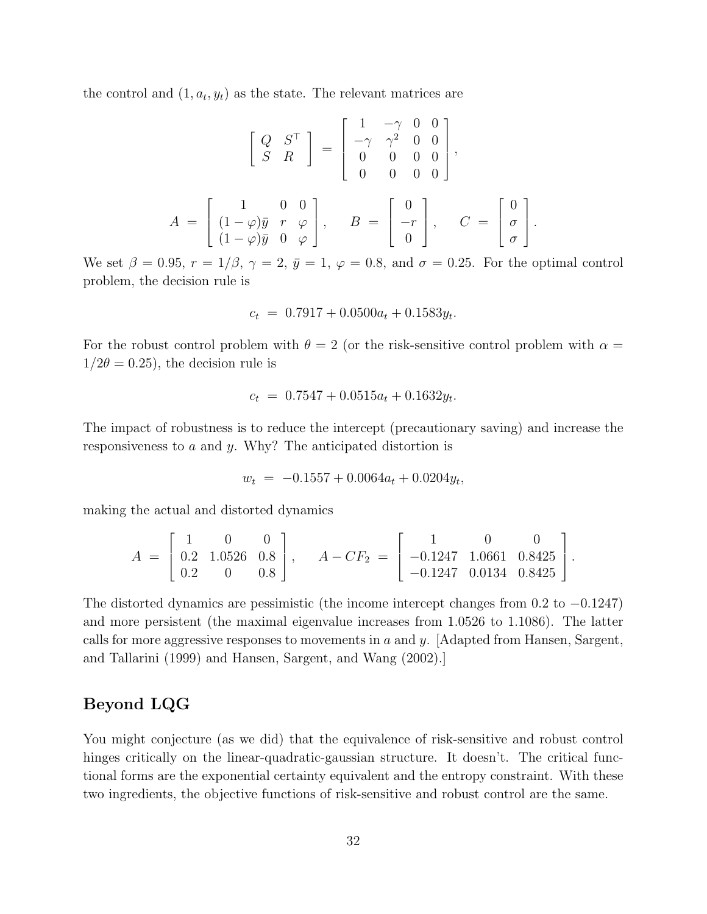the control and  $(1, a_t, y_t)$  as the state. The relevant matrices are

$$
\begin{bmatrix} Q & S^{\top} \\ S & R \end{bmatrix} = \begin{bmatrix} 1 & -\gamma & 0 & 0 \\ -\gamma & \gamma^{2} & 0 & 0 \\ 0 & 0 & 0 & 0 \\ 0 & 0 & 0 & 0 \end{bmatrix},
$$

$$
A = \begin{bmatrix} 1 & 0 & 0 \\ (1 - \varphi)\bar{y} & r & \varphi \\ (1 - \varphi)\bar{y} & 0 & \varphi \end{bmatrix}, \quad B = \begin{bmatrix} 0 \\ -r \\ 0 \end{bmatrix}, \quad C = \begin{bmatrix} 0 \\ \sigma \\ \sigma \end{bmatrix}.
$$

We set  $\beta = 0.95$ ,  $r = 1/\beta$ ,  $\gamma = 2$ ,  $\bar{y} = 1$ ,  $\varphi = 0.8$ , and  $\sigma = 0.25$ . For the optimal control problem, the decision rule is

$$
c_t = 0.7917 + 0.0500a_t + 0.1583y_t.
$$

For the robust control problem with  $\theta = 2$  (or the risk-sensitive control problem with  $\alpha =$  $1/2\theta = 0.25$ , the decision rule is

$$
c_t = 0.7547 + 0.0515a_t + 0.1632y_t.
$$

The impact of robustness is to reduce the intercept (precautionary saving) and increase the responsiveness to a and y. Why? The anticipated distortion is

$$
w_t = -0.1557 + 0.0064a_t + 0.0204y_t,
$$

making the actual and distorted dynamics

$$
A = \begin{bmatrix} 1 & 0 & 0 \\ 0.2 & 1.0526 & 0.8 \\ 0.2 & 0 & 0.8 \end{bmatrix}, \quad A - CF_2 = \begin{bmatrix} 1 & 0 & 0 \\ -0.1247 & 1.0661 & 0.8425 \\ -0.1247 & 0.0134 & 0.8425 \end{bmatrix}.
$$

The distorted dynamics are pessimistic (the income intercept changes from  $0.2$  to  $-0.1247$ ) and more persistent (the maximal eigenvalue increases from 1.0526 to 1.1086). The latter calls for more aggressive responses to movements in  $a$  and  $y$ . [Adapted from Hansen, Sargent, and Tallarini (1999) and Hansen, Sargent, and Wang (2002).]

## Beyond LQG

You might conjecture (as we did) that the equivalence of risk-sensitive and robust control hinges critically on the linear-quadratic-gaussian structure. It doesn't. The critical functional forms are the exponential certainty equivalent and the entropy constraint. With these two ingredients, the objective functions of risk-sensitive and robust control are the same.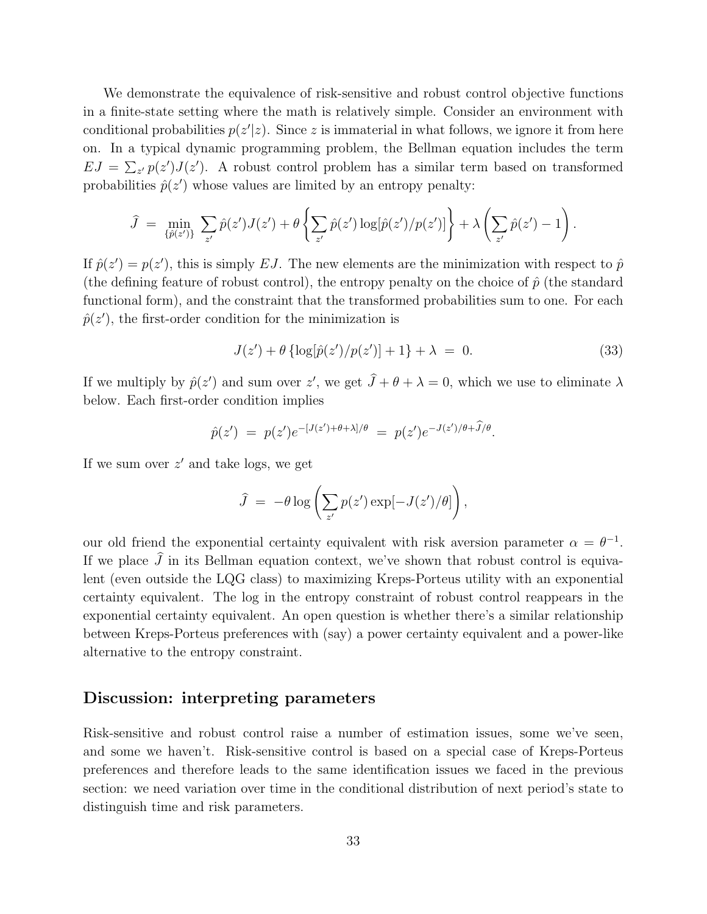We demonstrate the equivalence of risk-sensitive and robust control objective functions in a finite-state setting where the math is relatively simple. Consider an environment with conditional probabilities  $p(z'|z)$ . Since z is immaterial in what follows, we ignore it from here on. In a typical dynamic programming problem, the Bellman equation includes the term  $EJ = \sum_{z'} p(z')J(z')$ . A robust control problem has a similar term based on transformed probabilities  $\hat{p}(z')$  whose values are limited by an entropy penalty:

$$
\widehat{J} = \min_{\{\widehat{p}(z')\}} \sum_{z'} \widehat{p}(z')J(z') + \theta \left\{ \sum_{z'} \widehat{p}(z') \log[\widehat{p}(z')/p(z')] \right\} + \lambda \left( \sum_{z'} \widehat{p}(z') - 1 \right)
$$

If  $\hat{p}(z') = p(z')$ , this is simply EJ. The new elements are the minimization with respect to  $\hat{p}$ (the defining feature of robust control), the entropy penalty on the choice of  $\hat{p}$  (the standard functional form), and the constraint that the transformed probabilities sum to one. For each  $\hat{p}(z')$ , the first-order condition for the minimization is

$$
J(z') + \theta \{ \log[\hat{p}(z')/p(z')] + 1 \} + \lambda = 0.
$$
 (33)

.

If we multiply by  $\hat{p}(z')$  and sum over  $z'$ , we get  $\hat{J} + \theta + \lambda = 0$ , which we use to eliminate  $\lambda$ below. Each first-order condition implies

$$
\hat{p}(z') = p(z')e^{-[J(z')+\theta+\lambda]/\theta} = p(z')e^{-J(z')/\theta+\widehat{J}/\theta}.
$$

If we sum over  $z'$  and take logs, we get

$$
\widehat{J} = -\theta \log \left( \sum_{z'} p(z') \exp[-J(z')/\theta] \right),
$$

our old friend the exponential certainty equivalent with risk aversion parameter  $\alpha = \theta^{-1}$ . If we place  $\hat{J}$  in its Bellman equation context, we've shown that robust control is equivalent (even outside the LQG class) to maximizing Kreps-Porteus utility with an exponential certainty equivalent. The log in the entropy constraint of robust control reappears in the exponential certainty equivalent. An open question is whether there's a similar relationship between Kreps-Porteus preferences with (say) a power certainty equivalent and a power-like alternative to the entropy constraint.

## Discussion: interpreting parameters

Risk-sensitive and robust control raise a number of estimation issues, some we've seen, and some we haven't. Risk-sensitive control is based on a special case of Kreps-Porteus preferences and therefore leads to the same identification issues we faced in the previous section: we need variation over time in the conditional distribution of next period's state to distinguish time and risk parameters.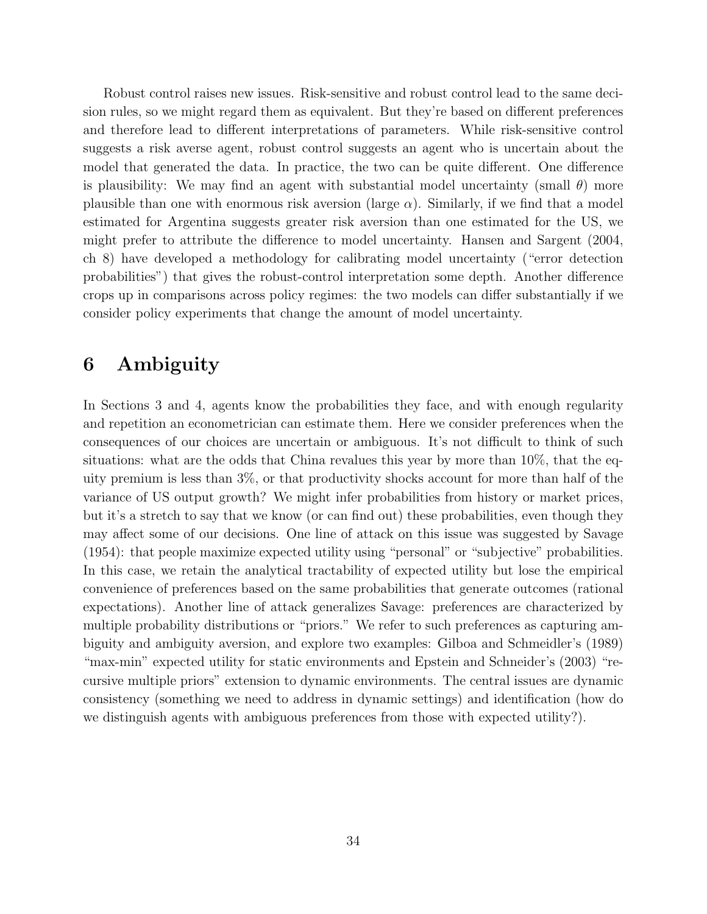Robust control raises new issues. Risk-sensitive and robust control lead to the same decision rules, so we might regard them as equivalent. But they're based on different preferences and therefore lead to different interpretations of parameters. While risk-sensitive control suggests a risk averse agent, robust control suggests an agent who is uncertain about the model that generated the data. In practice, the two can be quite different. One difference is plausibility: We may find an agent with substantial model uncertainty (small  $\theta$ ) more plausible than one with enormous risk aversion (large  $\alpha$ ). Similarly, if we find that a model estimated for Argentina suggests greater risk aversion than one estimated for the US, we might prefer to attribute the difference to model uncertainty. Hansen and Sargent (2004, ch 8) have developed a methodology for calibrating model uncertainty ("error detection probabilities") that gives the robust-control interpretation some depth. Another difference crops up in comparisons across policy regimes: the two models can differ substantially if we consider policy experiments that change the amount of model uncertainty.

# 6 Ambiguity

In Sections 3 and 4, agents know the probabilities they face, and with enough regularity and repetition an econometrician can estimate them. Here we consider preferences when the consequences of our choices are uncertain or ambiguous. It's not difficult to think of such situations: what are the odds that China revalues this year by more than 10%, that the equity premium is less than 3%, or that productivity shocks account for more than half of the variance of US output growth? We might infer probabilities from history or market prices, but it's a stretch to say that we know (or can find out) these probabilities, even though they may affect some of our decisions. One line of attack on this issue was suggested by Savage (1954): that people maximize expected utility using "personal" or "subjective" probabilities. In this case, we retain the analytical tractability of expected utility but lose the empirical convenience of preferences based on the same probabilities that generate outcomes (rational expectations). Another line of attack generalizes Savage: preferences are characterized by multiple probability distributions or "priors." We refer to such preferences as capturing ambiguity and ambiguity aversion, and explore two examples: Gilboa and Schmeidler's (1989) "max-min" expected utility for static environments and Epstein and Schneider's (2003) "recursive multiple priors" extension to dynamic environments. The central issues are dynamic consistency (something we need to address in dynamic settings) and identification (how do we distinguish agents with ambiguous preferences from those with expected utility?).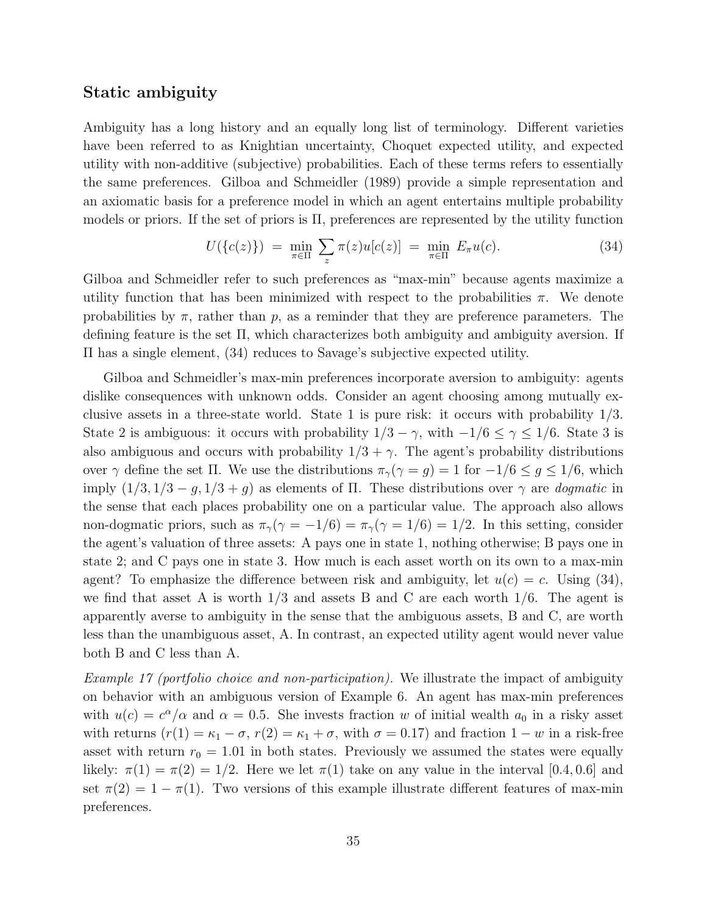### Static ambiguity

Ambiguity has a long history and an equally long list of terminology. Different varieties have been referred to as Knightian uncertainty, Choquet expected utility, and expected utility with non-additive (subjective) probabilities. Each of these terms refers to essentially the same preferences. Gilboa and Schmeidler (1989) provide a simple representation and an axiomatic basis for a preference model in which an agent entertains multiple probability models or priors. If the set of priors is  $\Pi$ , preferences are represented by the utility function

$$
U(\{c(z)\}) = \min_{\pi \in \Pi} \sum_{z} \pi(z) u[c(z)] = \min_{\pi \in \Pi} E_{\pi} u(c). \tag{34}
$$

Gilboa and Schmeidler refer to such preferences as "max-min" because agents maximize a utility function that has been minimized with respect to the probabilities  $\pi$ . We denote probabilities by  $\pi$ , rather than p, as a reminder that they are preference parameters. The defining feature is the set Π, which characterizes both ambiguity and ambiguity aversion. If Π has a single element, (34) reduces to Savage's subjective expected utility.

Gilboa and Schmeidler's max-min preferences incorporate aversion to ambiguity: agents dislike consequences with unknown odds. Consider an agent choosing among mutually exclusive assets in a three-state world. State 1 is pure risk: it occurs with probability 1/3. State 2 is ambiguous: it occurs with probability  $1/3 - \gamma$ , with  $-1/6 \leq \gamma \leq 1/6$ . State 3 is also ambiguous and occurs with probability  $1/3 + \gamma$ . The agent's probability distributions over  $\gamma$  define the set  $\Pi$ . We use the distributions  $\pi_{\gamma}(\gamma = g) = 1$  for  $-1/6 \le g \le 1/6$ , which imply  $(1/3, 1/3 - g, 1/3 + g)$  as elements of  $\Pi$ . These distributions over  $\gamma$  are *dogmatic* in the sense that each places probability one on a particular value. The approach also allows non-dogmatic priors, such as  $\pi_{\gamma}(\gamma = -1/6) = \pi_{\gamma}(\gamma = 1/6) = 1/2$ . In this setting, consider the agent's valuation of three assets: A pays one in state 1, nothing otherwise; B pays one in state 2; and C pays one in state 3. How much is each asset worth on its own to a max-min agent? To emphasize the difference between risk and ambiguity, let  $u(c) = c$ . Using (34), we find that asset A is worth  $1/3$  and assets B and C are each worth  $1/6$ . The agent is apparently averse to ambiguity in the sense that the ambiguous assets, B and C, are worth less than the unambiguous asset, A. In contrast, an expected utility agent would never value both B and C less than A.

Example 17 (portfolio choice and non-participation). We illustrate the impact of ambiguity on behavior with an ambiguous version of Example 6. An agent has max-min preferences with  $u(c) = c^{\alpha}/\alpha$  and  $\alpha = 0.5$ . She invests fraction w of initial wealth  $a_0$  in a risky asset with returns  $(r(1) = \kappa_1 - \sigma, r(2) = \kappa_1 + \sigma,$  with  $\sigma = 0.17$ ) and fraction  $1 - w$  in a risk-free asset with return  $r_0 = 1.01$  in both states. Previously we assumed the states were equally likely:  $\pi(1) = \pi(2) = 1/2$ . Here we let  $\pi(1)$  take on any value in the interval [0.4, 0.6] and set  $\pi(2) = 1 - \pi(1)$ . Two versions of this example illustrate different features of max-min preferences.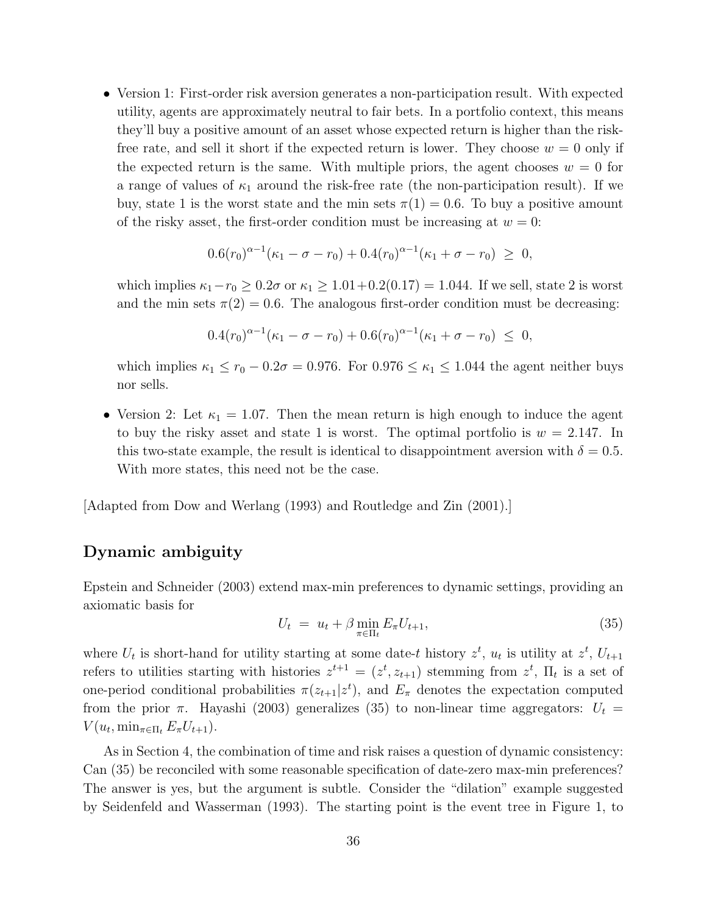• Version 1: First-order risk aversion generates a non-participation result. With expected utility, agents are approximately neutral to fair bets. In a portfolio context, this means they'll buy a positive amount of an asset whose expected return is higher than the riskfree rate, and sell it short if the expected return is lower. They choose  $w = 0$  only if the expected return is the same. With multiple priors, the agent chooses  $w = 0$  for a range of values of  $\kappa_1$  around the risk-free rate (the non-participation result). If we buy, state 1 is the worst state and the min sets  $\pi(1) = 0.6$ . To buy a positive amount of the risky asset, the first-order condition must be increasing at  $w = 0$ :

$$
0.6(r_0)^{\alpha-1}(\kappa_1-\sigma-r_0)+0.4(r_0)^{\alpha-1}(\kappa_1+\sigma-r_0) \geq 0,
$$

which implies  $\kappa_1 - r_0 \geq 0.2\sigma$  or  $\kappa_1 \geq 1.01 + 0.2(0.17) = 1.044$ . If we sell, state 2 is worst and the min sets  $\pi(2) = 0.6$ . The analogous first-order condition must be decreasing:

$$
0.4(r_0)^{\alpha-1}(\kappa_1-\sigma-r_0)+0.6(r_0)^{\alpha-1}(\kappa_1+\sigma-r_0) \leq 0,
$$

which implies  $\kappa_1 \le r_0 - 0.2\sigma = 0.976$ . For  $0.976 \le \kappa_1 \le 1.044$  the agent neither buys nor sells.

• Version 2: Let  $\kappa_1 = 1.07$ . Then the mean return is high enough to induce the agent to buy the risky asset and state 1 is worst. The optimal portfolio is  $w = 2.147$ . In this two-state example, the result is identical to disappointment aversion with  $\delta = 0.5$ . With more states, this need not be the case.

[Adapted from Dow and Werlang (1993) and Routledge and Zin (2001).]

### Dynamic ambiguity

Epstein and Schneider (2003) extend max-min preferences to dynamic settings, providing an axiomatic basis for

$$
U_t = u_t + \beta \min_{\pi \in \Pi_t} E_{\pi} U_{t+1}, \tag{35}
$$

where  $U_t$  is short-hand for utility starting at some date-t history  $z^t$ ,  $u_t$  is utility at  $z^t$ ,  $U_{t+1}$ refers to utilities starting with histories  $z^{t+1} = (z^t, z_{t+1})$  stemming from  $z^t$ ,  $\Pi_t$  is a set of one-period conditional probabilities  $\pi(z_{t+1}|z^t)$ , and  $E_{\pi}$  denotes the expectation computed from the prior  $\pi$ . Hayashi (2003) generalizes (35) to non-linear time aggregators:  $U_t$  =  $V(u_t, \min_{\pi \in \Pi_t} E_{\pi} U_{t+1}).$ 

As in Section 4, the combination of time and risk raises a question of dynamic consistency: Can (35) be reconciled with some reasonable specification of date-zero max-min preferences? The answer is yes, but the argument is subtle. Consider the "dilation" example suggested by Seidenfeld and Wasserman (1993). The starting point is the event tree in Figure 1, to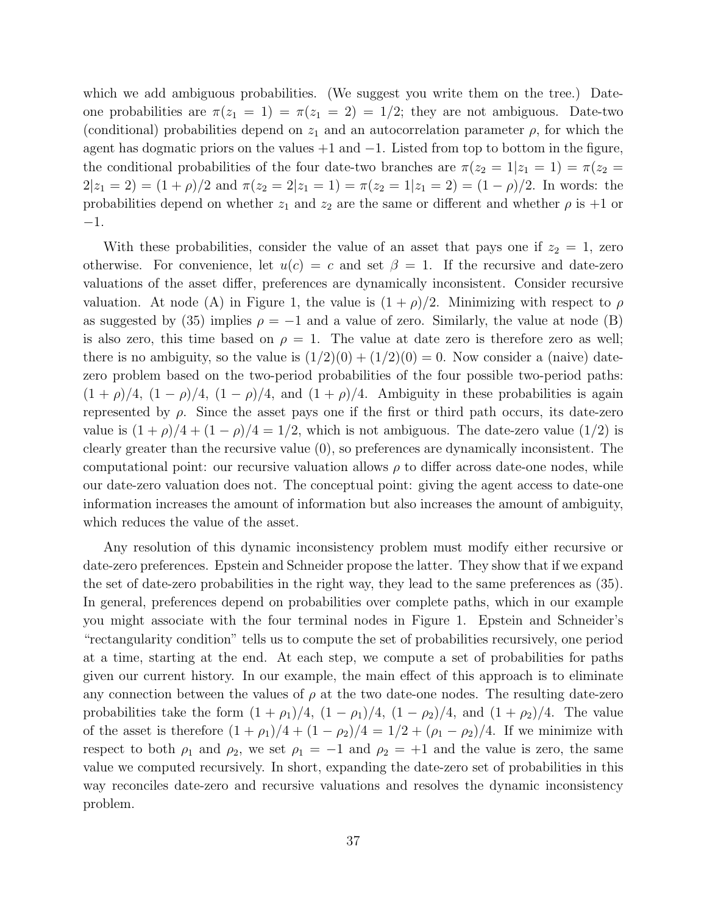which we add ambiguous probabilities. (We suggest you write them on the tree.) Dateone probabilities are  $\pi(z_1 = 1) = \pi(z_1 = 2) = 1/2$ ; they are not ambiguous. Date-two (conditional) probabilities depend on  $z_1$  and an autocorrelation parameter  $\rho$ , for which the agent has dogmatic priors on the values  $+1$  and  $-1$ . Listed from top to bottom in the figure, the conditional probabilities of the four date-two branches are  $\pi(z_2 = 1|z_1 = 1) = \pi(z_2 =$  $2|z_1 = 2| = (1 + \rho)/2$  and  $\pi(z_2 = 2|z_1 = 1) = \pi(z_2 = 1|z_1 = 2) = (1 - \rho)/2$ . In words: the probabilities depend on whether  $z_1$  and  $z_2$  are the same or different and whether  $\rho$  is +1 or −1.

With these probabilities, consider the value of an asset that pays one if  $z_2 = 1$ , zero otherwise. For convenience, let  $u(c) = c$  and set  $\beta = 1$ . If the recursive and date-zero valuations of the asset differ, preferences are dynamically inconsistent. Consider recursive valuation. At node (A) in Figure 1, the value is  $(1 + \rho)/2$ . Minimizing with respect to  $\rho$ as suggested by (35) implies  $\rho = -1$  and a value of zero. Similarly, the value at node (B) is also zero, this time based on  $\rho = 1$ . The value at date zero is therefore zero as well; there is no ambiguity, so the value is  $(1/2)(0) + (1/2)(0) = 0$ . Now consider a (naive) datezero problem based on the two-period probabilities of the four possible two-period paths:  $(1 + \rho)/4$ ,  $(1 - \rho)/4$ ,  $(1 - \rho)/4$ , and  $(1 + \rho)/4$ . Ambiguity in these probabilities is again represented by  $\rho$ . Since the asset pays one if the first or third path occurs, its date-zero value is  $(1+\rho)/4 + (1-\rho)/4 = 1/2$ , which is not ambiguous. The date-zero value  $(1/2)$  is clearly greater than the recursive value (0), so preferences are dynamically inconsistent. The computational point: our recursive valuation allows  $\rho$  to differ across date-one nodes, while our date-zero valuation does not. The conceptual point: giving the agent access to date-one information increases the amount of information but also increases the amount of ambiguity, which reduces the value of the asset.

Any resolution of this dynamic inconsistency problem must modify either recursive or date-zero preferences. Epstein and Schneider propose the latter. They show that if we expand the set of date-zero probabilities in the right way, they lead to the same preferences as (35). In general, preferences depend on probabilities over complete paths, which in our example you might associate with the four terminal nodes in Figure 1. Epstein and Schneider's "rectangularity condition" tells us to compute the set of probabilities recursively, one period at a time, starting at the end. At each step, we compute a set of probabilities for paths given our current history. In our example, the main effect of this approach is to eliminate any connection between the values of  $\rho$  at the two date-one nodes. The resulting date-zero probabilities take the form  $(1 + \rho_1)/4$ ,  $(1 - \rho_1)/4$ ,  $(1 - \rho_2)/4$ , and  $(1 + \rho_2)/4$ . The value of the asset is therefore  $(1 + \rho_1)/4 + (1 - \rho_2)/4 = 1/2 + (\rho_1 - \rho_2)/4$ . If we minimize with respect to both  $\rho_1$  and  $\rho_2$ , we set  $\rho_1 = -1$  and  $\rho_2 = +1$  and the value is zero, the same value we computed recursively. In short, expanding the date-zero set of probabilities in this way reconciles date-zero and recursive valuations and resolves the dynamic inconsistency problem.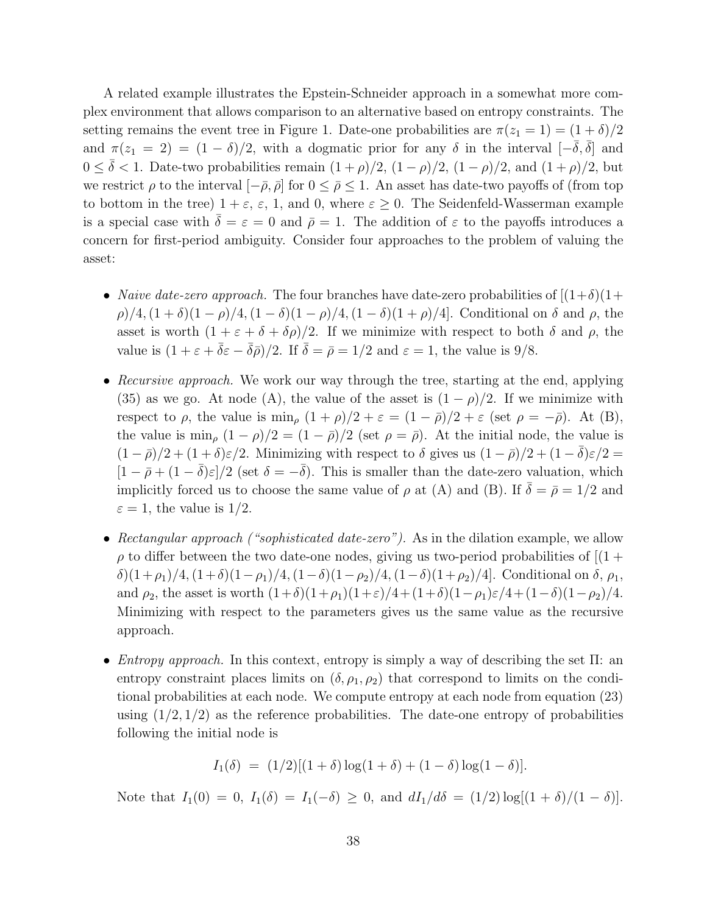A related example illustrates the Epstein-Schneider approach in a somewhat more complex environment that allows comparison to an alternative based on entropy constraints. The setting remains the event tree in Figure 1. Date-one probabilities are  $\pi(z_1 = 1) = (1 + \delta)/2$ and  $\pi(z_1 = 2) = (1 - \delta)/2$ , with a dogmatic prior for any  $\delta$  in the interval  $[-\overline{\delta}, \overline{\delta}]$  and  $0 \leq \bar{\delta} < 1$ . Date-two probabilities remain  $(1+\rho)/2$ ,  $(1-\rho)/2$ ,  $(1-\rho)/2$ , and  $(1+\rho)/2$ , but we restrict  $\rho$  to the interval  $[-\bar{\rho}, \bar{\rho}]$  for  $0 \leq \bar{\rho} \leq 1$ . An asset has date-two payoffs of (from top to bottom in the tree)  $1 + \varepsilon$ ,  $\varepsilon$ , 1, and 0, where  $\varepsilon \geq 0$ . The Seidenfeld-Wasserman example is a special case with  $\overline{\delta} = \varepsilon = 0$  and  $\overline{\rho} = 1$ . The addition of  $\varepsilon$  to the payoffs introduces a concern for first-period ambiguity. Consider four approaches to the problem of valuing the asset:

- Naive date-zero approach. The four branches have date-zero probabilities of  $[(1+\delta)(1+\delta)]$  $\rho$ / $(4, (1 + \delta)(1 - \rho)/4, (1 - \delta)(1 - \rho)/4, (1 - \delta)(1 + \rho)/4$ . Conditional on  $\delta$  and  $\rho$ , the asset is worth  $(1 + \varepsilon + \delta + \delta \rho)/2$ . If we minimize with respect to both  $\delta$  and  $\rho$ , the value is  $(1 + \varepsilon + \overline{\delta}\varepsilon - \overline{\delta}\overline{\rho})/2$ . If  $\overline{\delta} = \overline{\rho} = 1/2$  and  $\varepsilon = 1$ , the value is 9/8.
- Recursive approach. We work our way through the tree, starting at the end, applying (35) as we go. At node (A), the value of the asset is  $(1 - \rho)/2$ . If we minimize with respect to  $\rho$ , the value is  $\min_{\rho} (1 + \rho)/2 + \varepsilon = (1 - \bar{\rho})/2 + \varepsilon$  (set  $\rho = -\bar{\rho}$ ). At (B), the value is min<sub>ρ</sub>  $(1 - \rho)/2 = (1 - \bar{\rho})/2$  (set  $\rho = \bar{\rho}$ ). At the initial node, the value is  $(1 - \bar{\rho})/2 + (1 + \delta)\varepsilon/2$ . Minimizing with respect to  $\delta$  gives us  $(1 - \bar{\rho})/2 + (1 - \bar{\delta})\varepsilon/2 =$  $[1 - \bar{\rho} + (1 - \bar{\delta})\varepsilon]/2$  (set  $\delta = -\bar{\delta}$ ). This is smaller than the date-zero valuation, which implicitly forced us to choose the same value of  $\rho$  at (A) and (B). If  $\bar{\delta} = \bar{\rho} = 1/2$  and  $\varepsilon = 1$ , the value is  $1/2$ .
- Rectangular approach ("sophisticated date-zero"). As in the dilation example, we allow  $\rho$  to differ between the two date-one nodes, giving us two-period probabilities of  $(1 +$ δ)(1+ρ<sub>1</sub>)/4, (1+δ)(1−ρ<sub>1</sub>)/4, (1−δ)(1−ρ<sub>2</sub>)/4, (1−δ)(1+ρ<sub>2</sub>)/4]. Conditional on δ, ρ<sub>1</sub>, and  $\rho_2$ , the asset is worth  $(1+\delta)(1+\rho_1)(1+\varepsilon)/4 + (1+\delta)(1-\rho_1)\varepsilon/4 + (1-\delta)(1-\rho_2)/4$ . Minimizing with respect to the parameters gives us the same value as the recursive approach.
- *Entropy approach*. In this context, entropy is simply a way of describing the set  $\Pi$ : an entropy constraint places limits on  $(\delta, \rho_1, \rho_2)$  that correspond to limits on the conditional probabilities at each node. We compute entropy at each node from equation (23) using  $(1/2, 1/2)$  as the reference probabilities. The date-one entropy of probabilities following the initial node is

$$
I_1(\delta) = (1/2)[(1+\delta)\log(1+\delta) + (1-\delta)\log(1-\delta)].
$$

Note that  $I_1(0) = 0$ ,  $I_1(\delta) = I_1(-\delta) \geq 0$ , and  $dI_1/d\delta = (1/2) \log[(1+\delta)/(1-\delta)]$ .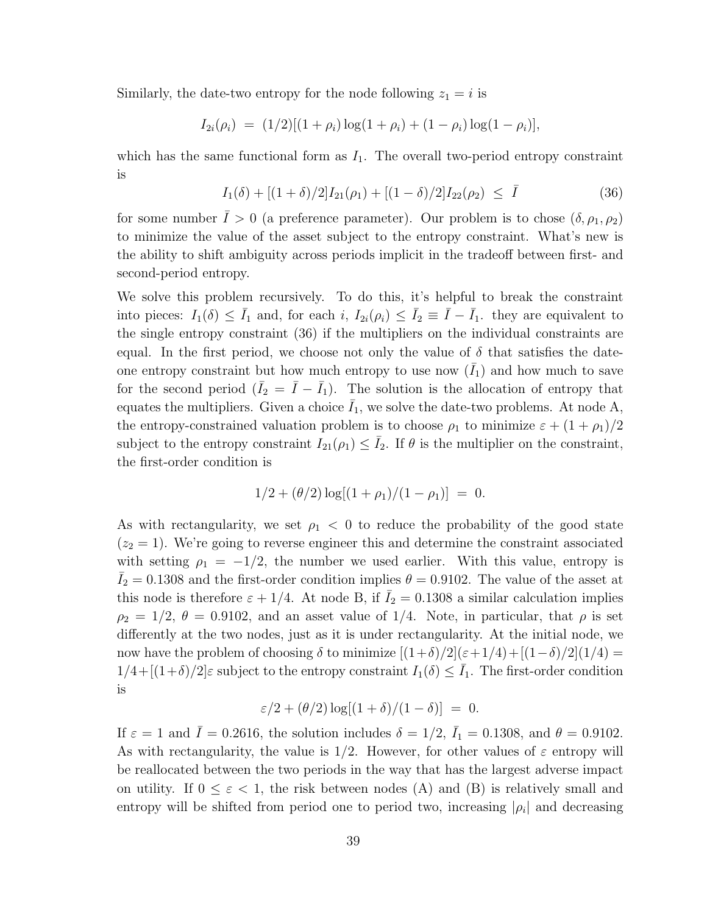Similarly, the date-two entropy for the node following  $z_1 = i$  is

$$
I_{2i}(\rho_i) = (1/2)[(1+\rho_i)\log(1+\rho_i) + (1-\rho_i)\log(1-\rho_i)],
$$

which has the same functional form as  $I_1$ . The overall two-period entropy constraint is

$$
I_1(\delta) + [(1+\delta)/2]I_{21}(\rho_1) + [(1-\delta)/2]I_{22}(\rho_2) \le \bar{I}
$$
\n(36)

for some number  $\bar{I} > 0$  (a preference parameter). Our problem is to chose  $(\delta, \rho_1, \rho_2)$ to minimize the value of the asset subject to the entropy constraint. What's new is the ability to shift ambiguity across periods implicit in the tradeoff between first- and second-period entropy.

We solve this problem recursively. To do this, it's helpful to break the constraint into pieces:  $I_1(\delta) \leq \bar{I}_1$  and, for each  $i, I_{2i}(\rho_i) \leq \bar{I}_2 \equiv \bar{I} - \bar{I}_1$ . they are equivalent to the single entropy constraint (36) if the multipliers on the individual constraints are equal. In the first period, we choose not only the value of  $\delta$  that satisfies the dateone entropy constraint but how much entropy to use now  $(I_1)$  and how much to save for the second period  $(\bar{I}_2 = \bar{I} - \bar{I}_1)$ . The solution is the allocation of entropy that equates the multipliers. Given a choice  $\bar{I}_1$ , we solve the date-two problems. At node A, the entropy-constrained valuation problem is to choose  $\rho_1$  to minimize  $\varepsilon + (1 + \rho_1)/2$ subject to the entropy constraint  $I_{21}(\rho_1) \leq \bar{I}_2$ . If  $\theta$  is the multiplier on the constraint, the first-order condition is

$$
1/2 + (\theta/2) \log[(1+\rho_1)/(1-\rho_1)] = 0.
$$

As with rectangularity, we set  $\rho_1 < 0$  to reduce the probability of the good state  $(z_2 = 1)$ . We're going to reverse engineer this and determine the constraint associated with setting  $\rho_1 = -1/2$ , the number we used earlier. With this value, entropy is  $I_2 = 0.1308$  and the first-order condition implies  $\theta = 0.9102$ . The value of the asset at this node is therefore  $\varepsilon + 1/4$ . At node B, if  $\overline{I}_2 = 0.1308$  a similar calculation implies  $\rho_2 = 1/2, \theta = 0.9102$ , and an asset value of 1/4. Note, in particular, that  $\rho$  is set differently at the two nodes, just as it is under rectangularity. At the initial node, we now have the problem of choosing  $\delta$  to minimize  $[(1+\delta)/2](\varepsilon+1/4)+[(1-\delta)/2](1/4)$  =  $1/4+[(1+\delta)/2]\varepsilon$  subject to the entropy constraint  $I_1(\delta) \leq \overline{I}_1$ . The first-order condition is

$$
\varepsilon/2 + (\theta/2) \log[(1+\delta)/(1-\delta)] = 0.
$$

If  $\varepsilon = 1$  and  $\overline{I} = 0.2616$ , the solution includes  $\delta = 1/2$ ,  $\overline{I}_1 = 0.1308$ , and  $\theta = 0.9102$ . As with rectangularity, the value is  $1/2$ . However, for other values of  $\varepsilon$  entropy will be reallocated between the two periods in the way that has the largest adverse impact on utility. If  $0 \leq \varepsilon < 1$ , the risk between nodes (A) and (B) is relatively small and entropy will be shifted from period one to period two, increasing  $|\rho_i|$  and decreasing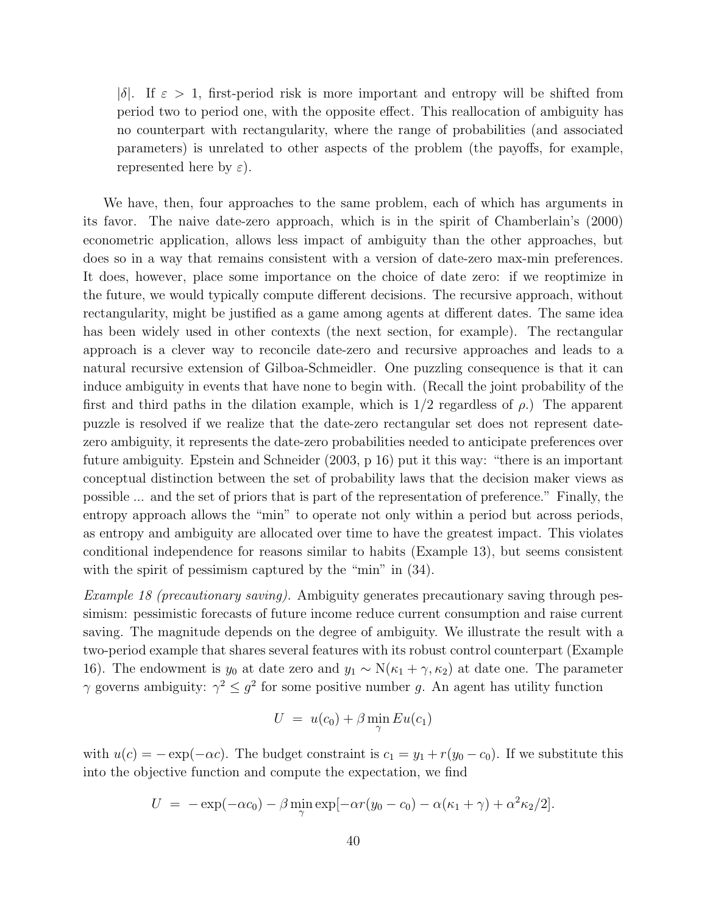|δ|. If  $\varepsilon > 1$ , first-period risk is more important and entropy will be shifted from period two to period one, with the opposite effect. This reallocation of ambiguity has no counterpart with rectangularity, where the range of probabilities (and associated parameters) is unrelated to other aspects of the problem (the payoffs, for example, represented here by  $\varepsilon$ ).

We have, then, four approaches to the same problem, each of which has arguments in its favor. The naive date-zero approach, which is in the spirit of Chamberlain's (2000) econometric application, allows less impact of ambiguity than the other approaches, but does so in a way that remains consistent with a version of date-zero max-min preferences. It does, however, place some importance on the choice of date zero: if we reoptimize in the future, we would typically compute different decisions. The recursive approach, without rectangularity, might be justified as a game among agents at different dates. The same idea has been widely used in other contexts (the next section, for example). The rectangular approach is a clever way to reconcile date-zero and recursive approaches and leads to a natural recursive extension of Gilboa-Schmeidler. One puzzling consequence is that it can induce ambiguity in events that have none to begin with. (Recall the joint probability of the first and third paths in the dilation example, which is  $1/2$  regardless of  $\rho$ .) The apparent puzzle is resolved if we realize that the date-zero rectangular set does not represent datezero ambiguity, it represents the date-zero probabilities needed to anticipate preferences over future ambiguity. Epstein and Schneider (2003, p 16) put it this way: "there is an important conceptual distinction between the set of probability laws that the decision maker views as possible ... and the set of priors that is part of the representation of preference." Finally, the entropy approach allows the "min" to operate not only within a period but across periods, as entropy and ambiguity are allocated over time to have the greatest impact. This violates conditional independence for reasons similar to habits (Example 13), but seems consistent with the spirit of pessimism captured by the "min" in  $(34)$ .

Example 18 (precautionary saving). Ambiguity generates precautionary saving through pessimism: pessimistic forecasts of future income reduce current consumption and raise current saving. The magnitude depends on the degree of ambiguity. We illustrate the result with a two-period example that shares several features with its robust control counterpart (Example 16). The endowment is  $y_0$  at date zero and  $y_1 \sim N(\kappa_1 + \gamma, \kappa_2)$  at date one. The parameter  $\gamma$  governs ambiguity:  $\gamma^2 \leq g^2$  for some positive number g. An agent has utility function

$$
U = u(c_0) + \beta \min_{\gamma} Eu(c_1)
$$

with  $u(c) = -\exp(-\alpha c)$ . The budget constraint is  $c_1 = y_1 + r(y_0 - c_0)$ . If we substitute this into the objective function and compute the expectation, we find

$$
U = -\exp(-\alpha c_0) - \beta \min_{\gamma} \exp[-\alpha r(y_0 - c_0) - \alpha(\kappa_1 + \gamma) + \alpha^2 \kappa_2/2].
$$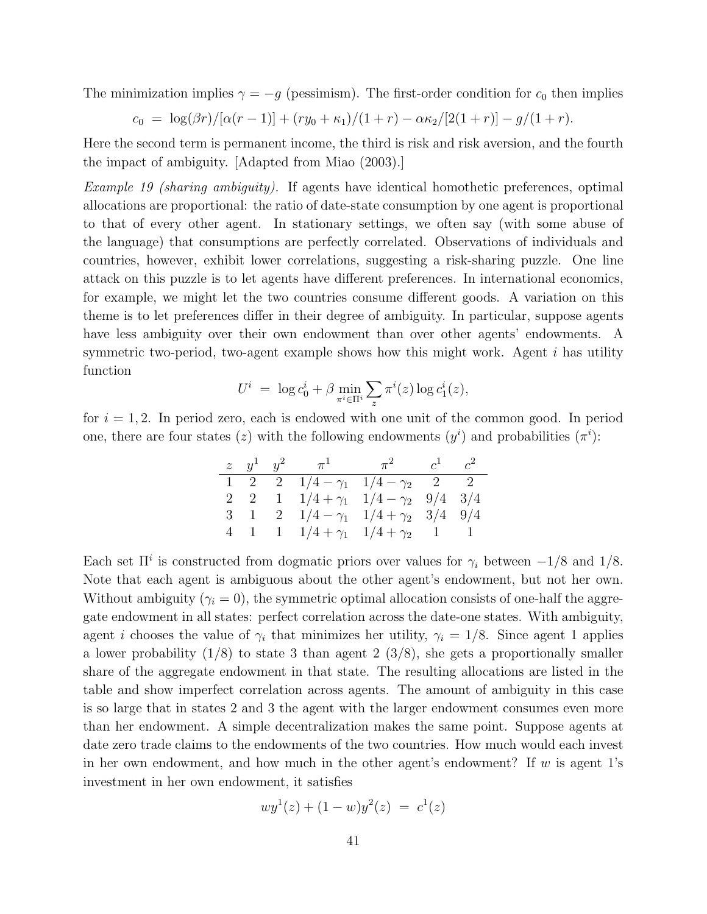The minimization implies  $\gamma = -g$  (pessimism). The first-order condition for  $c_0$  then implies

$$
c_0 = \log(\beta r)/[\alpha(r-1)] + (ry_0 + \kappa_1)/(1+r) - \alpha \kappa_2/[2(1+r)] - g/(1+r).
$$

Here the second term is permanent income, the third is risk and risk aversion, and the fourth the impact of ambiguity. [Adapted from Miao (2003).]

Example 19 (sharing ambiguity). If agents have identical homothetic preferences, optimal allocations are proportional: the ratio of date-state consumption by one agent is proportional to that of every other agent. In stationary settings, we often say (with some abuse of the language) that consumptions are perfectly correlated. Observations of individuals and countries, however, exhibit lower correlations, suggesting a risk-sharing puzzle. One line attack on this puzzle is to let agents have different preferences. In international economics, for example, we might let the two countries consume different goods. A variation on this theme is to let preferences differ in their degree of ambiguity. In particular, suppose agents have less ambiguity over their own endowment than over other agents' endowments. A symmetric two-period, two-agent example shows how this might work. Agent  $i$  has utility function

$$
U^i = \log c_0^i + \beta \min_{\pi^i \in \Pi^i} \sum_z \pi^i(z) \log c_1^i(z),
$$

for  $i = 1, 2$ . In period zero, each is endowed with one unit of the common good. In period one, there are four states (*z*) with the following endowments  $(y<sup>i</sup>)$  and probabilities  $(\pi<sup>i</sup>)$ :

|  | $z \quad y^1 \quad y^2 \quad \pi^1 \quad \pi^2 \quad c^1 \quad c^2$ |  |  |
|--|---------------------------------------------------------------------|--|--|
|  | 1 2 2 $1/4 - \gamma_1$ $1/4 - \gamma_2$ 2 2                         |  |  |
|  | 2 2 1 $1/4 + \gamma_1$ $1/4 - \gamma_2$ $9/4$ $3/4$                 |  |  |
|  | 3 1 2 $1/4 - \gamma_1$ $1/4 + \gamma_2$ $3/4$ $9/4$                 |  |  |
|  | 4 1 1 $1/4+\gamma_1$ $1/4+\gamma_2$ 1 1                             |  |  |

Each set  $\Pi^i$  is constructed from dogmatic priors over values for  $\gamma_i$  between  $-1/8$  and  $1/8$ . Note that each agent is ambiguous about the other agent's endowment, but not her own. Without ambiguity  $(\gamma_i = 0)$ , the symmetric optimal allocation consists of one-half the aggregate endowment in all states: perfect correlation across the date-one states. With ambiguity, agent *i* chooses the value of  $\gamma_i$  that minimizes her utility,  $\gamma_i = 1/8$ . Since agent 1 applies a lower probability  $(1/8)$  to state 3 than agent 2  $(3/8)$ , she gets a proportionally smaller share of the aggregate endowment in that state. The resulting allocations are listed in the table and show imperfect correlation across agents. The amount of ambiguity in this case is so large that in states 2 and 3 the agent with the larger endowment consumes even more than her endowment. A simple decentralization makes the same point. Suppose agents at date zero trade claims to the endowments of the two countries. How much would each invest in her own endowment, and how much in the other agent's endowment? If  $w$  is agent 1's investment in her own endowment, it satisfies

$$
wy^{1}(z) + (1-w)y^{2}(z) = c^{1}(z)
$$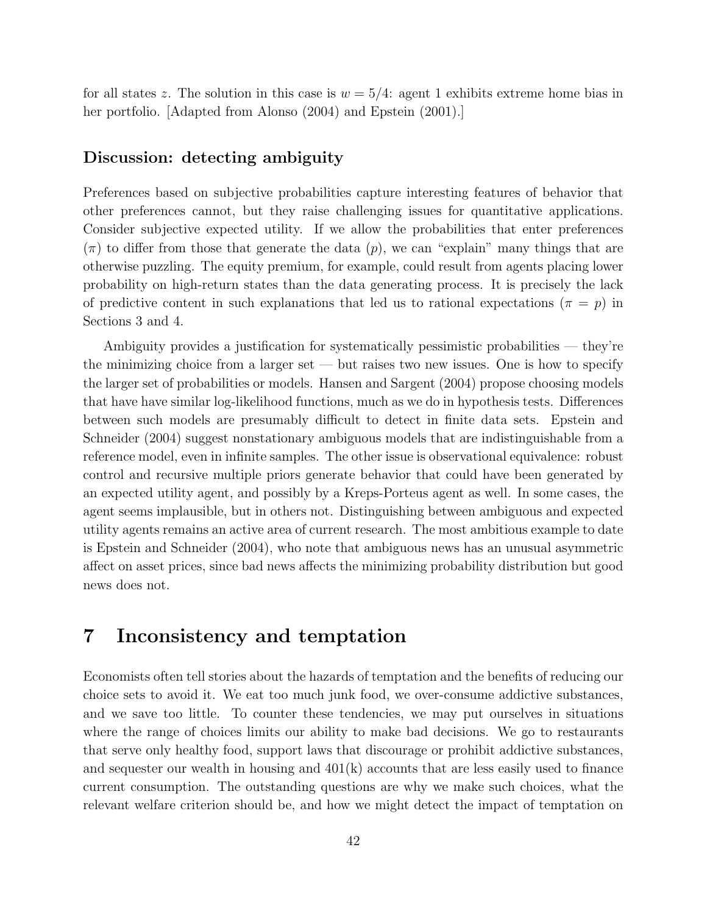for all states z. The solution in this case is  $w = 5/4$ : agent 1 exhibits extreme home bias in her portfolio. [Adapted from Alonso (2004) and Epstein (2001).]

### Discussion: detecting ambiguity

Preferences based on subjective probabilities capture interesting features of behavior that other preferences cannot, but they raise challenging issues for quantitative applications. Consider subjective expected utility. If we allow the probabilities that enter preferences  $(\pi)$  to differ from those that generate the data  $(p)$ , we can "explain" many things that are otherwise puzzling. The equity premium, for example, could result from agents placing lower probability on high-return states than the data generating process. It is precisely the lack of predictive content in such explanations that led us to rational expectations ( $\pi = p$ ) in Sections 3 and 4.

Ambiguity provides a justification for systematically pessimistic probabilities — they're the minimizing choice from a larger set — but raises two new issues. One is how to specify the larger set of probabilities or models. Hansen and Sargent (2004) propose choosing models that have have similar log-likelihood functions, much as we do in hypothesis tests. Differences between such models are presumably difficult to detect in finite data sets. Epstein and Schneider (2004) suggest nonstationary ambiguous models that are indistinguishable from a reference model, even in infinite samples. The other issue is observational equivalence: robust control and recursive multiple priors generate behavior that could have been generated by an expected utility agent, and possibly by a Kreps-Porteus agent as well. In some cases, the agent seems implausible, but in others not. Distinguishing between ambiguous and expected utility agents remains an active area of current research. The most ambitious example to date is Epstein and Schneider (2004), who note that ambiguous news has an unusual asymmetric affect on asset prices, since bad news affects the minimizing probability distribution but good news does not.

# 7 Inconsistency and temptation

Economists often tell stories about the hazards of temptation and the benefits of reducing our choice sets to avoid it. We eat too much junk food, we over-consume addictive substances, and we save too little. To counter these tendencies, we may put ourselves in situations where the range of choices limits our ability to make bad decisions. We go to restaurants that serve only healthy food, support laws that discourage or prohibit addictive substances, and sequester our wealth in housing and  $401(k)$  accounts that are less easily used to finance current consumption. The outstanding questions are why we make such choices, what the relevant welfare criterion should be, and how we might detect the impact of temptation on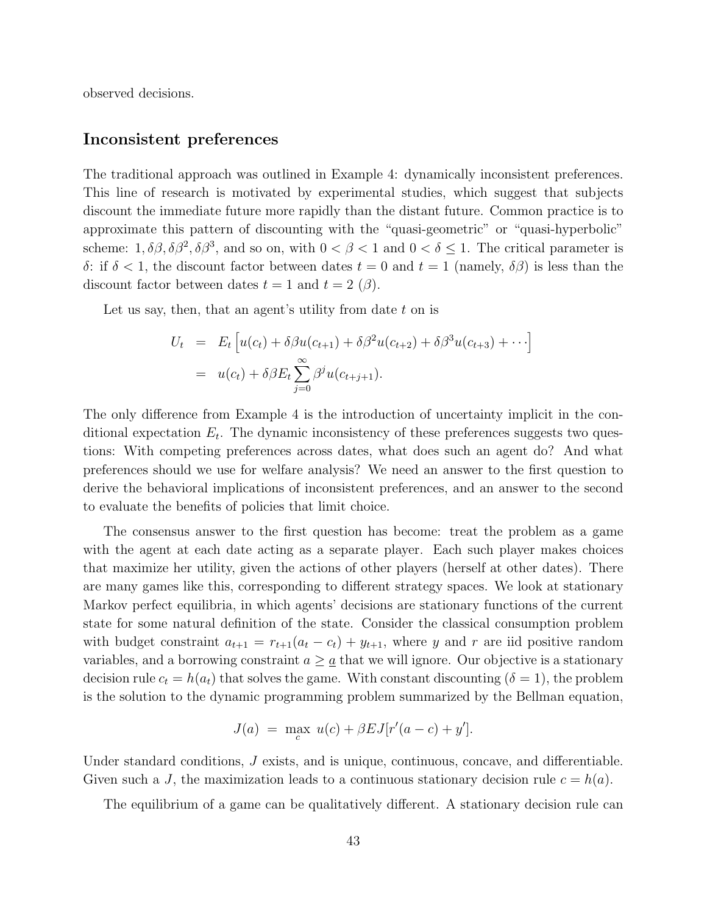observed decisions.

### Inconsistent preferences

The traditional approach was outlined in Example 4: dynamically inconsistent preferences. This line of research is motivated by experimental studies, which suggest that subjects discount the immediate future more rapidly than the distant future. Common practice is to approximate this pattern of discounting with the "quasi-geometric" or "quasi-hyperbolic" scheme:  $1, \delta\beta, \delta\beta^2, \delta\beta^3$ , and so on, with  $0 < \beta < 1$  and  $0 < \delta \leq 1$ . The critical parameter is δ: if  $\delta$  < 1, the discount factor between dates  $t = 0$  and  $t = 1$  (namely,  $\delta\beta$ ) is less than the discount factor between dates  $t = 1$  and  $t = 2 (\beta)$ .

Let us say, then, that an agent's utility from date  $t$  on is

$$
U_t = E_t \left[ u(c_t) + \delta \beta u(c_{t+1}) + \delta \beta^2 u(c_{t+2}) + \delta \beta^3 u(c_{t+3}) + \cdots \right]
$$
  
=  $u(c_t) + \delta \beta E_t \sum_{j=0}^{\infty} \beta^j u(c_{t+j+1}).$ 

The only difference from Example 4 is the introduction of uncertainty implicit in the conditional expectation  $E_t$ . The dynamic inconsistency of these preferences suggests two questions: With competing preferences across dates, what does such an agent do? And what preferences should we use for welfare analysis? We need an answer to the first question to derive the behavioral implications of inconsistent preferences, and an answer to the second to evaluate the benefits of policies that limit choice.

The consensus answer to the first question has become: treat the problem as a game with the agent at each date acting as a separate player. Each such player makes choices that maximize her utility, given the actions of other players (herself at other dates). There are many games like this, corresponding to different strategy spaces. We look at stationary Markov perfect equilibria, in which agents' decisions are stationary functions of the current state for some natural definition of the state. Consider the classical consumption problem with budget constraint  $a_{t+1} = r_{t+1}(a_t - c_t) + y_{t+1}$ , where y and r are iid positive random variables, and a borrowing constraint  $a \geq \underline{a}$  that we will ignore. Our objective is a stationary decision rule  $c_t = h(a_t)$  that solves the game. With constant discounting  $(\delta = 1)$ , the problem is the solution to the dynamic programming problem summarized by the Bellman equation,

$$
J(a) = \max_{c} u(c) + \beta E J[r'(a - c) + y'].
$$

Under standard conditions, J exists, and is unique, continuous, concave, and differentiable. Given such a J, the maximization leads to a continuous stationary decision rule  $c = h(a)$ .

The equilibrium of a game can be qualitatively different. A stationary decision rule can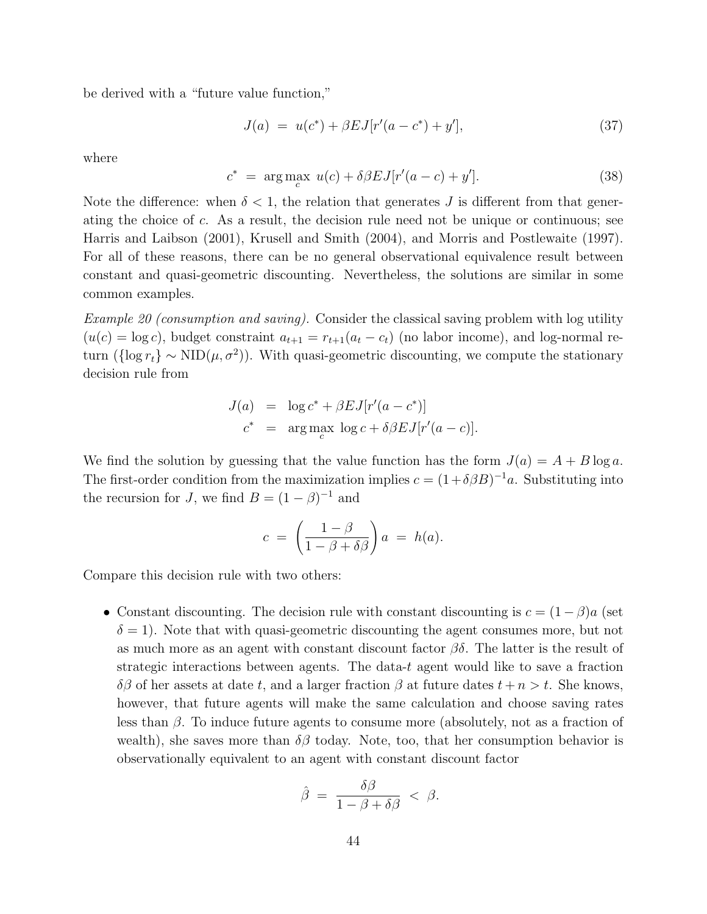be derived with a "future value function,"

$$
J(a) = u(c^*) + \beta E J[r'(a - c^*) + y'], \tag{37}
$$

where

$$
c^* = \arg\max_c u(c) + \delta \beta E J[r'(a-c) + y'].
$$
\n(38)

Note the difference: when  $\delta$  < 1, the relation that generates J is different from that generating the choice of c. As a result, the decision rule need not be unique or continuous; see Harris and Laibson (2001), Krusell and Smith (2004), and Morris and Postlewaite (1997). For all of these reasons, there can be no general observational equivalence result between constant and quasi-geometric discounting. Nevertheless, the solutions are similar in some common examples.

Example 20 (consumption and saving). Consider the classical saving problem with log utility  $(u(c) = \log c)$ , budget constraint  $a_{t+1} = r_{t+1}(a_t - c_t)$  (no labor income), and log-normal return ( $\{\log r_t\} \sim \text{NID}(\mu, \sigma^2)$ ). With quasi-geometric discounting, we compute the stationary decision rule from

$$
J(a) = \log c^* + \beta E J[r'(a - c^*)]
$$
  

$$
c^* = \arg \max_c \log c + \delta \beta E J[r'(a - c)].
$$

We find the solution by guessing that the value function has the form  $J(a) = A + B \log a$ . The first-order condition from the maximization implies  $c = (1 + \delta \beta B)^{-1}a$ . Substituting into the recursion for J, we find  $B = (1 - \beta)^{-1}$  and

$$
c = \left(\frac{1-\beta}{1-\beta+\delta\beta}\right)a = h(a).
$$

Compare this decision rule with two others:

• Constant discounting. The decision rule with constant discounting is  $c = (1 - \beta)a$  (set  $\delta = 1$ ). Note that with quasi-geometric discounting the agent consumes more, but not as much more as an agent with constant discount factor  $\beta\delta$ . The latter is the result of strategic interactions between agents. The data-t agent would like to save a fraction δβ of her assets at date t, and a larger fraction β at future dates  $t + n > t$ . She knows, however, that future agents will make the same calculation and choose saving rates less than  $\beta$ . To induce future agents to consume more (absolutely, not as a fraction of wealth), she saves more than  $\delta\beta$  today. Note, too, that her consumption behavior is observationally equivalent to an agent with constant discount factor

$$
\hat{\beta} = \frac{\delta \beta}{1 - \beta + \delta \beta} < \beta.
$$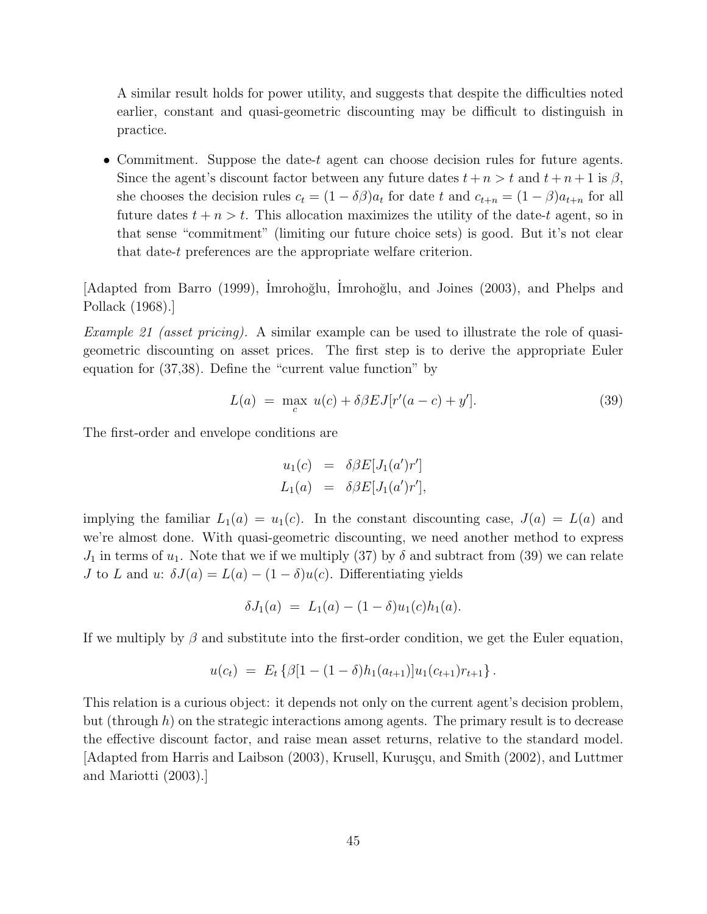A similar result holds for power utility, and suggests that despite the difficulties noted earlier, constant and quasi-geometric discounting may be difficult to distinguish in practice.

• Commitment. Suppose the date-t agent can choose decision rules for future agents. Since the agent's discount factor between any future dates  $t + n > t$  and  $t + n + 1$  is  $\beta$ , she chooses the decision rules  $c_t = (1 - \delta \beta) a_t$  for date t and  $c_{t+n} = (1 - \beta) a_{t+n}$  for all future dates  $t + n > t$ . This allocation maximizes the utility of the date-t agent, so in that sense "commitment" (limiting our future choice sets) is good. But it's not clear that date-t preferences are the appropriate welfare criterion.

[Adapted from Barro (1999), Imrohoğlu, Imrohoğlu, and Joines (2003), and Phelps and Pollack (1968).]

Example 21 (asset pricing). A similar example can be used to illustrate the role of quasigeometric discounting on asset prices. The first step is to derive the appropriate Euler equation for (37,38). Define the "current value function" by

$$
L(a) = \max_{c} u(c) + \delta \beta E J[r'(a - c) + y'].
$$
 (39)

The first-order and envelope conditions are

$$
u_1(c) = \delta \beta E[J_1(a')r']
$$
  

$$
L_1(a) = \delta \beta E[J_1(a')r'],
$$

implying the familiar  $L_1(a) = u_1(c)$ . In the constant discounting case,  $J(a) = L(a)$  and we're almost done. With quasi-geometric discounting, we need another method to express  $J_1$  in terms of  $u_1$ . Note that we if we multiply (37) by  $\delta$  and subtract from (39) we can relate *J* to *L* and *u*:  $\delta J(a) = L(a) - (1 - \delta)u(c)$ . Differentiating yields

$$
\delta J_1(a) = L_1(a) - (1 - \delta)u_1(c)h_1(a).
$$

If we multiply by  $\beta$  and substitute into the first-order condition, we get the Euler equation,

$$
u(c_t) = E_t \left\{ \beta[1 - (1 - \delta)h_1(a_{t+1})]u_1(c_{t+1})r_{t+1} \right\}.
$$

This relation is a curious object: it depends not only on the current agent's decision problem, but (through  $h$ ) on the strategic interactions among agents. The primary result is to decrease the effective discount factor, and raise mean asset returns, relative to the standard model. [Adapted from Harris and Laibson (2003), Krusell, Kuruşçu, and Smith (2002), and Luttmer and Mariotti (2003).]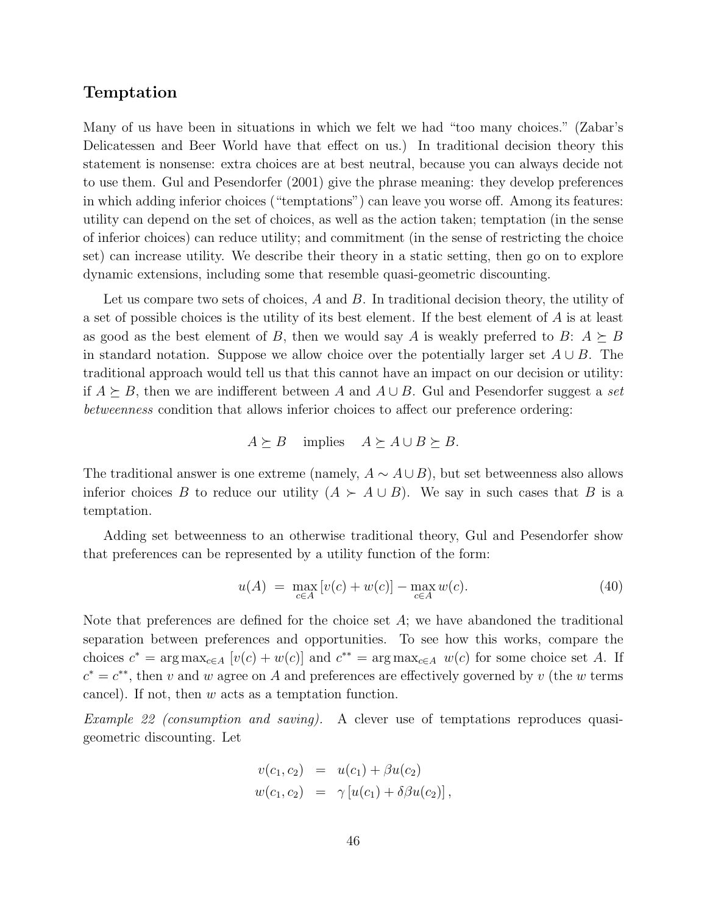### Temptation

Many of us have been in situations in which we felt we had "too many choices." (Zabar's Delicatessen and Beer World have that effect on us.) In traditional decision theory this statement is nonsense: extra choices are at best neutral, because you can always decide not to use them. Gul and Pesendorfer (2001) give the phrase meaning: they develop preferences in which adding inferior choices ("temptations") can leave you worse off. Among its features: utility can depend on the set of choices, as well as the action taken; temptation (in the sense of inferior choices) can reduce utility; and commitment (in the sense of restricting the choice set) can increase utility. We describe their theory in a static setting, then go on to explore dynamic extensions, including some that resemble quasi-geometric discounting.

Let us compare two sets of choices, A and B. In traditional decision theory, the utility of a set of possible choices is the utility of its best element. If the best element of A is at least as good as the best element of B, then we would say A is weakly preferred to B:  $A \succeq B$ in standard notation. Suppose we allow choice over the potentially larger set  $A \cup B$ . The traditional approach would tell us that this cannot have an impact on our decision or utility: if  $A \succeq B$ , then we are indifferent between A and  $A ∪ B$ . Gul and Pesendorfer suggest a set betweenness condition that allows inferior choices to affect our preference ordering:

$$
A \succeq B \quad \text{implies} \quad A \succeq A \cup B \succeq B.
$$

The traditional answer is one extreme (namely,  $A \sim A \cup B$ ), but set betweenness also allows inferior choices B to reduce our utility  $(A \succ A \cup B)$ . We say in such cases that B is a temptation.

Adding set betweenness to an otherwise traditional theory, Gul and Pesendorfer show that preferences can be represented by a utility function of the form:

$$
u(A) = \max_{c \in A} [v(c) + w(c)] - \max_{c \in A} w(c). \tag{40}
$$

Note that preferences are defined for the choice set  $A$ ; we have abandoned the traditional separation between preferences and opportunities. To see how this works, compare the choices  $c^* = \arg \max_{c \in A} [v(c) + w(c)]$  and  $c^{**} = \arg \max_{c \in A} w(c)$  for some choice set A. If  $c^* = c^{**}$ , then v and w agree on A and preferences are effectively governed by v (the w terms cancel). If not, then  $w$  acts as a temptation function.

Example 22 (consumption and saving). A clever use of temptations reproduces quasigeometric discounting. Let

$$
v(c_1, c_2) = u(c_1) + \beta u(c_2)
$$
  

$$
w(c_1, c_2) = \gamma [u(c_1) + \delta \beta u(c_2)],
$$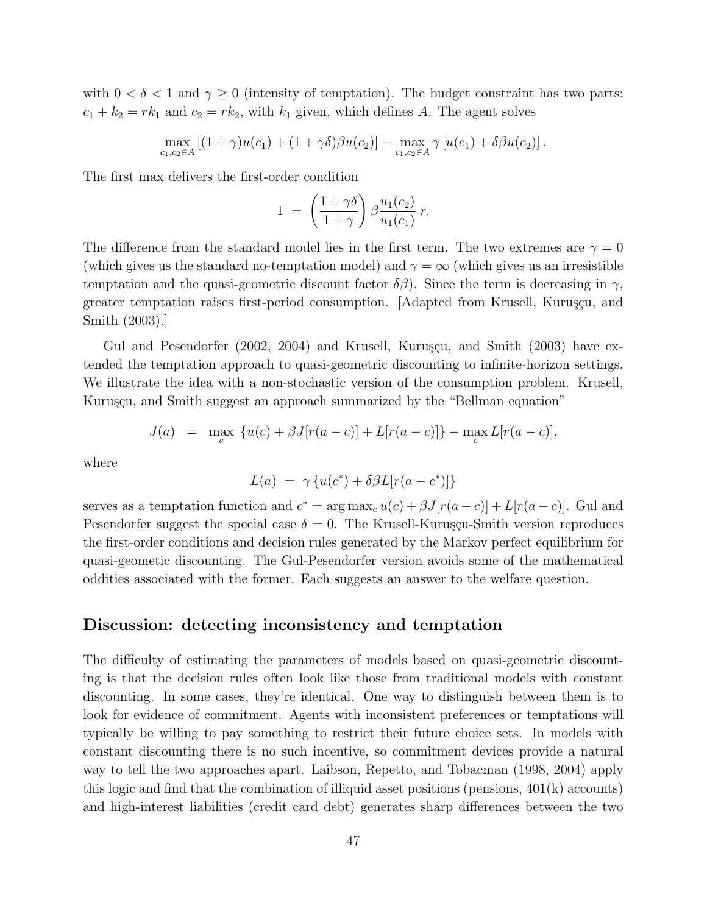with  $0 < \delta < 1$  and  $\gamma \geq 0$  (intensity of temptation). The budget constraint has two parts:  $c_1 + k_2 = rk_1$  and  $c_2 = rk_2$ , with  $k_1$  given, which defines A. The agent solves

$$
\max_{c_1, c_2 \in A} \left[ (1 + \gamma)u(c_1) + (1 + \gamma \delta) \beta u(c_2) \right] - \max_{c_1, c_2 \in A} \gamma \left[ u(c_1) + \delta \beta u(c_2) \right].
$$

The first max delivers the first-order condition

$$
1 = \left(\frac{1+\gamma\delta}{1+\gamma}\right)\beta \frac{u_1(c_2)}{u_1(c_1)} r.
$$

The difference from the standard model lies in the first term. The two extremes are  $\gamma = 0$ (which gives us the standard no-temptation model) and  $\gamma = \infty$  (which gives us an irresistible temptation and the quasi-geometric discount factor  $\delta\beta$ ). Since the term is decreasing in  $\gamma$ , greater temptation raises first-period consumption. [Adapted from Krusell, Kuruşçu, and Smith (2003).]

Gul and Pesendorfer  $(2002, 2004)$  and Krusell, Kuruşçu, and Smith  $(2003)$  have extended the temptation approach to quasi-geometric discounting to infinite-horizon settings. We illustrate the idea with a non-stochastic version of the consumption problem. Krusell, Kuruşçu, and Smith suggest an approach summarized by the "Bellman equation"

$$
J(a) = \max_{c} \{u(c) + \beta J[r(a-c)] + L[r(a-c)]\} - \max_{c} L[r(a-c)],
$$

where

$$
L(a) = \gamma \left\{ u(c^*) + \delta \beta L[r(a - c^*)] \right\}
$$

serves as a temptation function and  $c^* = \arg \max_c u(c) + \beta J[r(a-c)] + L[r(a-c)]$ . Gul and Pesendorfer suggest the special case  $\delta = 0$ . The Krusell-Kuruşçu-Smith version reproduces the first-order conditions and decision rules generated by the Markov perfect equilibrium for quasi-geometic discounting. The Gul-Pesendorfer version avoids some of the mathematical oddities associated with the former. Each suggests an answer to the welfare question.

### Discussion: detecting inconsistency and temptation

The difficulty of estimating the parameters of models based on quasi-geometric discounting is that the decision rules often look like those from traditional models with constant discounting. In some cases, they're identical. One way to distinguish between them is to look for evidence of commitment. Agents with inconsistent preferences or temptations will typically be willing to pay something to restrict their future choice sets. In models with constant discounting there is no such incentive, so commitment devices provide a natural way to tell the two approaches apart. Laibson, Repetto, and Tobacman (1998, 2004) apply this logic and find that the combination of illiquid asset positions (pensions, 401(k) accounts) and high-interest liabilities (credit card debt) generates sharp differences between the two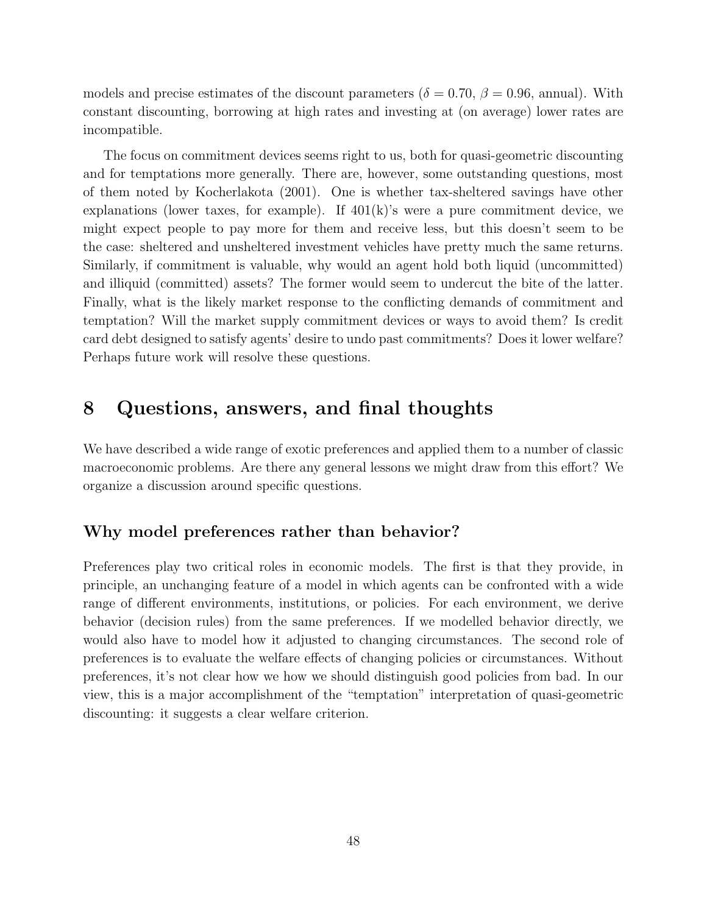models and precise estimates of the discount parameters ( $\delta = 0.70$ ,  $\beta = 0.96$ , annual). With constant discounting, borrowing at high rates and investing at (on average) lower rates are incompatible.

The focus on commitment devices seems right to us, both for quasi-geometric discounting and for temptations more generally. There are, however, some outstanding questions, most of them noted by Kocherlakota (2001). One is whether tax-sheltered savings have other explanations (lower taxes, for example). If  $401(k)$ 's were a pure commitment device, we might expect people to pay more for them and receive less, but this doesn't seem to be the case: sheltered and unsheltered investment vehicles have pretty much the same returns. Similarly, if commitment is valuable, why would an agent hold both liquid (uncommitted) and illiquid (committed) assets? The former would seem to undercut the bite of the latter. Finally, what is the likely market response to the conflicting demands of commitment and temptation? Will the market supply commitment devices or ways to avoid them? Is credit card debt designed to satisfy agents' desire to undo past commitments? Does it lower welfare? Perhaps future work will resolve these questions.

# 8 Questions, answers, and final thoughts

We have described a wide range of exotic preferences and applied them to a number of classic macroeconomic problems. Are there any general lessons we might draw from this effort? We organize a discussion around specific questions.

### Why model preferences rather than behavior?

Preferences play two critical roles in economic models. The first is that they provide, in principle, an unchanging feature of a model in which agents can be confronted with a wide range of different environments, institutions, or policies. For each environment, we derive behavior (decision rules) from the same preferences. If we modelled behavior directly, we would also have to model how it adjusted to changing circumstances. The second role of preferences is to evaluate the welfare effects of changing policies or circumstances. Without preferences, it's not clear how we how we should distinguish good policies from bad. In our view, this is a major accomplishment of the "temptation" interpretation of quasi-geometric discounting: it suggests a clear welfare criterion.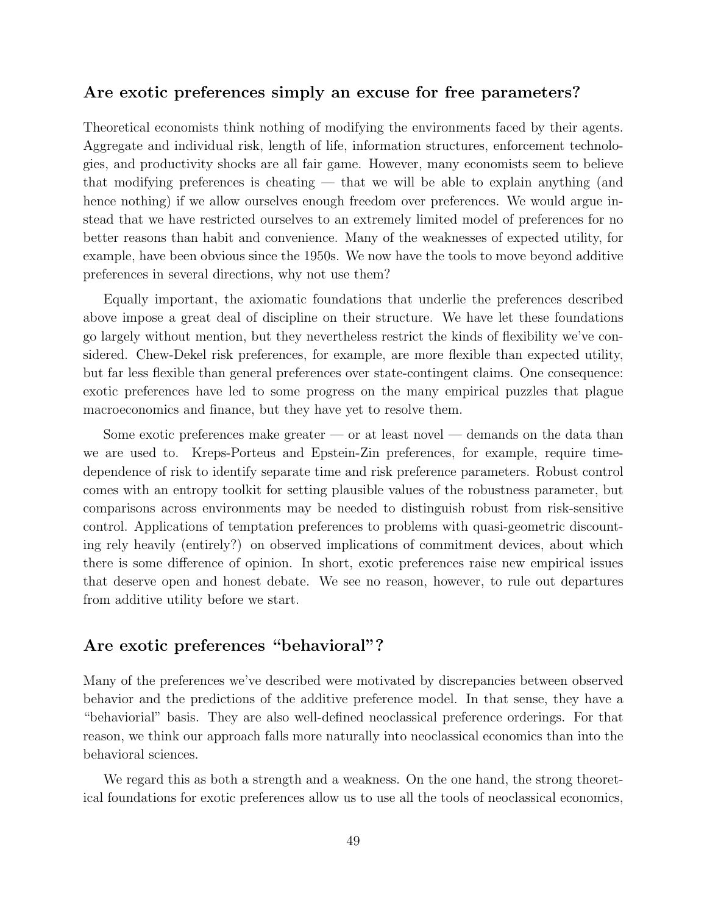### Are exotic preferences simply an excuse for free parameters?

Theoretical economists think nothing of modifying the environments faced by their agents. Aggregate and individual risk, length of life, information structures, enforcement technologies, and productivity shocks are all fair game. However, many economists seem to believe that modifying preferences is cheating — that we will be able to explain anything (and hence nothing) if we allow ourselves enough freedom over preferences. We would argue instead that we have restricted ourselves to an extremely limited model of preferences for no better reasons than habit and convenience. Many of the weaknesses of expected utility, for example, have been obvious since the 1950s. We now have the tools to move beyond additive preferences in several directions, why not use them?

Equally important, the axiomatic foundations that underlie the preferences described above impose a great deal of discipline on their structure. We have let these foundations go largely without mention, but they nevertheless restrict the kinds of flexibility we've considered. Chew-Dekel risk preferences, for example, are more flexible than expected utility, but far less flexible than general preferences over state-contingent claims. One consequence: exotic preferences have led to some progress on the many empirical puzzles that plague macroeconomics and finance, but they have yet to resolve them.

Some exotic preferences make greater — or at least novel — demands on the data than we are used to. Kreps-Porteus and Epstein-Zin preferences, for example, require timedependence of risk to identify separate time and risk preference parameters. Robust control comes with an entropy toolkit for setting plausible values of the robustness parameter, but comparisons across environments may be needed to distinguish robust from risk-sensitive control. Applications of temptation preferences to problems with quasi-geometric discounting rely heavily (entirely?) on observed implications of commitment devices, about which there is some difference of opinion. In short, exotic preferences raise new empirical issues that deserve open and honest debate. We see no reason, however, to rule out departures from additive utility before we start.

## Are exotic preferences "behavioral"?

Many of the preferences we've described were motivated by discrepancies between observed behavior and the predictions of the additive preference model. In that sense, they have a "behaviorial" basis. They are also well-defined neoclassical preference orderings. For that reason, we think our approach falls more naturally into neoclassical economics than into the behavioral sciences.

We regard this as both a strength and a weakness. On the one hand, the strong theoretical foundations for exotic preferences allow us to use all the tools of neoclassical economics,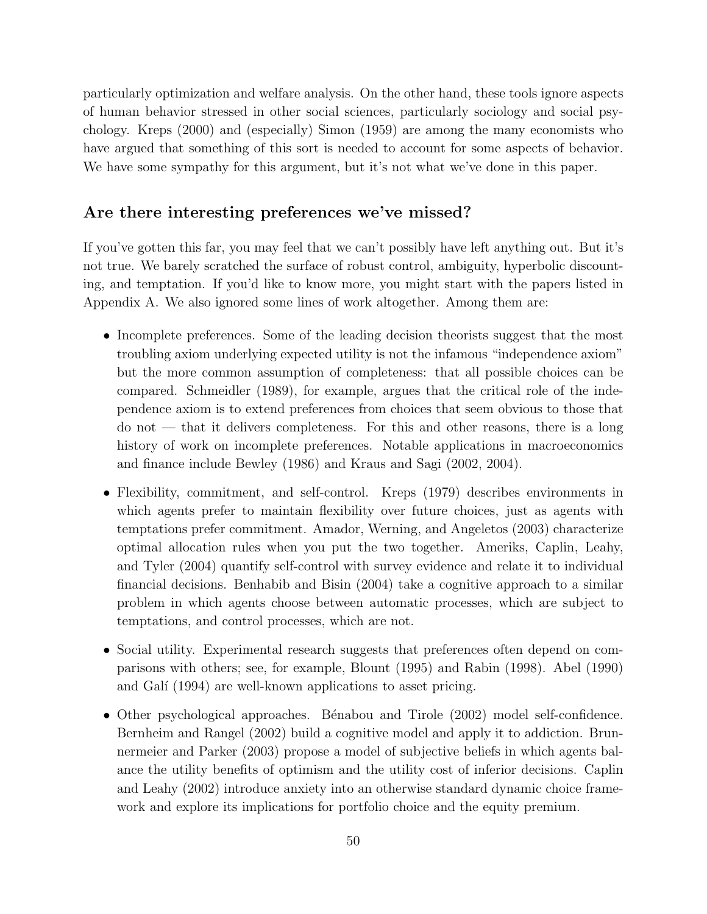particularly optimization and welfare analysis. On the other hand, these tools ignore aspects of human behavior stressed in other social sciences, particularly sociology and social psychology. Kreps (2000) and (especially) Simon (1959) are among the many economists who have argued that something of this sort is needed to account for some aspects of behavior. We have some sympathy for this argument, but it's not what we've done in this paper.

## Are there interesting preferences we've missed?

If you've gotten this far, you may feel that we can't possibly have left anything out. But it's not true. We barely scratched the surface of robust control, ambiguity, hyperbolic discounting, and temptation. If you'd like to know more, you might start with the papers listed in Appendix A. We also ignored some lines of work altogether. Among them are:

- Incomplete preferences. Some of the leading decision theorists suggest that the most troubling axiom underlying expected utility is not the infamous "independence axiom" but the more common assumption of completeness: that all possible choices can be compared. Schmeidler (1989), for example, argues that the critical role of the independence axiom is to extend preferences from choices that seem obvious to those that do not — that it delivers completeness. For this and other reasons, there is a long history of work on incomplete preferences. Notable applications in macroeconomics and finance include Bewley (1986) and Kraus and Sagi (2002, 2004).
- Flexibility, commitment, and self-control. Kreps (1979) describes environments in which agents prefer to maintain flexibility over future choices, just as agents with temptations prefer commitment. Amador, Werning, and Angeletos (2003) characterize optimal allocation rules when you put the two together. Ameriks, Caplin, Leahy, and Tyler (2004) quantify self-control with survey evidence and relate it to individual financial decisions. Benhabib and Bisin (2004) take a cognitive approach to a similar problem in which agents choose between automatic processes, which are subject to temptations, and control processes, which are not.
- Social utility. Experimental research suggests that preferences often depend on comparisons with others; see, for example, Blount (1995) and Rabin (1998). Abel (1990) and Galí (1994) are well-known applications to asset pricing.
- Other psychological approaches. Bénabou and Tirole (2002) model self-confidence. Bernheim and Rangel (2002) build a cognitive model and apply it to addiction. Brunnermeier and Parker (2003) propose a model of subjective beliefs in which agents balance the utility benefits of optimism and the utility cost of inferior decisions. Caplin and Leahy (2002) introduce anxiety into an otherwise standard dynamic choice framework and explore its implications for portfolio choice and the equity premium.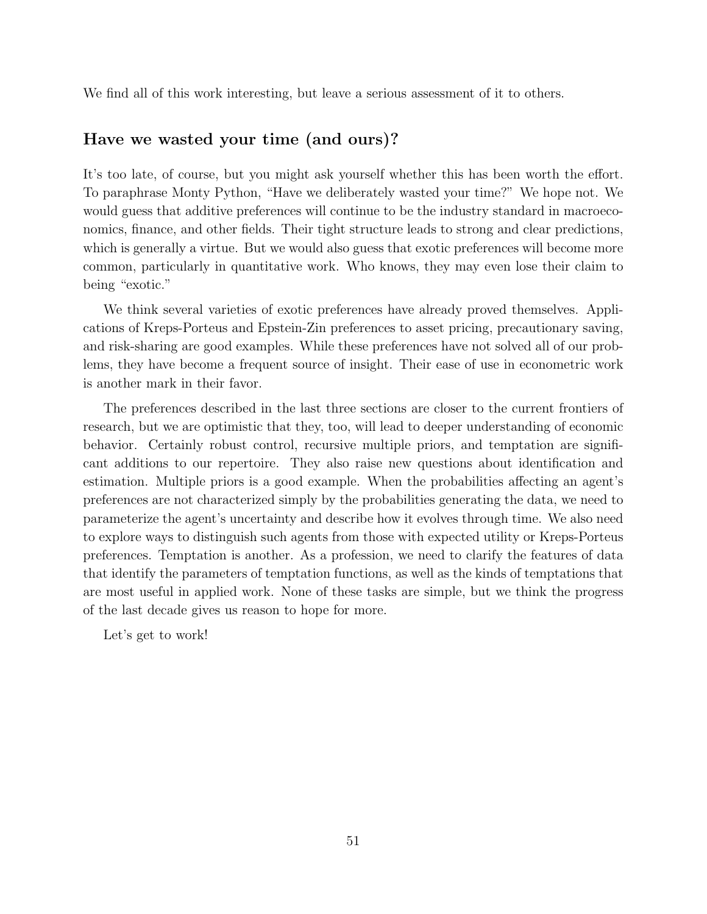We find all of this work interesting, but leave a serious assessment of it to others.

### Have we wasted your time (and ours)?

It's too late, of course, but you might ask yourself whether this has been worth the effort. To paraphrase Monty Python, "Have we deliberately wasted your time?" We hope not. We would guess that additive preferences will continue to be the industry standard in macroeconomics, finance, and other fields. Their tight structure leads to strong and clear predictions, which is generally a virtue. But we would also guess that exotic preferences will become more common, particularly in quantitative work. Who knows, they may even lose their claim to being "exotic."

We think several varieties of exotic preferences have already proved themselves. Applications of Kreps-Porteus and Epstein-Zin preferences to asset pricing, precautionary saving, and risk-sharing are good examples. While these preferences have not solved all of our problems, they have become a frequent source of insight. Their ease of use in econometric work is another mark in their favor.

The preferences described in the last three sections are closer to the current frontiers of research, but we are optimistic that they, too, will lead to deeper understanding of economic behavior. Certainly robust control, recursive multiple priors, and temptation are significant additions to our repertoire. They also raise new questions about identification and estimation. Multiple priors is a good example. When the probabilities affecting an agent's preferences are not characterized simply by the probabilities generating the data, we need to parameterize the agent's uncertainty and describe how it evolves through time. We also need to explore ways to distinguish such agents from those with expected utility or Kreps-Porteus preferences. Temptation is another. As a profession, we need to clarify the features of data that identify the parameters of temptation functions, as well as the kinds of temptations that are most useful in applied work. None of these tasks are simple, but we think the progress of the last decade gives us reason to hope for more.

Let's get to work!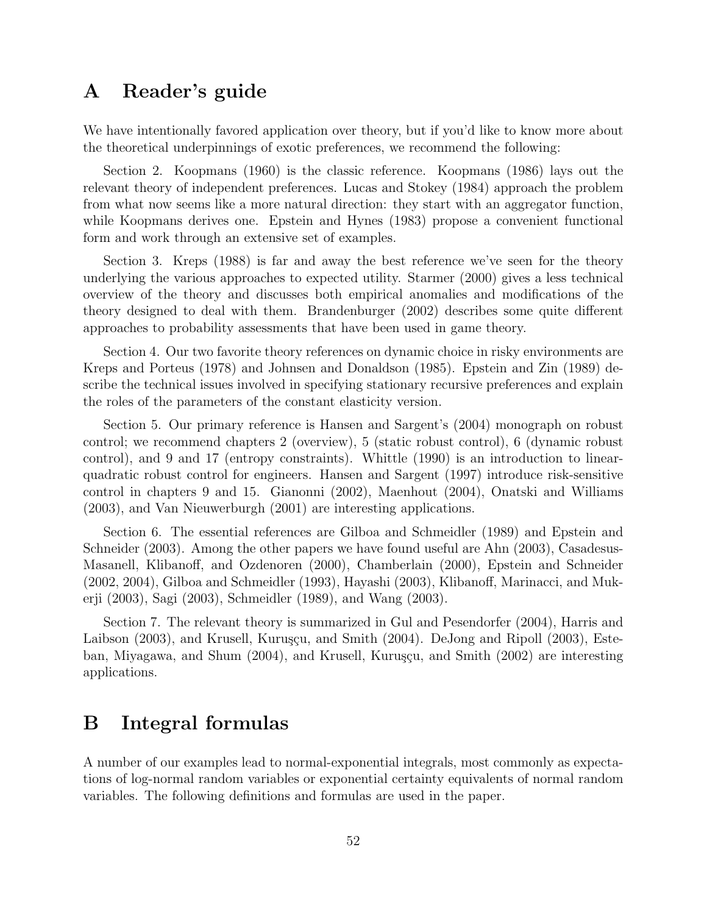# A Reader's guide

We have intentionally favored application over theory, but if you'd like to know more about the theoretical underpinnings of exotic preferences, we recommend the following:

Section 2. Koopmans (1960) is the classic reference. Koopmans (1986) lays out the relevant theory of independent preferences. Lucas and Stokey (1984) approach the problem from what now seems like a more natural direction: they start with an aggregator function, while Koopmans derives one. Epstein and Hynes (1983) propose a convenient functional form and work through an extensive set of examples.

Section 3. Kreps (1988) is far and away the best reference we've seen for the theory underlying the various approaches to expected utility. Starmer (2000) gives a less technical overview of the theory and discusses both empirical anomalies and modifications of the theory designed to deal with them. Brandenburger (2002) describes some quite different approaches to probability assessments that have been used in game theory.

Section 4. Our two favorite theory references on dynamic choice in risky environments are Kreps and Porteus (1978) and Johnsen and Donaldson (1985). Epstein and Zin (1989) describe the technical issues involved in specifying stationary recursive preferences and explain the roles of the parameters of the constant elasticity version.

Section 5. Our primary reference is Hansen and Sargent's (2004) monograph on robust control; we recommend chapters 2 (overview), 5 (static robust control), 6 (dynamic robust control), and 9 and 17 (entropy constraints). Whittle (1990) is an introduction to linearquadratic robust control for engineers. Hansen and Sargent (1997) introduce risk-sensitive control in chapters 9 and 15. Gianonni (2002), Maenhout (2004), Onatski and Williams (2003), and Van Nieuwerburgh (2001) are interesting applications.

Section 6. The essential references are Gilboa and Schmeidler (1989) and Epstein and Schneider (2003). Among the other papers we have found useful are Ahn (2003), Casadesus-Masanell, Klibanoff, and Ozdenoren (2000), Chamberlain (2000), Epstein and Schneider (2002, 2004), Gilboa and Schmeidler (1993), Hayashi (2003), Klibanoff, Marinacci, and Mukerji (2003), Sagi (2003), Schmeidler (1989), and Wang (2003).

Section 7. The relevant theory is summarized in Gul and Pesendorfer (2004), Harris and Laibson (2003), and Krusell, Kuruşçu, and Smith (2004). DeJong and Ripoll (2003), Esteban, Miyagawa, and Shum (2004), and Krusell, Kuruşçu, and Smith (2002) are interesting applications.

# B Integral formulas

A number of our examples lead to normal-exponential integrals, most commonly as expectations of log-normal random variables or exponential certainty equivalents of normal random variables. The following definitions and formulas are used in the paper.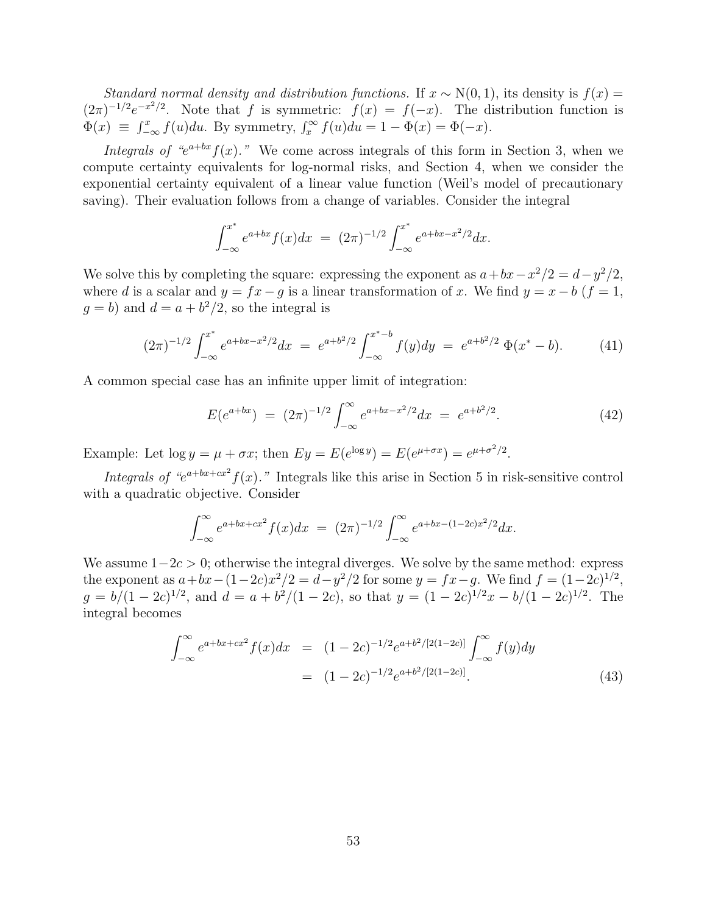Standard normal density and distribution functions. If  $x \sim N(0, 1)$ , its density is  $f(x) =$  $(2\pi)^{-1/2}e^{-x^2/2}$ . Note that f is symmetric:  $f(x) = f(-x)$ . The distribution function is  $\Phi(x) \equiv \int_{-\infty}^{x} f(u) du$ . By symmetry,  $\int_{x}^{\infty} f(u) du = 1 - \Phi(x) = \Phi(-x)$ .

Integrals of " $e^{a+bx}f(x)$ ." We come across integrals of this form in Section 3, when we compute certainty equivalents for log-normal risks, and Section 4, when we consider the exponential certainty equivalent of a linear value function (Weil's model of precautionary saving). Their evaluation follows from a change of variables. Consider the integral

$$
\int_{-\infty}^{x^*} e^{a+bx} f(x) dx = (2\pi)^{-1/2} \int_{-\infty}^{x^*} e^{a+bx-x^2/2} dx.
$$

We solve this by completing the square: expressing the exponent as  $a+bx-x^2/2 = d-y^2/2$ , where d is a scalar and  $y = fx - g$  is a linear transformation of x. We find  $y = x - b$  ( $f = 1$ ,  $(g = b)$  and  $d = a + b^2/2$ , so the integral is

$$
(2\pi)^{-1/2} \int_{-\infty}^{x^*} e^{a+bx-x^2/2} dx = e^{a+b^2/2} \int_{-\infty}^{x^*-b} f(y) dy = e^{a+b^2/2} \Phi(x^* - b).
$$
 (41)

A common special case has an infinite upper limit of integration:

$$
E(e^{a+bx}) = (2\pi)^{-1/2} \int_{-\infty}^{\infty} e^{a+bx-x^2/2} dx = e^{a+b^2/2}.
$$
 (42)

Example: Let  $\log y = \mu + \sigma x$ ; then  $Ey = E(e^{\log y}) = E(e^{\mu + \sigma x}) = e^{\mu + \sigma^2/2}$ .

Integrals of " $e^{a+bx+cx^2}f(x)$ ." Integrals like this arise in Section 5 in risk-sensitive control with a quadratic objective. Consider

$$
\int_{-\infty}^{\infty} e^{a+bx+cx^2} f(x) dx = (2\pi)^{-1/2} \int_{-\infty}^{\infty} e^{a+bx-(1-2c)x^2/2} dx.
$$

We assume  $1-2c > 0$ ; otherwise the integral diverges. We solve by the same method: express the exponent as  $a+bx-(1-2c)x^2/2 = d-y^2/2$  for some  $y = fx-g$ . We find  $f = (1-2c)^{1/2}$ ,  $g = b/(1-2c)^{1/2}$ , and  $d = a + b^2/(1-2c)$ , so that  $y = (1-2c)^{1/2}x - b/(1-2c)^{1/2}$ . The integral becomes

$$
\int_{-\infty}^{\infty} e^{a+bx+cx^2} f(x) dx = (1-2c)^{-1/2} e^{a+b^2/[2(1-2c)]} \int_{-\infty}^{\infty} f(y) dy
$$

$$
= (1-2c)^{-1/2} e^{a+b^2/[2(1-2c)]}. \tag{43}
$$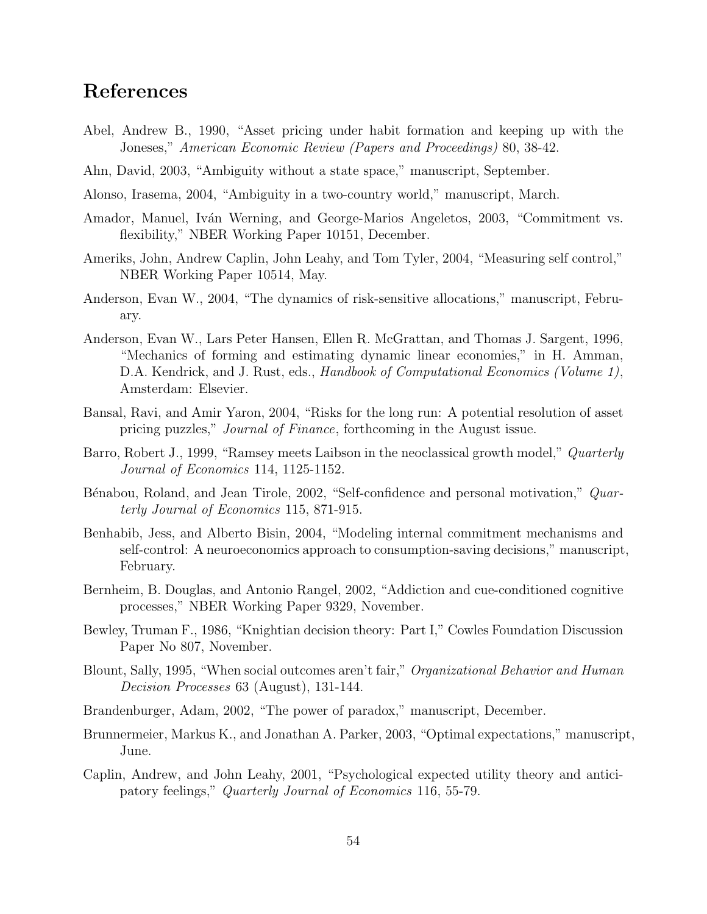# References

- Abel, Andrew B., 1990, "Asset pricing under habit formation and keeping up with the Joneses," American Economic Review (Papers and Proceedings) 80, 38-42.
- Ahn, David, 2003, "Ambiguity without a state space," manuscript, September.
- Alonso, Irasema, 2004, "Ambiguity in a two-country world," manuscript, March.
- Amador, Manuel, Iván Werning, and George-Marios Angeletos, 2003, "Commitment vs. flexibility," NBER Working Paper 10151, December.
- Ameriks, John, Andrew Caplin, John Leahy, and Tom Tyler, 2004, "Measuring self control," NBER Working Paper 10514, May.
- Anderson, Evan W., 2004, "The dynamics of risk-sensitive allocations," manuscript, February.
- Anderson, Evan W., Lars Peter Hansen, Ellen R. McGrattan, and Thomas J. Sargent, 1996, "Mechanics of forming and estimating dynamic linear economies," in H. Amman, D.A. Kendrick, and J. Rust, eds., Handbook of Computational Economics (Volume 1), Amsterdam: Elsevier.
- Bansal, Ravi, and Amir Yaron, 2004, "Risks for the long run: A potential resolution of asset pricing puzzles," Journal of Finance, forthcoming in the August issue.
- Barro, Robert J., 1999, "Ramsey meets Laibson in the neoclassical growth model," Quarterly Journal of Economics 114, 1125-1152.
- Bénabou, Roland, and Jean Tirole, 2002, "Self-confidence and personal motivation," Quarterly Journal of Economics 115, 871-915.
- Benhabib, Jess, and Alberto Bisin, 2004, "Modeling internal commitment mechanisms and self-control: A neuroeconomics approach to consumption-saving decisions," manuscript, February.
- Bernheim, B. Douglas, and Antonio Rangel, 2002, "Addiction and cue-conditioned cognitive processes," NBER Working Paper 9329, November.
- Bewley, Truman F., 1986, "Knightian decision theory: Part I," Cowles Foundation Discussion Paper No 807, November.
- Blount, Sally, 1995, "When social outcomes aren't fair," Organizational Behavior and Human Decision Processes 63 (August), 131-144.
- Brandenburger, Adam, 2002, "The power of paradox," manuscript, December.
- Brunnermeier, Markus K., and Jonathan A. Parker, 2003, "Optimal expectations," manuscript, June.
- Caplin, Andrew, and John Leahy, 2001, "Psychological expected utility theory and anticipatory feelings," Quarterly Journal of Economics 116, 55-79.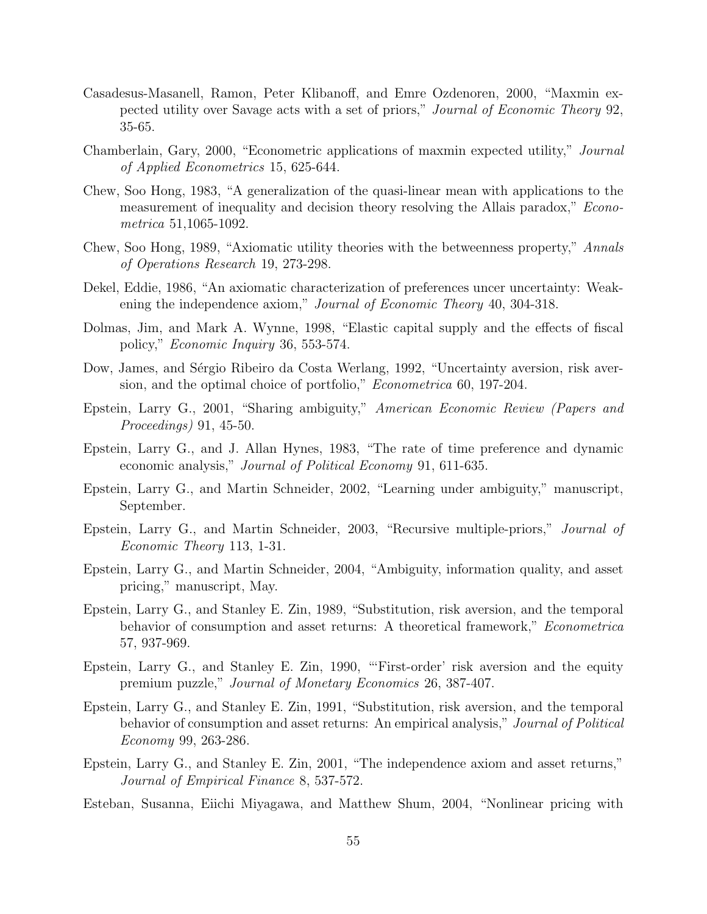- Casadesus-Masanell, Ramon, Peter Klibanoff, and Emre Ozdenoren, 2000, "Maxmin expected utility over Savage acts with a set of priors," Journal of Economic Theory 92, 35-65.
- Chamberlain, Gary, 2000, "Econometric applications of maxmin expected utility," Journal of Applied Econometrics 15, 625-644.
- Chew, Soo Hong, 1983, "A generalization of the quasi-linear mean with applications to the measurement of inequality and decision theory resolving the Allais paradox," *Econo*metrica 51,1065-1092.
- Chew, Soo Hong, 1989, "Axiomatic utility theories with the betweenness property," Annals of Operations Research 19, 273-298.
- Dekel, Eddie, 1986, "An axiomatic characterization of preferences uncer uncertainty: Weakening the independence axiom," Journal of Economic Theory 40, 304-318.
- Dolmas, Jim, and Mark A. Wynne, 1998, "Elastic capital supply and the effects of fiscal policy," Economic Inquiry 36, 553-574.
- Dow, James, and Sérgio Ribeiro da Costa Werlang, 1992, "Uncertainty aversion, risk aversion, and the optimal choice of portfolio," Econometrica 60, 197-204.
- Epstein, Larry G., 2001, "Sharing ambiguity," American Economic Review (Papers and Proceedings) 91, 45-50.
- Epstein, Larry G., and J. Allan Hynes, 1983, "The rate of time preference and dynamic economic analysis," Journal of Political Economy 91, 611-635.
- Epstein, Larry G., and Martin Schneider, 2002, "Learning under ambiguity," manuscript, September.
- Epstein, Larry G., and Martin Schneider, 2003, "Recursive multiple-priors," Journal of Economic Theory 113, 1-31.
- Epstein, Larry G., and Martin Schneider, 2004, "Ambiguity, information quality, and asset pricing," manuscript, May.
- Epstein, Larry G., and Stanley E. Zin, 1989, "Substitution, risk aversion, and the temporal behavior of consumption and asset returns: A theoretical framework," Econometrica 57, 937-969.
- Epstein, Larry G., and Stanley E. Zin, 1990, "'First-order' risk aversion and the equity premium puzzle," Journal of Monetary Economics 26, 387-407.
- Epstein, Larry G., and Stanley E. Zin, 1991, "Substitution, risk aversion, and the temporal behavior of consumption and asset returns: An empirical analysis," Journal of Political Economy 99, 263-286.
- Epstein, Larry G., and Stanley E. Zin, 2001, "The independence axiom and asset returns," Journal of Empirical Finance 8, 537-572.
- Esteban, Susanna, Eiichi Miyagawa, and Matthew Shum, 2004, "Nonlinear pricing with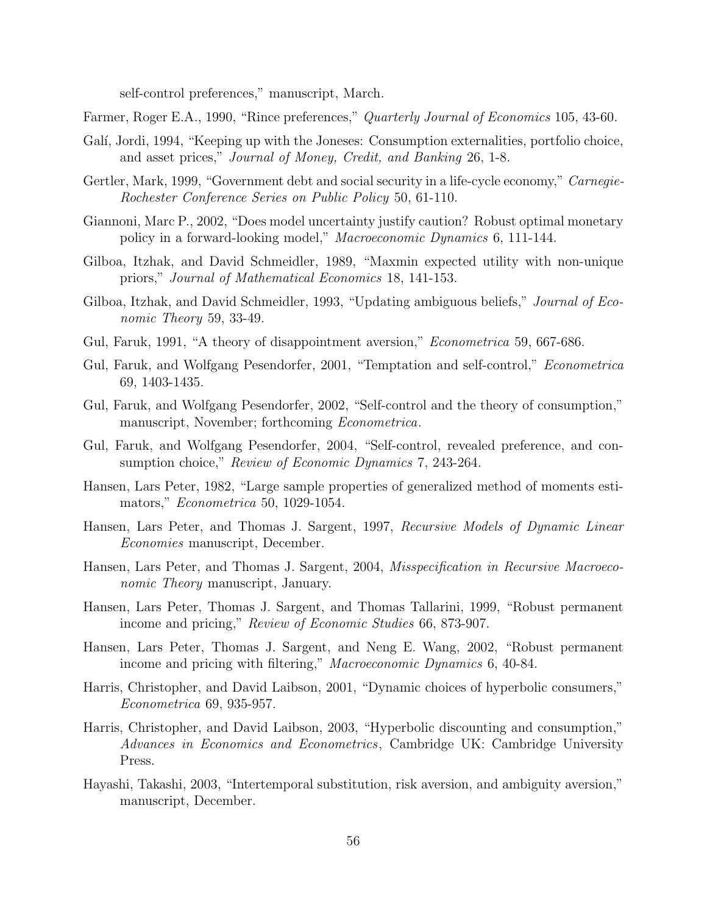self-control preferences," manuscript, March.

Farmer, Roger E.A., 1990, "Rince preferences," Quarterly Journal of Economics 105, 43-60.

- Galí, Jordi, 1994, "Keeping up with the Joneses: Consumption externalities, portfolio choice, and asset prices," Journal of Money, Credit, and Banking 26, 1-8.
- Gertler, Mark, 1999, "Government debt and social security in a life-cycle economy," Carnegie-Rochester Conference Series on Public Policy 50, 61-110.
- Giannoni, Marc P., 2002, "Does model uncertainty justify caution? Robust optimal monetary policy in a forward-looking model," Macroeconomic Dynamics 6, 111-144.
- Gilboa, Itzhak, and David Schmeidler, 1989, "Maxmin expected utility with non-unique priors," Journal of Mathematical Economics 18, 141-153.
- Gilboa, Itzhak, and David Schmeidler, 1993, "Updating ambiguous beliefs," Journal of Economic Theory 59, 33-49.
- Gul, Faruk, 1991, "A theory of disappointment aversion," Econometrica 59, 667-686.
- Gul, Faruk, and Wolfgang Pesendorfer, 2001, "Temptation and self-control," Econometrica 69, 1403-1435.
- Gul, Faruk, and Wolfgang Pesendorfer, 2002, "Self-control and the theory of consumption," manuscript, November; forthcoming *Econometrica*.
- Gul, Faruk, and Wolfgang Pesendorfer, 2004, "Self-control, revealed preference, and consumption choice," Review of Economic Dynamics 7, 243-264.
- Hansen, Lars Peter, 1982, "Large sample properties of generalized method of moments estimators," Econometrica 50, 1029-1054.
- Hansen, Lars Peter, and Thomas J. Sargent, 1997, Recursive Models of Dynamic Linear Economies manuscript, December.
- Hansen, Lars Peter, and Thomas J. Sargent, 2004, Misspecification in Recursive Macroeconomic Theory manuscript, January.
- Hansen, Lars Peter, Thomas J. Sargent, and Thomas Tallarini, 1999, "Robust permanent income and pricing," Review of Economic Studies 66, 873-907.
- Hansen, Lars Peter, Thomas J. Sargent, and Neng E. Wang, 2002, "Robust permanent income and pricing with filtering," Macroeconomic Dynamics 6, 40-84.
- Harris, Christopher, and David Laibson, 2001, "Dynamic choices of hyperbolic consumers," Econometrica 69, 935-957.
- Harris, Christopher, and David Laibson, 2003, "Hyperbolic discounting and consumption," Advances in Economics and Econometrics, Cambridge UK: Cambridge University Press.
- Hayashi, Takashi, 2003, "Intertemporal substitution, risk aversion, and ambiguity aversion," manuscript, December.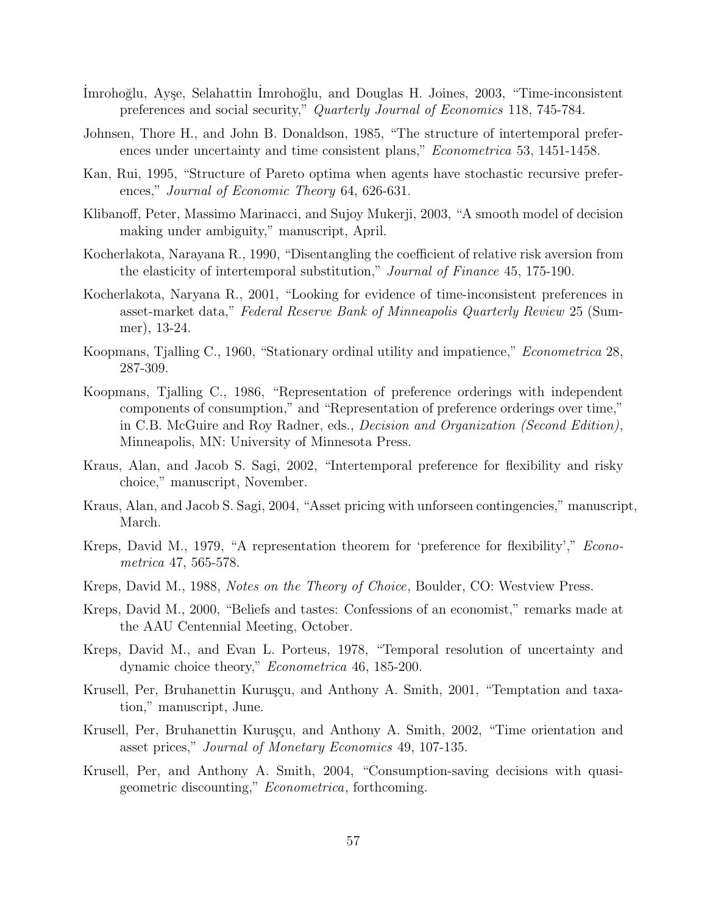- Imrohoğlu, Ayşe, Selahattin Imrohoğlu, and Douglas H. Joines, 2003, "Time-inconsistent preferences and social security," Quarterly Journal of Economics 118, 745-784.
- Johnsen, Thore H., and John B. Donaldson, 1985, "The structure of intertemporal preferences under uncertainty and time consistent plans," *Econometrica* 53, 1451-1458.
- Kan, Rui, 1995, "Structure of Pareto optima when agents have stochastic recursive preferences," Journal of Economic Theory 64, 626-631.
- Klibanoff, Peter, Massimo Marinacci, and Sujoy Mukerji, 2003, "A smooth model of decision making under ambiguity," manuscript, April.
- Kocherlakota, Narayana R., 1990, "Disentangling the coefficient of relative risk aversion from the elasticity of intertemporal substitution," *Journal of Finance* 45, 175-190.
- Kocherlakota, Naryana R., 2001, "Looking for evidence of time-inconsistent preferences in asset-market data," Federal Reserve Bank of Minneapolis Quarterly Review 25 (Summer), 13-24.
- Koopmans, Tjalling C., 1960, "Stationary ordinal utility and impatience," Econometrica 28, 287-309.
- Koopmans, Tjalling C., 1986, "Representation of preference orderings with independent components of consumption," and "Representation of preference orderings over time," in C.B. McGuire and Roy Radner, eds., Decision and Organization (Second Edition), Minneapolis, MN: University of Minnesota Press.
- Kraus, Alan, and Jacob S. Sagi, 2002, "Intertemporal preference for flexibility and risky choice," manuscript, November.
- Kraus, Alan, and Jacob S. Sagi, 2004, "Asset pricing with unforseen contingencies," manuscript, March.
- Kreps, David M., 1979, "A representation theorem for 'preference for flexibility'," Econometrica 47, 565-578.
- Kreps, David M., 1988, Notes on the Theory of Choice, Boulder, CO: Westview Press.
- Kreps, David M., 2000, "Beliefs and tastes: Confessions of an economist," remarks made at the AAU Centennial Meeting, October.
- Kreps, David M., and Evan L. Porteus, 1978, "Temporal resolution of uncertainty and dynamic choice theory," Econometrica 46, 185-200.
- Krusell, Per, Bruhanettin Kuruşçu, and Anthony A. Smith, 2001, "Temptation and taxation," manuscript, June.
- Krusell, Per, Bruhanettin Kurusçu, and Anthony A. Smith, 2002, "Time orientation and asset prices," Journal of Monetary Economics 49, 107-135.
- Krusell, Per, and Anthony A. Smith, 2004, "Consumption-saving decisions with quasigeometric discounting," Econometrica, forthcoming.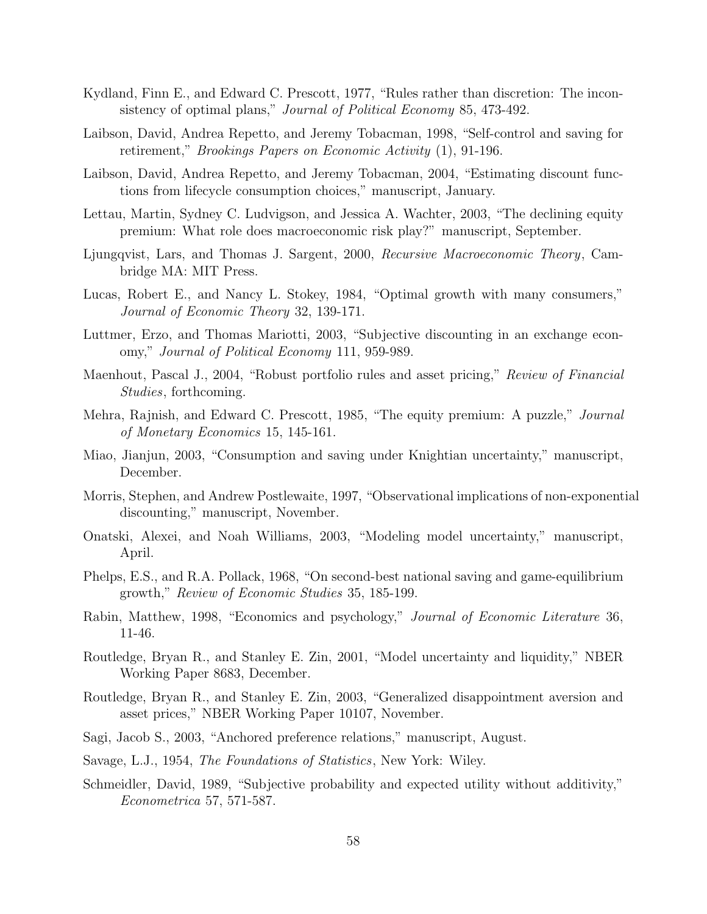- Kydland, Finn E., and Edward C. Prescott, 1977, "Rules rather than discretion: The inconsistency of optimal plans," Journal of Political Economy 85, 473-492.
- Laibson, David, Andrea Repetto, and Jeremy Tobacman, 1998, "Self-control and saving for retirement," Brookings Papers on Economic Activity (1), 91-196.
- Laibson, David, Andrea Repetto, and Jeremy Tobacman, 2004, "Estimating discount functions from lifecycle consumption choices," manuscript, January.
- Lettau, Martin, Sydney C. Ludvigson, and Jessica A. Wachter, 2003, "The declining equity premium: What role does macroeconomic risk play?" manuscript, September.
- Ljungqvist, Lars, and Thomas J. Sargent, 2000, Recursive Macroeconomic Theory, Cambridge MA: MIT Press.
- Lucas, Robert E., and Nancy L. Stokey, 1984, "Optimal growth with many consumers," Journal of Economic Theory 32, 139-171.
- Luttmer, Erzo, and Thomas Mariotti, 2003, "Subjective discounting in an exchange economy," Journal of Political Economy 111, 959-989.
- Maenhout, Pascal J., 2004, "Robust portfolio rules and asset pricing," Review of Financial Studies, forthcoming.
- Mehra, Rajnish, and Edward C. Prescott, 1985, "The equity premium: A puzzle," Journal of Monetary Economics 15, 145-161.
- Miao, Jianjun, 2003, "Consumption and saving under Knightian uncertainty," manuscript, December.
- Morris, Stephen, and Andrew Postlewaite, 1997, "Observational implications of non-exponential discounting," manuscript, November.
- Onatski, Alexei, and Noah Williams, 2003, "Modeling model uncertainty," manuscript, April.
- Phelps, E.S., and R.A. Pollack, 1968, "On second-best national saving and game-equilibrium growth," Review of Economic Studies 35, 185-199.
- Rabin, Matthew, 1998, "Economics and psychology," Journal of Economic Literature 36, 11-46.
- Routledge, Bryan R., and Stanley E. Zin, 2001, "Model uncertainty and liquidity," NBER Working Paper 8683, December.
- Routledge, Bryan R., and Stanley E. Zin, 2003, "Generalized disappointment aversion and asset prices," NBER Working Paper 10107, November.
- Sagi, Jacob S., 2003, "Anchored preference relations," manuscript, August.
- Savage, L.J., 1954, The Foundations of Statistics, New York: Wiley.
- Schmeidler, David, 1989, "Subjective probability and expected utility without additivity," Econometrica 57, 571-587.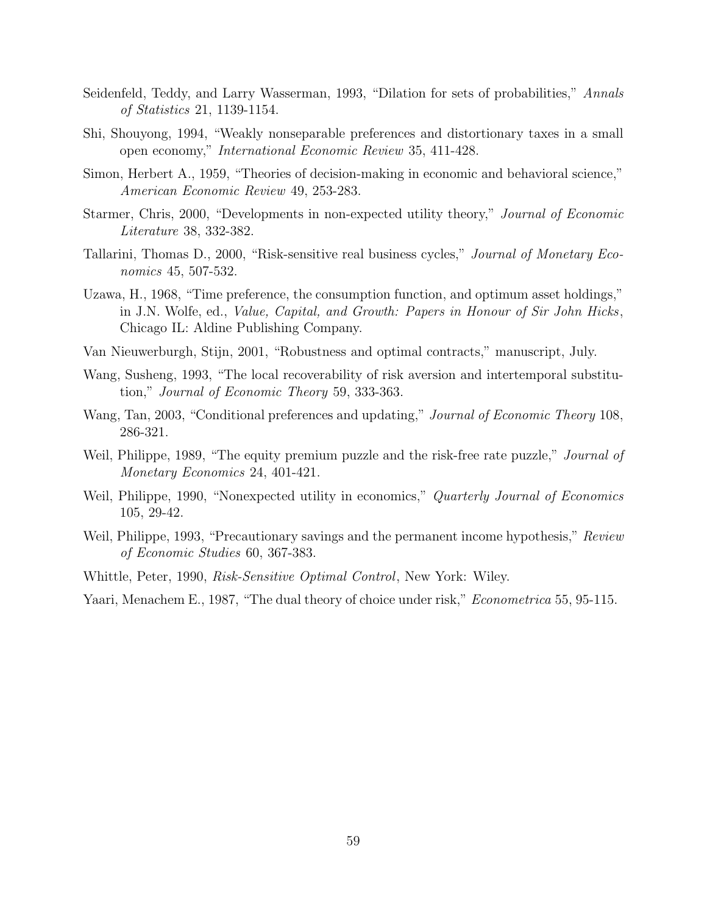- Seidenfeld, Teddy, and Larry Wasserman, 1993, "Dilation for sets of probabilities," Annals of Statistics 21, 1139-1154.
- Shi, Shouyong, 1994, "Weakly nonseparable preferences and distortionary taxes in a small open economy," International Economic Review 35, 411-428.
- Simon, Herbert A., 1959, "Theories of decision-making in economic and behavioral science," American Economic Review 49, 253-283.
- Starmer, Chris, 2000, "Developments in non-expected utility theory," Journal of Economic Literature 38, 332-382.
- Tallarini, Thomas D., 2000, "Risk-sensitive real business cycles," Journal of Monetary Economics 45, 507-532.
- Uzawa, H., 1968, "Time preference, the consumption function, and optimum asset holdings," in J.N. Wolfe, ed., Value, Capital, and Growth: Papers in Honour of Sir John Hicks, Chicago IL: Aldine Publishing Company.
- Van Nieuwerburgh, Stijn, 2001, "Robustness and optimal contracts," manuscript, July.
- Wang, Susheng, 1993, "The local recoverability of risk aversion and intertemporal substitution," Journal of Economic Theory 59, 333-363.
- Wang, Tan, 2003, "Conditional preferences and updating," *Journal of Economic Theory* 108, 286-321.
- Weil, Philippe, 1989, "The equity premium puzzle and the risk-free rate puzzle," *Journal of* Monetary Economics 24, 401-421.
- Weil, Philippe, 1990, "Nonexpected utility in economics," Quarterly Journal of Economics 105, 29-42.
- Weil, Philippe, 1993, "Precautionary savings and the permanent income hypothesis," Review of Economic Studies 60, 367-383.
- Whittle, Peter, 1990, Risk-Sensitive Optimal Control, New York: Wiley.
- Yaari, Menachem E., 1987, "The dual theory of choice under risk," *Econometrica* 55, 95-115.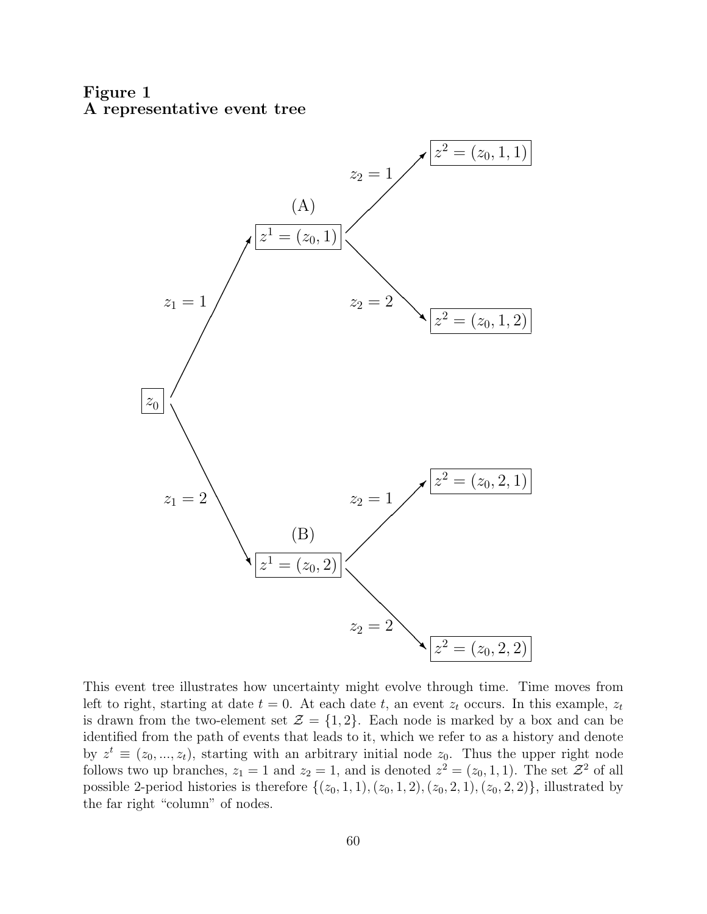Figure 1 A representative event tree



This event tree illustrates how uncertainty might evolve through time. Time moves from left to right, starting at date  $t = 0$ . At each date t, an event  $z_t$  occurs. In this example,  $z_t$ is drawn from the two-element set  $\mathcal{Z} = \{1, 2\}$ . Each node is marked by a box and can be identified from the path of events that leads to it, which we refer to as a history and denote by  $z^t \equiv (z_0, ..., z_t)$ , starting with an arbitrary initial node  $z_0$ . Thus the upper right node follows two up branches,  $z_1 = 1$  and  $z_2 = 1$ , and is denoted  $z^2 = (z_0, 1, 1)$ . The set  $\mathcal{Z}^2$  of all possible 2-period histories is therefore  $\{(z_0, 1, 1), (z_0, 1, 2), (z_0, 2, 1), (z_0, 2, 2)\}$ , illustrated by the far right "column" of nodes.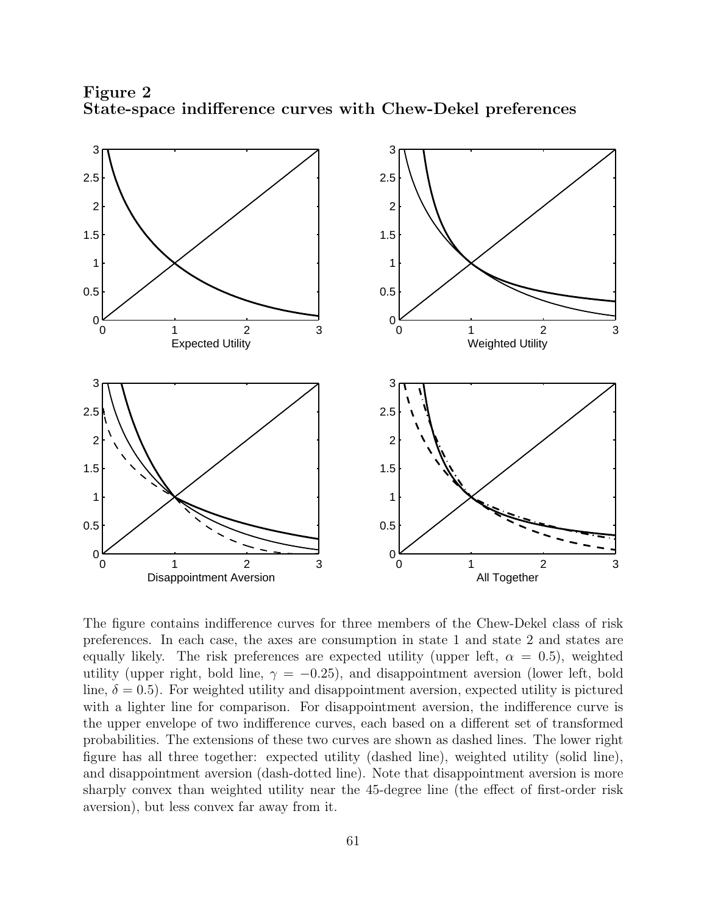



The figure contains indifference curves for three members of the Chew-Dekel class of risk preferences. In each case, the axes are consumption in state 1 and state 2 and states are equally likely. The risk preferences are expected utility (upper left,  $\alpha = 0.5$ ), weighted utility (upper right, bold line,  $\gamma = -0.25$ ), and disappointment aversion (lower left, bold line,  $\delta = 0.5$ ). For weighted utility and disappointment aversion, expected utility is pictured with a lighter line for comparison. For disappointment aversion, the indifference curve is the upper envelope of two indifference curves, each based on a different set of transformed probabilities. The extensions of these two curves are shown as dashed lines. The lower right figure has all three together: expected utility (dashed line), weighted utility (solid line), and disappointment aversion (dash-dotted line). Note that disappointment aversion is more sharply convex than weighted utility near the 45-degree line (the effect of first-order risk aversion), but less convex far away from it.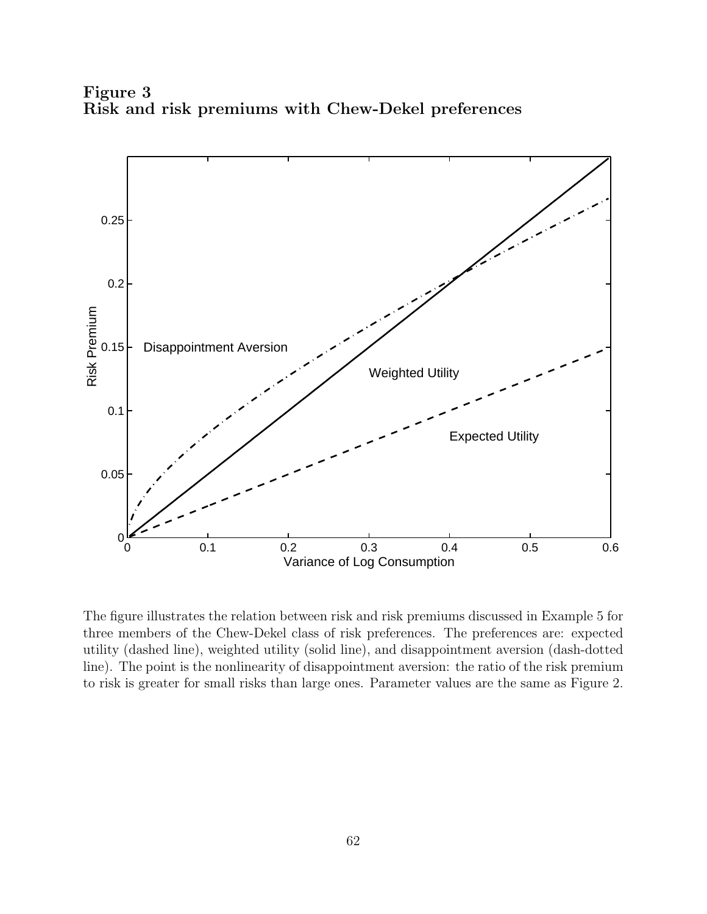Figure 3 Risk and risk premiums with Chew-Dekel preferences



The figure illustrates the relation between risk and risk premiums discussed in Example 5 for three members of the Chew-Dekel class of risk preferences. The preferences are: expected utility (dashed line), weighted utility (solid line), and disappointment aversion (dash-dotted line). The point is the nonlinearity of disappointment aversion: the ratio of the risk premium to risk is greater for small risks than large ones. Parameter values are the same as Figure 2.